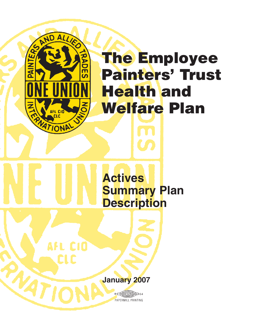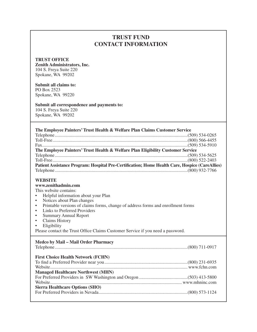## **TRUST FUND CONTACT INFORMATION**

#### **TRUST OFFICE**

**Zenith Administrators, Inc.** 104 S. Freya Suite 220 Spokane, WA 99202

#### **Submit all claims to:**

PO Box 2523 Spokane, WA 99220

#### **Submit all correspondence and payments to:**

104 S. Freya Suite 220 Spokane, WA 99202

#### **The Employee Painters' Trust Health & Welfare Plan Claims Customer Service**

| The Employee Painters' Trust Health & Welfare Plan Eligibility Customer Service                |  |  |  |
|------------------------------------------------------------------------------------------------|--|--|--|
|                                                                                                |  |  |  |
|                                                                                                |  |  |  |
| Patient Assistance Program: Hospital Pre-Certification; Home Health Care, Hospice (CareAllies) |  |  |  |
|                                                                                                |  |  |  |

#### **WEBSITE**

#### **www.zenithadmin.com**

This website contains:

- Helpful information about your Plan
- Notices about Plan changes
- Printable versions of claims forms, change of address forms and enrollment forms
- Links to Preferred Providers
- Summary Annual Report
- Claims History
- Eligibility

Please contact the Trust Ofice Claims Customer Service if you need a password.

#### **Medco by Mail – Mail Order Pharmacy**

| <b>First Choice Health Network (FCHN)</b> |  |
|-------------------------------------------|--|
|                                           |  |
|                                           |  |
| <b>Managed Healthcare Northwest (MHN)</b> |  |
|                                           |  |
|                                           |  |
| <b>Sierra Healthcare Options (SHO)</b>    |  |
|                                           |  |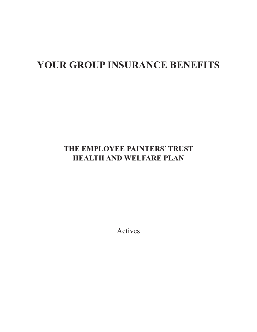# **YOUR GROUP INSURANCE BENEFITS**

## **THE EMPLOYEE PAINTERS' TRUST HEALTH AND WELFARE PLAN**

Actives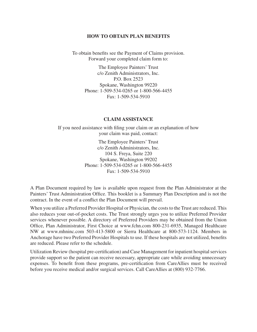#### **HOW TO OBTAIN PLAN BENEFITS**

To obtain benefits see the Payment of Claims provision. Forward your completed claim form to:

> The Employee Painters' Trust c/o Zenith Administrators, Inc. P.O. Box 2523 Spokane, Washington 99220 Phone: 1-509-534-0265 or 1-800-566-4455 Fax: 1-509-534-5910

#### **CLAIM ASSISTANCE**

If you need assistance with filing your claim or an explanation of how your claim was paid, contact:

> The Employee Painters' Trust c/o Zenith Administrators, Inc. 104 S. Freya, Suite 220 Spokane, Washington 99202 Phone: 1-509-534-0265 or 1-800-566-4455 Fax: 1-509-534-5910

A Plan Document required by law is available upon request from the Plan Administrator at the Painters' Trust Administration Ofice. This booklet is a Summary Plan Description and is not the contract. In the event of a conflict the Plan Document will prevail.

When you utilize a Preferred Provider Hospital or Physician, the costs to the Trust are reduced. This also reduces your out-of-pocket costs. The Trust strongly urges you to utilize Preferred Provider services whenever possible. A directory of Preferred Providers may be obtained from the Union Ofice, Plan Administrator, First Choice at www.fchn.com 800-231-6935, Managed Healthcare NW at www.mhninc.com 503-413-5800 or Sierra Healthcare at 800-573-1124. Members in Anchorage have two Preferred Provider Hospitals to use. If these hospitals are not utilized, benefits are reduced. Please refer to the schedule.

Utilization Review (hospital pre-certiication) and Case Management for inpatient hospital services provide support so the patient can receive necessary, appropriate care while avoiding unnecessary expenses. To benefit from these programs, pre-certification from CareAllies must be received before you receive medical and/or surgical services. Call CareAllies at (800) 932-7766.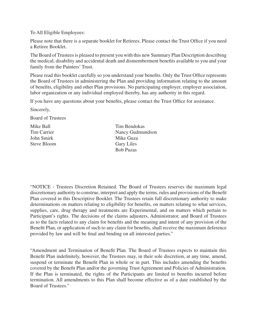To All Eligible Employees:

Please note that there is a separate booklet for Retirees. Please contact the Trust Ofice if you need a Retiree Booklet.

The Board of Trustees is pleased to present you with this new Summary Plan Description describing the medical, disability and accidental death and dismemberment benefits available to you and your family from the Painters' Trust.

Please read this booklet carefully so you understand your benefits. Only the Trust Office represents the Board of Trustees in administering the Plan and providing information relating to the amount of benefits, eligibility and other Plan provisions. No participating employer, employer association, labor organization or any individual employed thereby, has any authority in this regard.

If you have any questions about your benefits, please contact the Trust Office for assistance.

Sincerely,

Board of Trustees

John Smirk Mike Guza Steve Bloom Gary Liles

Mike Ball Tim Bendokas Tim Carrier Nancy Gudmundson Bob Puzas

"NOTICE - Trustees Discretion Retained. The Board of Trustees reserves the maximum legal discretionary authority to construe, interpret and apply the terms, rules and provisions of the Benefit Plan covered in this Descriptive Booklet. The Trustees retain full discretionary authority to make determinations on matters relating to eligibility for benefits, on matters relating to what services, supplies, care, drug therapy and treatments are Experimental, and on matters which pertain to Participant's rights. The decisions of the claims adjusters, Administrator, and Board of Trustees as to the facts related to any claim for benefits and the meaning and intent of any provision of the Benefit Plan, or application of such to any claim for benefits, shall receive the maximum deference provided by law and will be final and binding on all interested parties."

"Amendment and Termination of Benefit Plan. The Board of Trustees expects to maintain this Benefit Plan indefinitely, however, the Trustees may, in their sole discretion, at any time, amend, suspend or terminate the Benefit Plan in whole or in part. This includes amending the benefits covered by the Benefit Plan and/or the governing Trust Agreement and Policies of Administration. If the Plan is terminated, the rights of the Participants are limited to benefits incurred before termination. All amendments to this Plan shall become effective as of a date established by the Board of Trustees."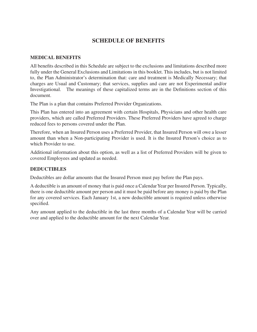## **SCHEDULE OF BENEFITS**

#### **MEDICAL BENEFITS**

All benefits described in this Schedule are subject to the exclusions and limitations described more fully under the General Exclusions and Limitations in this booklet. This includes, but is not limited to, the Plan Administrator's determination that: care and treatment is Medically Necessary; that charges are Usual and Customary; that services, supplies and care are not Experimental and/or Investigational. The meanings of these capitalized terms are in the Definitions section of this document.

The Plan is a plan that contains Preferred Provider Organizations.

This Plan has entered into an agreement with certain Hospitals, Physicians and other health care providers, which are called Preferred Providers. These Preferred Providers have agreed to charge reduced fees to persons covered under the Plan.

Therefore, when an Insured Person uses a Preferred Provider, that Insured Person will owe a lesser amount than when a Non-participating Provider is used. It is the Insured Person's choice as to which Provider to use.

Additional information about this option, as well as a list of Preferred Providers will be given to covered Employees and updated as needed.

#### **DEDUCTIBLES**

Deductibles are dollar amounts that the Insured Person must pay before the Plan pays.

A deductible is an amount of money that is paid once a Calendar Year per Insured Person. Typically, there is one deductible amount per person and it must be paid before any money is paid by the Plan for any covered services. Each January 1st, a new deductible amount is required unless otherwise specified.

Any amount applied to the deductible in the last three months of a Calendar Year will be carried over and applied to the deductible amount for the next Calendar Year.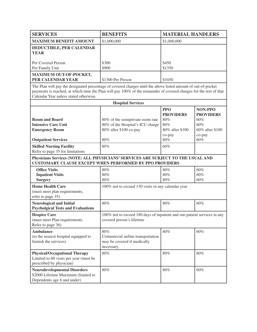| <b>SERVICES</b>                                                      | <b>BENEFITS</b>   | <b>MATERIAL HANDLERS</b> |
|----------------------------------------------------------------------|-------------------|--------------------------|
| <b>MAXIMUM BENEFIT AMOUNT</b>                                        | \$1,000,000       | \$1,000,000              |
| <b>DEDUCTIBLE, PER CALENDAR</b><br><b>YEAR</b><br>Per Covered Person | \$300             | \$450                    |
| Per Family Unit                                                      | \$900             | \$1350                   |
| <b>MAXIMUM OUT-OF-POCKET,</b><br><b>PER CALENDAR YEAR</b>            | \$1300 Per Person | \$3450                   |

The Plan will pay the designated percentage of covered charges until the above listed amount of out-of-pocket payments is reached, at which time the Plan will pay 100% of the remainder of covered charges for the rest of that Calendar Year unless stated otherwise.

| <b>Hospital Services</b>                                                                                                                           |                                                                                                       |                                         |                                         |
|----------------------------------------------------------------------------------------------------------------------------------------------------|-------------------------------------------------------------------------------------------------------|-----------------------------------------|-----------------------------------------|
|                                                                                                                                                    |                                                                                                       | <b>PPO</b><br><b>PROVIDERS</b>          | NON-PPO<br><b>PROVIDERS</b>             |
| <b>Room and Board</b><br><b>Intensive Care Unit</b><br><b>Emergency Room</b>                                                                       | 80% of the semiprivate room rate<br>80% of the Hospital's ICU charge<br>80% after \$100 co-pay        | 80%<br>80%<br>80% after \$100<br>co-pay | 60%<br>60%<br>60% after \$100<br>co-pay |
| <b>Outpatient Services</b>                                                                                                                         | 80%                                                                                                   | 80%                                     | 60%                                     |
| <b>Skilled Nursing Facility</b><br>Refer to page 35 for limitations                                                                                | 80%                                                                                                   | 60%                                     |                                         |
| Physicians Services (NOTE: ALL PHYSICIANS' SERVICES ARE SUBJECT TO THE USUAL AND<br><b>CUSTOMARY CLAUSE EXCEPT WHEN PERFORMED BY PPO PROVIDERS</b> |                                                                                                       |                                         |                                         |
| <b>Office Visits</b><br><b>Inpatient Visits</b><br><b>Surgery</b>                                                                                  | 80%<br>80%<br>80%                                                                                     | 80%<br>80%<br>$80\%$                    | 60%<br>60%<br>60%                       |
| <b>Home Health Care</b><br>(must meet plan requirements,<br>refer to page 35)                                                                      | 100% not to exceed 130 visits in any calendar year                                                    |                                         |                                         |
| <b>Neurological and Initial</b><br><b>Psycholgical Tests and Evaluations</b>                                                                       | 80%                                                                                                   | 80%                                     | 60%                                     |
| <b>Hospice Care</b><br>(must meet Plan requirements.<br>Refer to page 36)                                                                          | 100% not to exceed 180 days of inpatient and out-patient services in any<br>covered person's lifetime |                                         |                                         |
| <b>Ambulance</b><br>(to the nearest hospital equipped to<br>furnish the services)                                                                  | 80%<br>Commercial airline transportation<br>may be covered if medically<br>necessary.                 | 80%                                     | 60%                                     |
| <b>Physical/Occupational Therapy</b><br>Limited to 60 visits per year (must be<br>prescribed by physician)                                         | 80%                                                                                                   | 80%                                     | 60%                                     |
| <b>Neurodevelopmental Disorders</b><br>\$2000 Lifetime Maximum (limited to<br>Dependents age 6 and under)                                          | 80%                                                                                                   | 80%                                     | 60%                                     |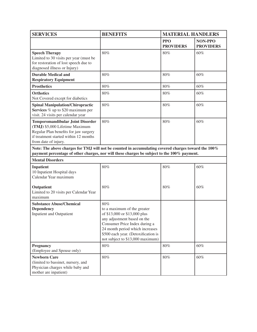| <b>SERVICES</b>                                                                                                                                                                                    | <b>BENEFITS</b><br><b>MATERIAL HANDLERS</b>                                                                                                                                                                                                      |                                |                             |
|----------------------------------------------------------------------------------------------------------------------------------------------------------------------------------------------------|--------------------------------------------------------------------------------------------------------------------------------------------------------------------------------------------------------------------------------------------------|--------------------------------|-----------------------------|
|                                                                                                                                                                                                    |                                                                                                                                                                                                                                                  | <b>PPO</b><br><b>PROVIDERS</b> | NON-PPO<br><b>PROVIDERS</b> |
| <b>Speech Therapy</b><br>Limited to 30 visits per year (must be<br>for restoration of lost speech due to<br>diagnosed illness or Injury)                                                           | 80%                                                                                                                                                                                                                                              | 80%                            | 60%                         |
| <b>Durable Medical and</b><br><b>Respiratory Equipment</b>                                                                                                                                         | 80%                                                                                                                                                                                                                                              | 80%                            | 60%                         |
| <b>Prosthetics</b>                                                                                                                                                                                 | 80%                                                                                                                                                                                                                                              | 80%                            | 60%                         |
| <b>Orthotics</b><br>Not Covered except for diabetics                                                                                                                                               | 80%                                                                                                                                                                                                                                              | 80%                            | 60%                         |
| <b>Spinal Manipulation/Chiropractic</b><br>Services % up to \$20 maximum per<br>visit. 24 visits per calendar year                                                                                 | 80%                                                                                                                                                                                                                                              | 80%                            | 60%                         |
| <b>Temporomandibular Joint Disorder</b><br>(TMJ) \$5,000 Lifetime Maximum<br>Regular Plan benefits for jaw surgery<br>if treatment started within 12 months<br>from date of injury.                | 80%                                                                                                                                                                                                                                              | 80%                            | 60%                         |
| Note: The above charges for TMJ will not be counted in accumulating covered charges toward the 100%<br>payment percentage of other charges, nor will these charges be subject to the 100% payment. |                                                                                                                                                                                                                                                  |                                |                             |
| <b>Mental Disorders</b>                                                                                                                                                                            |                                                                                                                                                                                                                                                  |                                |                             |
| <b>Inpatient</b><br>10 Inpatient Hospital days<br>Calendar Year maximum                                                                                                                            | 80%                                                                                                                                                                                                                                              | 80%                            | 60%                         |
| Outpatient<br>Limited to 20 visits per Calendar Year<br>maximum                                                                                                                                    | 80%                                                                                                                                                                                                                                              | 80%                            | 60%                         |
| <b>Substance Abuse/Chemical</b><br><b>Dependency</b><br><b>Inpatient and Outpatient</b>                                                                                                            | 80%<br>to a maximum of the greater<br>of \$13,000 or \$13,000 plus<br>any adjustment based on the<br>Consumer Price Index during a<br>24 month period which increases<br>\$500 each year. (Detoxification is<br>not subject to \$13,000 maximum) |                                |                             |
| Pregnancy<br>(Employee and Spouse only)                                                                                                                                                            | $80\%$                                                                                                                                                                                                                                           | $80\%$                         | $60\%$                      |
| <b>Newborn Care</b><br>(limited to bassinet, nursery, and<br>Physician charges while baby and<br>mother are inpatient)                                                                             | $80\%$                                                                                                                                                                                                                                           | $80\%$                         | 60%                         |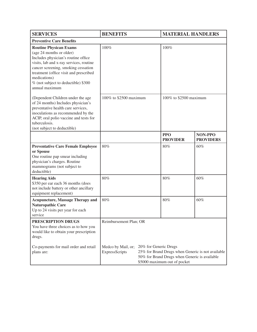| <b>SERVICES</b>                                                                                                                                                                                                                                                                                       | <b>BENEFITS</b>                      |                       | <b>MATERIAL HANDLERS</b>                                                                                                           |                             |
|-------------------------------------------------------------------------------------------------------------------------------------------------------------------------------------------------------------------------------------------------------------------------------------------------------|--------------------------------------|-----------------------|------------------------------------------------------------------------------------------------------------------------------------|-----------------------------|
| <b>Preventive Care Benefits</b>                                                                                                                                                                                                                                                                       |                                      |                       |                                                                                                                                    |                             |
| <b>Routine Physican Exams</b><br>(age 24 months or older)<br>Includes physician's routine office<br>visits, lab and x-ray services, routine<br>cancer screening, smoking cessation<br>treatment (office visit and prescribed<br>medications)<br>% (not subject to deductible) \$300<br>annual maximum | 100%                                 |                       | 100%                                                                                                                               |                             |
| (Dependent Children under the age<br>of 24 months) Includes physician's<br>preventative health care services,<br>inoculations as recommended by the<br>ACIP, oral polio vaccine and tests for<br>tuberculosis.<br>(not subject to deductible)                                                         | 100% to \$2500 maximum               |                       | 100% to \$2500 maximum                                                                                                             |                             |
|                                                                                                                                                                                                                                                                                                       |                                      |                       | <b>PPO</b><br><b>PROVIDER</b>                                                                                                      | NON-PPO<br><b>PROVIDERS</b> |
| <b>Preventative Care Female Employee</b><br>or Spouse<br>One routine pap smear including<br>physician's charges. Routine<br>mammograms (not subject to<br>deductible)                                                                                                                                 | 80%                                  |                       | 80%                                                                                                                                | 60%                         |
| <b>Hearing Aids</b><br>\$350 per ear each 36 months (does<br>not include battery or other ancillary<br>equipment replacement)                                                                                                                                                                         | 80%                                  |                       | 80%                                                                                                                                | 60%                         |
| <b>Acupuncture, Massage Therapy and</b><br><b>Naturopathic Care</b><br>Up to 24 visits per year for each<br>service                                                                                                                                                                                   | 80%                                  |                       | 80%                                                                                                                                | 60%                         |
| PRESCRIPTION DRUGS<br>You have three choices as to how you<br>would like to obtain your prescription<br>drugs.                                                                                                                                                                                        | Reimbursement Plan; OR               |                       |                                                                                                                                    |                             |
| Co-payments for mail order and retail<br>plans are:                                                                                                                                                                                                                                                   | Medco by Mail, or;<br>ExpressScripts | 20% for Generic Drugs | 25% for Brand Drugs when Generic is not available<br>50% for Brand Drugs when Generic is available<br>\$5000 maximum out of pocket |                             |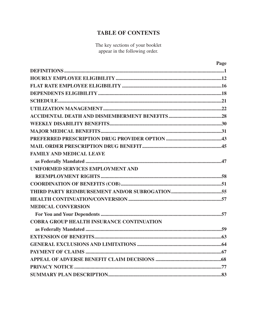## **TABLE OF CONTENTS**

The key sections of your booklet appear in the following order.

| Page                                             |
|--------------------------------------------------|
|                                                  |
|                                                  |
|                                                  |
|                                                  |
|                                                  |
|                                                  |
|                                                  |
|                                                  |
|                                                  |
|                                                  |
|                                                  |
| <b>FAMILY AND MEDICAL LEAVE</b>                  |
|                                                  |
| UNIFORMED SERVICES EMPLOYMENT AND                |
|                                                  |
|                                                  |
|                                                  |
|                                                  |
| <b>MEDICAL CONVERSION</b>                        |
|                                                  |
| <b>COBRA GROUP HEALTH INSURANCE CONTINUATION</b> |
|                                                  |
|                                                  |
|                                                  |
|                                                  |
|                                                  |
|                                                  |
|                                                  |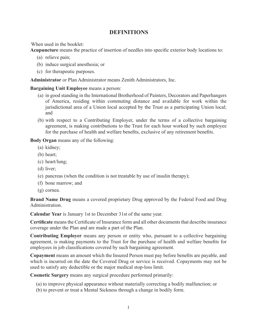## **DEFINITIONS**

When used in the booklet:

Acupuncture means the practice of insertion of needles into specific exterior body locations to:

- (a) relieve pain;
- (b) induce surgical anesthesia; or
- (c) for therapeutic purposes.

**Administrator** or Plan Administrator means Zenith Administrators, Inc.

#### **Bargaining Unit Employee** means a person:

- (a) in good standing in the International Brotherhood of Painters, Decorators and Paperhangers of America, residing within commuting distance and available for work within the jurisdictional area of a Union local accepted by the Trust as a participating Union local; and
- (b) with respect to a Contributing Employer, under the terms of a collective bargaining agreement, is making contributions to the Trust for each hour worked by such employee for the purchase of health and welfare benefits, exclusive of any retirement benefits.

**Body Organ** means any of the following:

- (a) kidney;
- (b) heart;
- (c) heart/lung;
- (d) liver;
- (e) pancreas (when the condition is not treatable by use of insulin therapy);
- (f) bone marrow; and
- (g) cornea.

**Brand Name Drug** means a covered proprietary Drug approved by the Federal Food and Drug Administration.

**Calendar Year** is January 1st to December 31st of the same year.

**Certiicate** means the Certiicate of Insurance form and all other documents that describe insurance coverage under the Plan and are made a part of the Plan.

**Contributing Employer** means any person or entity who, pursuant to a collective bargaining agreement, is making payments to the Trust for the purchase of health and welfare benefits for employees in job classifications covered by such bargaining agreement.

**Copayment** means an amount which the Insured Person must pay before benefits are payable, and which is incurred on the date the Covered Drug or service is received. Copayments may not be used to satisfy any deductible or the major medical stop-loss limit.

**Cosmetic Surgery** means any surgical procedure performed primarily:

- (a) to improve physical appearance without materially correcting a bodily malfunction; or
- (b) to prevent or treat a Mental Sickness through a change in bodily form.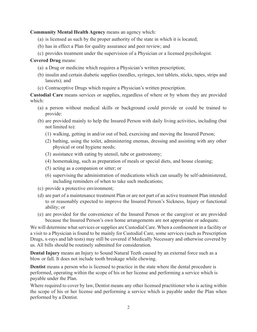**Community Mental Health Agency** means an agency which:

- (a) is licensed as such by the proper authority of the state in which it is located;
- (b) has in effect a Plan for quality assurance and peer review; and
- (c) provides treatment under the supervision of a Physician or a licensed psychologist.

## **Covered Drug** means:

- (a) a Drug or medicine which requires a Physician's written prescription;
- (b) insulin and certain diabetic supplies (needles, syringes, test tablets, sticks, tapes, strips and lancets); and
- (c) Contraceptive Drugs which require a Physician's written prescription.

**Custodial Care** means services or supplies, regardless of where or by whom they are provided which:

- (a) a person without medical skills or background could provide or could be trained to provide:
- (b) are provided mainly to help the Insured Person with daily living activities, including (but not limited to):
	- (1) walking, getting in and/or out of bed, exercising and moving the Insured Person;
	- (2) bathing, using the toilet, administering enemas, dressing and assisting with any other physical or oral hygiene needs;
	- (3) assistance with eating by utensil, tube or gastrostomy;
	- (4) homemaking, such as preparation of meals or special diets, and house cleaning;
	- (5) acting as a companion or sitter; or
	- (6) supervising the administration of medications which can usually be self-administered, including reminders of when to take such medications;
- (c) provide a protective environment;
- (d) are part of a maintenance treatment Plan or are not part of an active treatment Plan intended to or reasonably expected to improve the Insured Person's Sickness, Injury or functional ability; or
- (e) are provided for the convenience of the Insured Person or the caregiver or are provided because the Insured Person's own home arrangements are not appropriate or adequate.

We will determine what services or supplies are Custodial Care. When a confinement in a facility or a visit to a Physician is found to be mainly for Custodial Care, some services (such as Prescription Drugs, x-rays and lab tests) may still be covered if Medically Necessary and otherwise covered by us. All bills should be routinely submitted for consideration.

**Dental Injury** means an Injury to Sound Natural Teeth caused by an external force such as a blow or fall. It does not include tooth breakage while chewing.

**Dentist** means a person who is licensed to practice in the state where the dental procedure is performed, operating within the scope of his or her license and performing a service which is payable under the Plan.

Where required to cover by law, Dentist means any other licensed practitioner who is acting within the scope of his or her license and performing a service which is payable under the Plan when performed by a Dentist.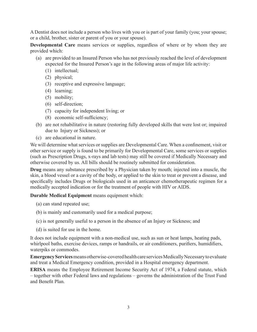A Dentist does not include a person who lives with you or is part of your family (you; your spouse; or a child, brother, sister or parent of you or your spouse).

**Developmental Care** means services or supplies, regardless of where or by whom they are provided which:

- (a) are provided to an Insured Person who has not previously reached the level of development expected for the Insured Person's age in the following areas of major life activity:
	- (1) intellectual;
	- (2) physical;
	- (3) receptive and expressive language;
	- (4) learning;
	- (5) mobility;
	- (6) self-direction;
	- (7) capacity for independent living; or
	- (8) economic self-suficiency;
- (b) are not rehabilitative in nature (restoring fully developed skills that were lost or; impaired due to Injury or Sickness); or
- (c) are educational in nature.

We will determine what services or supplies are Developmental Care. When a confinement, visit or other service or supply is found to be primarily for Developmental Care, some services or supplies (such as Prescription Drugs, x-rays and lab tests) may still be covered if Medically Necessary and otherwise covered by us. All bills should be routinely submitted for consideration.

**Drug** means any substance prescribed by a Physician taken by mouth; injected into a muscle, the skin, a blood vessel or a cavity of the body, or applied to the skin to treat or prevent a disease, and specifically includes Drugs or biologicals used in an anticancer chemotherapeutic regimen for a medically accepted indication or for the treatment of people with HIV or AIDS.

**Durable Medical Equipment** means equipment which:

- (a) can stand repeated use;
- (b) is mainly and customarily used for a medical purpose;
- (c) is not generally useful to a person in the absence of an Injury or Sickness; and
- (d) is suited for use in the home.

It does not include equipment with a non-medical use, such as sun or heat lamps, heating pads, whirlpool baths, exercise devices, ramps or handrails, or air conditioners, purifiers, humidifiers, waterpiks or commodes.

**Emergency Services** means otherwise-covered health care services Medically Necessary to evaluate and treat a Medical Emergency condition, provided in a Hospital emergency department.

**ERISA** means the Employee Retirement Income Security Act of 1974, a Federal statute, which – together with other Federal laws and regulations – governs the administration of the Trust Fund and Benefit Plan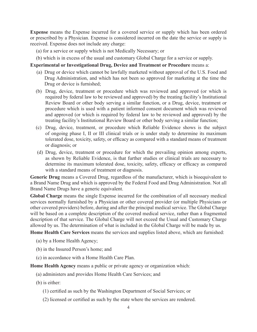**Expense** means the Expense incurred for a covered service or supply which has been ordered or prescribed by a Physician. Expense is considered incurred on the date the service or supply is received. Expense does not include any charge:

- (a) for a service or supply which is not Medically Necessary; or
- (b) which is in excess of the usual and customary Global Charge for a service or supply.

#### **Experimental or Investigational Drug, Device and Treatment or Procedure** means a:

- (a) Drug or device which cannot be lawfully marketed without approval of the U.S. Food and Drug Administration, and which has not been so approved for marketing at the time the Drug or device is furnished;
- (b) Drug, device, treatment or procedure which was reviewed and approved (or which is required by federal law to be reviewed and approved) by the treating facility's Institutional Review Board or other body serving a similar function, or a Drug, device, treatment or procedure which is used with a patient informed consent document which was reviewed and approved (or which is required by federal law to be reviewed and approved) by the treating facility's Institutional Review Board or other body serving a similar function;
- (c) Drug, device, treatment, or procedure which Reliable Evidence shows is the subject of ongoing phase I, II or III clinical trials or is under study to determine its maximum tolerated dose, toxicity, safety, or eficacy as compared with a standard means of treatment or diagnosis; or
- (d) Drug, device, treatment or procedure for which the prevailing opinion among experts, as shown by Reliable Evidence, is that further studies or clinical trials are necessary to determine its maximum tolerated dose, toxicity, safety, eficacy or eficacy as compared with a standard means of treatment or diagnosis.

**Generic Drug** means a Covered Drug, regardless of the manufacturer, which is bioequivalent to a Brand Name Drug and which is approved by the Federal Food and Drug Administration. Not all Brand Name Drugs have a generic equivalent.

**Global Charge** means the single Expense incurred for the combination of all necessary medical services normally furnished by a Physician or other covered provider (or multiple Physicians or other covered providers) before, during and after the principal medical service. The Global Charge will be based on a complete description of the covered medical service, rather than a fragmented description of that service. The Global Charge will not exceed the Usual and Customary Charge allowed by us. The determination of what is included in the Global Charge will be made by us.

**Home Health Care Services** means the services and supplies listed above, which are furnished:

- (a) by a Home Health Agency;
- (b) in the Insured Person's home; and
- (c) in accordance with a Home Health Care Plan.

**Home Health Agency** means a public or private agency or organization which:

- (a) administers and provides Home Health Care Services; and
- (b) is either:
	- (1) certiied as such by the Washington Department of Social Services; or
	- (2) licensed or certiied as such by the state where the services are rendered.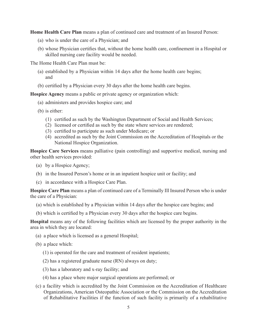**Home Health Care Plan** means a plan of continued care and treatment of an Insured Person:

- (a) who is under the care of a Physician; and
- (b) whose Physician certiies that, without the home health care, coninement in a Hospital or skilled nursing care facility would be needed.

The Home Health Care Plan must be:

- (a) established by a Physician within 14 days after the home health care begins; and
- (b) certified by a Physician every 30 days after the home health care begins.

**Hospice Agency** means a public or private agency or organization which:

- (a) administers and provides hospice care; and
- (b) is either:
	- (1) certiied as such by the Washington Department of Social and Health Services;
	- (2) licensed or certiied as such by the state where services are rendered;
	- (3) certiied to participate as such under Medicare; or
	- (4) accredited as such by the Joint Commission on the Accreditation of Hospitals or the National Hospice Organization.

**Hospice Care Services** means palliative (pain controlling) and supportive medical, nursing and other health services provided:

- (a) by a Hospice Agency;
- (b) in the Insured Person's home or in an inpatient hospice unit or facility; and
- (c) in accordance with a Hospice Care Plan.

**Hospice Care Plan** means a plan of continued care of a Terminally Ill Insured Person who is under the care of a Physician:

- (a) which is established by a Physician within 14 days after the hospice care begins; and
- (b) which is certiied by a Physician every 30 days after the hospice care begins.

**Hospital** means any of the following facilities which are licensed by the proper authority in the area in which they are located:

- (a) a place which is licensed as a general Hospital;
- (b) a place which:
	- (1) is operated for the care and treatment of resident inpatients;
	- (2) has a registered graduate nurse (RN) always on duty;
	- (3) has a laboratory and x-ray facility; and
	- (4) has a place where major surgical operations are performed; or
- (c) a facility which is accredited by the Joint Commission on the Accreditation of Healthcare Organizations, American Osteopathic Association or the Commission on the Accreditation of Rehabilitative Facilities if the function of such facility is primarily of a rehabilitative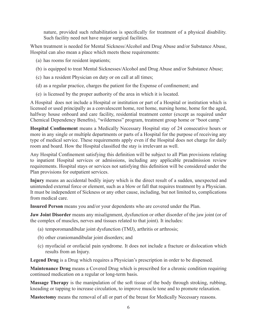nature, provided such rehabilitation is specifically for treatment of a physical disability. Such facility need not have major surgical facilities.

When treatment is needed for Mental Sickness/Alcohol and Drug Abuse and/or Substance Abuse, Hospital can also mean a place which meets these requirements:

- (a) has rooms for resident inpatients;
- (b) is equipped to treat Mental Sicknesses/Alcohol and Drug Abuse and/or Substance Abuse;
- (c) has a resident Physician on duty or on call at all times;
- (d) as a regular practice, charges the patient for the Expense of coninement; and
- (e) is licensed by the proper authority of the area in which it is located.

A Hospital does not include a Hospital or institution or part of a Hospital or institution which is licensed or used principally as a convalescent home, rest home, nursing home, home for the aged, halfway house onboard and care facility, residential treatment center (except as required under Chemical Dependency Benefits), "wilderness" program, treatment group home or "boot camp."

**Hospital Confinement** means a Medically Necessary Hospital stay of 24 consecutive hours or more in any single or multiple departments or parts of a Hospital for the purpose of receiving any type of medical service. These requirements apply even if the Hospital does not charge for daily room and board. How the Hospital classified the stay is irrelevant as well.

Any Hospital Confinement satisfying this definition will be subject to all Plan provisions relating to inpatient Hospital services or admissions, including any applicable preadmission review requirements. Hospital stays or services not satisfying this definition will be considered under the Plan provisions for outpatient services.

**Injury** means an accidental bodily injury which is the direct result of a sudden, unexpected and unintended external force or element, such as a blow or fall that requires treatment by a Physician. It must be independent of Sickness or any other cause, including, but not limited to, complications from medical care.

**Insured Person** means you and/or your dependents who are covered under the Plan.

**Jaw Joint Disorder** means any misalignment, dysfunction or other disorder of the jaw joint (or of the complex of muscles, nerves and tissues related to that joint). It includes:

- (a) temporomandibular joint dysfunction (TMJ), arthritis or arthrosis;
- (b) other craniomandibular joint disorders; and
- (c) myofacial or orofacial pain syndrome. It does not include a fracture or dislocation which results from an Injury.

**Legend Drug** is a Drug which requires a Physician's prescription in order to be dispensed.

**Maintenance Drug** means a Covered Drug which is prescribed for a chronic condition requiring continued medication on a regular or long-term basis.

**Massage Therapy** is the manipulation of the soft tissue of the body through stroking, rubbing, kneading or tapping to increase circulation, to improve muscle tone and to promote relaxation.

**Mastectomy** means the removal of all or part of the breast for Medically Necessary reasons.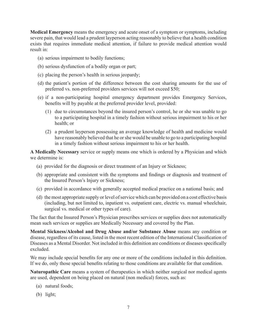**Medical Emergency** means the emergency and acute onset of a symptom or symptoms, including severe pain, that would lead a prudent layperson acting reasonably to believe that a health condition exists that requires immediate medical attention, if failure to provide medical attention would result in:

- (a) serious impairment to bodily functions;
- (b) serious dysfunction of a bodily organ or part;
- (c) placing the person's health in serious jeopardy;
- (d) the patient's portion of the difference between the cost sharing amounts for the use of preferred vs. non-preferred providers services will not exceed \$50;
- (e) if a non-participating hospital emergency department provides Emergency Services, benefits will by payable at the preferred provider level, provided:
	- (1) due to circumstances beyond the insured person's control, he or she was unable to go to a participating hospital in a timely fashion without serious impairment to his or her health; or
	- (2) a prudent layperson possessing an average knowledge of health and medicine would have reasonably believed that he or she would be unable to go to a participating hospital in a timely fashion without serious impairment to his or her health.

**A Medically Necessary** service or supply means one which is ordered by a Physician and which we determine is:

- (a) provided for the diagnosis or direct treatment of an Injury or Sickness;
- (b) appropriate and consistent with the symptoms and indings or diagnosis and treatment of the Insured Person's Injury or Sickness;
- (c) provided in accordance with generally accepted medical practice on a national basis; and
- (d) the most appropriate supply or level of service which can be provided on a cost effective basis (including, but not limited to, inpatient vs. outpatient care, electric vs. manual wheelchair, surgical vs. medical or other types of care).

The fact that the Insured Person's Physician prescribes services or supplies does not automatically mean such services or supplies are Medically Necessary and covered by the Plan.

**Mental Sickness/Alcohol and Drug Abuse and/or Substance Abuse** means any condition or disease, regardless of its cause, listed in the most recent edition of the International Classification of Diseases as a Mental Disorder. Not included in this definition are conditions or diseases specifically excluded.

We may include special benefits for any one or more of the conditions included in this definition. If we do, only those special benefits relating to those conditions are available for that condition.

**Naturopathic Care** means a system of therapeutics in which neither surgical nor medical agents are used, dependent on being placed on natural (non medical) forces, such as:

- (a) natural foods;
- (b) light;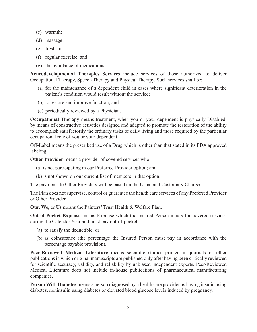- (c) warmth;
- (d) massage;
- (e) fresh air;
- (f) regular exercise; and
- (g) the avoidance of medications.

**Neurodevelopmental Therapies Services** include services of those authorized to deliver Occupational Therapy, Speech Therapy and Physical Therapy. Such services shall be:

- (a) for the maintenance of a dependent child in cases where signiicant deterioration in the patient's condition would result without the service;
- (b) to restore and improve function; and
- (c) periodically reviewed by a Physician.

**Occupational Therapy** means treatment, when you or your dependent is physically Disabled, by means of constructive activities designed and adapted to promote the restoration of the ability to accomplish satisfactorily the ordinary tasks of daily living and those required by the particular occupational role of you or your dependent.

Off-Label means the prescribed use of a Drug which is other than that stated in its FDA approved labeling.

**Other Provider** means a provider of covered services who:

- (a) is not participating in our Preferred Provider option; and
- (b) is not shown on our current list of members in that option.

The payments to Other Providers will be based on the Usual and Customary Charges.

The Plan does not supervise, control or guarantee the health care services of any Preferred Provider or Other Provider.

**Our, We,** or **Us** means the Painters' Trust Health & Welfare Plan.

**Out-of-Pocket Expense** means Expense which the Insured Person incurs for covered services during the Calendar Year and must pay out-of-pocket:

- (a) to satisfy the deductible; or
- (b) as coinsurance (the percentage the Insured Person must pay in accordance with the percentage payable provision).

Peer-Reviewed Medical Literature means scientific studies printed in journals or other publications in which original manuscripts are published only after having been critically reviewed for scientific accuracy, validity, and reliability by unbiased independent experts. Peer-Reviewed Medical Literature does not include in-house publications of pharmaceutical manufacturing companies.

**Person With Diabetes** means a person diagnosed by a health care provider as having insulin using diabetes, noninsulin using diabetes or elevated blood glucose levels induced by pregnancy.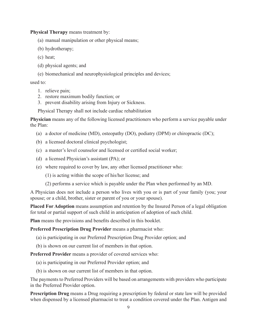**Physical Therapy** means treatment by:

- (a) manual manipulation or other physical means;
- (b) hydrotherapy;
- (c) heat;
- (d) physical agents; and
- (e) biomechanical and neurophysiological principles and devices;

used to:

- 1. relieve pain;
- 2. restore maximum bodily function; or
- 3. prevent disability arising from Injury or Sickness.

Physical Therapy shall not include cardiac rehabilitation

**Physician** means any of the following licensed practitioners who perform a service payable under the Plan:

- (a) a doctor of medicine (MD), osteopathy (DO), podiatry (DPM) or chiropractic (DC);
- (b) a licensed doctoral clinical psychologist;
- (c) a master's level counselor and licensed or certified social worker;
- (d) a licensed Physician's assistant (PA); or
- (e) where required to cover by law, any other licensed practitioner who:
	- (1) is acting within the scope of his/her license; and
	- (2) performs a service which is payable under the Plan when performed by an MD.

A Physician does not include a person who lives with you or is part of your family (you; your spouse; or a child, brother, sister or parent of you or your spouse).

**Placed For Adoption** means assumption and retention by the Insured Person of a legal obligation for total or partial support of such child in anticipation of adoption of such child.

Plan means the provisions and benefits described in this booklet.

**Preferred Prescription Drug Provider** means a pharmacist who:

- (a) is participating in our Preferred Prescription Drug Provider option; and
- (b) is shown on our current list of members in that option.

**Preferred Provider** means a provider of covered services who:

- (a) is participating in our Preferred Provider option; and
- (b) is shown on our current list of members in that option.

The payments to Preferred Providers will be based on arrangements with providers who participate in the Preferred Provider option.

**Prescription Drug** means a Drug requiring a prescription by federal or state law will be provided when dispensed by a licensed pharmacist to treat a condition covered under the Plan. Antigen and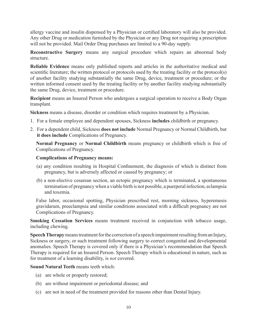allergy vaccine and insulin dispensed by a Physician or certified laboratory will also be provided. Any other Drug or medication furnished by the Physician or any Drug not requiring a prescription will not be provided. Mail Order Drug purchases are limited to a 90-day supply.

**Reconstructive Surgery** means any surgical procedure which repairs an abnormal body structure.

**Reliable Evidence** means only published reports and articles in the authoritative medical and scientific literature; the written protocol or protocols used by the treating facility or the protocol(s) of another facility studying substantially the same Drug, device, treatment or procedure; or the written informed consent used by the treating facility or by another facility studying substantially the same Drug, device, treatment or procedure.

**Recipient** means an Insured Person who undergoes a surgical operation to receive a Body Organ transplant.

**Sickness** means a disease, disorder or condition which requires treatment by a Physician.

- 1. For a female employee and dependent spouses, Sickness **includes** childbirth or pregnancy.
- 2. For a dependent child, Sickness **does not include** Normal Pregnancy or Normal Childbirth, but **it does include** Complications of Pregnancy.

**Normal Pregnancy** or **Normal Childbirth** means pregnancy or childbirth which is free of Complications of Pregnancy.

#### **Complications of Pregnancy means:**

- (a) any condition resulting in Hospital Coninement, the diagnosis of which is distinct from pregnancy, but is adversely affected or caused by pregnancy; or
- (b) a non-elective cesarean section, an ectopic pregnancy which is terminated, a spontaneous termination of pregnancy when a viable birth is not possible, a puerperal infection, eclampsia and toxemia.

False labor, occasional spotting, Physician prescribed rest, morning sickness, hyperemesis gravidarum, preeclampsia and similar conditions associated with a dificult pregnancy are not Complications of Pregnancy.

**Smoking Cessation Services** means treatment received in conjunction with tobacco usage, including chewing.

**Speech Therapy** means treatment for the correction of a speech impairment resulting from an Injury, Sickness or surgery, or such treatment following surgery to correct congenital and developmental anomalies. Speech Therapy is covered only if there is a Physician's recommendation that Speech Therapy is required for an Insured Person. Speech Therapy which is educational in nature, such as for treatment of a learning disability, is *not* covered.

**Sound Natural Teeth** means teeth which:

- (a) are whole or properly restored;
- (b) are without impairment or periodontal disease; and
- (c) are not in need of the treatment provided for reasons other than Dental Injury.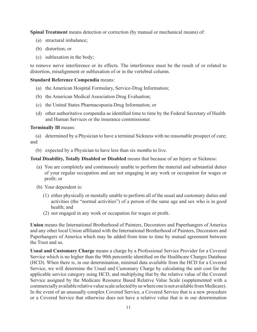**Spinal Treatment** means detection or correction (by manual or mechanical means) of:

- (a) structural imbalance;
- (b) distortion; or
- (c) subluxation in the body;

to remove nerve interference or its effects. The interference must be the result of or related to distortion, misalignment or subluxation of or in the vertebral column.

#### **Standard Reference Compendia** means:

- (a) the American Hospital Formulary, Service-Drug Information;
- (b) the American Medical Association Drug Evaluation;
- (c) the United States Pharmacopoeia-Drug Information; or
- (d) other authoritative compendia as identiied time to time by the Federal Secretary of Health and Human Services or the insurance commissioner.

#### **Terminally Ill** means:

(a) determined by a Physician to have a terminal Sickness with no reasonable prospect of cure; and

(b) expected by a Physician to have less than six months to live.

**Total Disability, Totally Disabled or Disabled** means that because of an Injury or Sickness:

- (a) You are completely and continuously unable to perform the material and substantial duties of your regular occupation and are not engaging in any work or occupation for wages or profit; or
- (b) Your dependent is:
	- (1) either physically or mentally unable to perform all of the usual and customary duties and activities (the "normal activities") of a person of the same age and sex who is in good health; and
	- (2) not engaged in any work or occupation for wages or profit.

**Union** means the International Brotherhood of Painters, Decorators and Paperhangers of America and any other local Union afiliated with the International Brotherhood of Painters, Decorators and Paperhangers of America which may be added from time to time by mutual agreement between the Trust and us.

**Usual and Customary Charge** means a charge by a Professional Service Provider for a Covered Service which is no higher than the 90th percentile identified on the Healthcare Charges Database (HCD). When there is, in our determination, minimal data available from the HCD for a Covered Service, we will determine the Usual and Customary Charge by calculating the unit cost for the applicable service category using HCD, and multiplying that by the relative value of the Covered Service assigned by the Medicare Resource Based Relative Value Scale (supplemented with a commercially available relative value scale selected by us where one is not available from Medicare). In the event of an unusually complex Covered Service, a Covered Service that is a new procedure or a Covered Service that otherwise does not have a relative value that is in our determination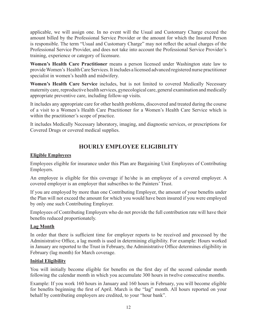applicable, we will assign one. In no event will the Usual and Customary Charge exceed the amount billed by the Professional Service Provider or the amount for which the Insured Person is responsible. The term "Usual and Customary Charge" may not relect the actual charges of the Professional Service Provider, and does not take into account the Professional Service Provider's training, experience or category of licensure.

**Women's Health Care Practitioner** means a person licensed under Washington state law to provide Women's Health Care Services. It includes a licensed advanced registered nurse practitioner specialist in women's health and midwifery.

**Women's Health Care Service** includes, but is not limited to covered Medically Necessary maternity care, reproductive health services, gynecological care, general examination and medically appropriate preventive care, including follow-up visits.

It includes any appropriate care for other health problems, discovered and treated during the course of a visit to a Women's Health Care Practitioner for a Women's Health Care Service which is within the practitioner's scope of practice.

It includes Medically Necessary laboratory, imaging, and diagnostic services, or prescriptions for Covered Drugs or covered medical supplies.

## **HOURLY EMPLOYEE ELIGIBILITY**

## **Eligible Employees**

Employees eligible for insurance under this Plan are Bargaining Unit Employees of Contributing Employers.

An employee is eligible for this coverage if he/she is an employee of a covered employer. A covered employer is an employer that subscribes to the Painters' Trust.

If you are employed by more than one Contributing Employer, the amount of your benefits under the Plan will not exceed the amount for which you would have been insured if you were employed by only one such Contributing Employer.

Employees of Contributing Employers who do not provide the full contribution rate will have their benefits reduced proportionately.

## **Lag Month**

In order that there is suficient time for employer reports to be received and processed by the Administrative Ofice, a lag month is used in determining eligibility. For example: Hours worked in January are reported to the Trust in February, the Administrative Ofice determines eligibility in February (lag month) for March coverage.

## **Initial Eligibility**

You will initially become eligible for benefits on the first day of the second calendar month following the calendar month in which you accumulate 300 hours in twelve consecutive months.

Example: If you work 160 hours in January and 160 hours in February, you will become eligible for benefits beginning the first of April. March is the "lag" month. All hours reported on your behalf by contributing employers are credited, to your "hour bank".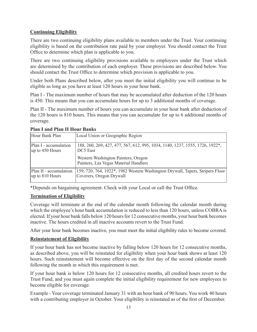## **Continuing Eligibility**

There are two continuing eligibility plans available to members under the Trust. Your continuing eligibility is based on the contribution rate paid by your employer. You should contact the Trust Ofice to determine which plan is applicable to you.

There are two continuing eligibility provisions available to employees under the Trust which are determined by the contribution of each employer. These provisions are described below. You should contact the Trust Ofice to determine which provision is applicable to you.

Under both Plans described below, after you meet the initial eligibility you will continue to be eligible as long as you have at least 120 hours in your hour bank.

Plan I - The maximum number of hours that may be accumulated after deduction of the 120 hours is 450. This means that you can accumulate hours for up to 3 additional months of coverage.

Plan II - The maximum number of hours you can accumulate in your hour bank after deduction of the 120 hours is 810 hours. This means that you can accumulate for up to 6 additional months of coverage.

| Hour Bank Plan         | Local Union or Geographic Region                                                          |
|------------------------|-------------------------------------------------------------------------------------------|
| Plan I - accumulation  | 188, 260, 269, 427, 477, 567, 612, 995, 1034, 1140, 1237, 1555, 1726, 1922 <sup>*</sup> , |
| up to 450 Hours        | DC5 East                                                                                  |
|                        | Western Washington Painters, Oregon<br>Painters, Las Vegas Material Handlers              |
| Plan II - accumulation | 159, 720, 764, 1922*, 1982 Western Washington Drywall, Tapers, Stripers Floor             |
| up to 810 Hours        | Coverers, Oregon Drywall                                                                  |

## **Plan I and Plan II Hour Banks**

\*Depends on bargaining agreement. Check with your Local or call the Trust Ofice.

## **Termination of Eligibility**

Coverage will terminate at the end of the calendar month following the calendar month during which the employee's hour bank accumulation is reduced to less than 120 hours, unless COBRA is elected. If your hour bank falls below 120 hours for 12 consecutive months, your hour bank becomes inactive. The hours credited in all inactive accounts revert to the Trust Fund.

After your hour bank becomes inactive, you must meet the initial eligibility rules to become covered.

## **Reinstatement of Eligibility**

If your hour bank has not become inactive by falling below 120 hours for 12 consecutive months, as described above, you will be reinstated for eligibility when your hour bank shows at least 120 hours. Such reinstatement will become effective on the first day of the second calendar month following the month in which this requirement is met.

If your hour bank is below 120 hours for 12 consecutive months, all credited hours revert to the Trust Fund, and you must again complete the initial eligibility requirement for new employees to become eligible for coverage.

Example - Your coverage terminated January 31 with an hour bank of 90 hours. You work 40 hours with a contributing employer in October. Your eligibility is reinstated as of the first of December.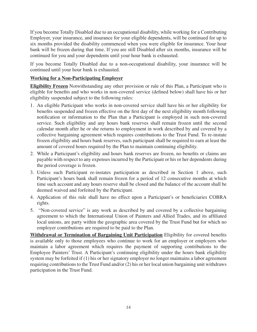If you become Totally Disabled due to an occupational disability, while working for a Contributing Employer, your insurance, and insurance for your eligible dependents, will be continued for up to six months provided the disability commenced when you were eligible for insurance. Your hour bank will be frozen during that time. If you are still Disabled after six months, insurance will be continued for you and your dependents until your hour bank is exhausted.

If you become Totally Disabled due to a non-occupational disability, your insurance will be continued until your hour bank is exhausted.

## **Working for a Non-Participating Employer**

**Eligibility Frozen** Notwithstanding any other provision or rule of this Plan, a Participant who is eligible for benefits and who works in non-covered service (defined below) shall have his or her eligibility suspended subject to the following rules:

- 1. An eligible Participant who works in non-covered service shall have his or her eligibility for benefits suspended and frozen effective on the first day of the next eligibility month following notification or information to the Plan that a Participant is employed in such non-covered service. Such eligibility and any hours bank reserves shall remain frozen until the second calendar month after he or she returns to employment in work described by and covered by a collective bargaining agreement which requires contributions to the Trust Fund. To re-instate frozen eligibility and hours bank reserves, such participant shall be required to earn at least the amount of covered hours required by the Plan to maintain continuing eligibility.
- 2. While a Participant's eligibility and hours bank reserves are frozen, no beneits or claims are payable with respect to any expenses incurred by the Participant or his or her dependents during the period coverage is frozen.
- 3. Unless such Participant re-instates participation as described in Section 1 above, such Participant's hours bank shall remain frozen for a period of 12 consecutive months at which time such account and any hours reserve shall be closed and the balance of the account shall be deemed waived and forfeited by the Participant.
- 4. Application of this rule shall have no effect upon a Participant's or beneiciaries COBRA rights.
- 5. "Non-covered service" is any work as described by and covered by a collective bargaining agreement to which the International Union of Painters and Allied Trades, and its afiliated local unions, are party within the geographic area covered by the Trust Fund but for which no employer contributions are required to be paid to the Plan.

**Withdrawal or Termination of Bargaining Unit Participation** Eligibility for covered benefits is available only to those employees who continue to work for an employer or employers who maintain a labor agreement which requires the payment of supporting contributions to the Employee Painters' Trust. A Participant's continuing eligibility under the hours bank eligibility system may be forfeited if (1) his or her signatory employer no longer maintains a labor agreement requiring contributions to the Trust Fund and/or (2) his or her local union bargaining unit withdraws participation in the Trust Fund.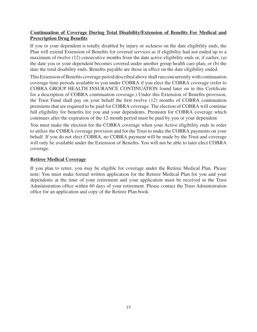## **Continuation of Coverage During Total Disability/Extension of Benefits For Medical and Prescription Drug Benefits**

If you or your dependent is totally disabled by injury or sickness on the date eligibility ends, the Plan will extend Extension of Benefits for covered services as if eligibility had not ended up to a maximum of twelve (12) consecutive months from the date active eligibility ends or, if earlier, (a) the date you or your dependent becomes covered under another group health care plan; or (b) the date the total disability ends. Benefits payable are those in effect on the date eligibility ended.

This Extension of Benefits coverage period described above shall run concurrently with continuation coverage time periods available to you under COBRA if you elect the COBRA coverage (refer to COBRA GROUP HEALTH INSURANCE CONTINUATION found later on in this Certificate for a description of COBRA continuation coverage.) Under this Extension of Benefits provision, the Trust Fund shall pay on your behalf the irst twelve (12) months of COBRA continuation premiums that are required to be paid for COBRA coverage. The election of COBRA will continue full eligibility for benefits for you and your dependents. Premium for COBRA coverage which continues after the expiration of the 12-month period must be paid by you or your dependent.

You must make the election for the COBRA coverage when your Active eligibility ends in order to utilize the COBRA coverage provision and for the Trust to make the COBRA payments on your behalf. If you do not elect COBRA, no COBRA payment will be made by the Trust and coverage will only be available under the Extension of Benefits. You will not be able to later elect COBRA coverage.

## **Retiree Medical Coverage**

If you plan to retire, you may be eligible for coverage under the Retiree Medical Plan. Please note: You must make formal written application for the Retiree Medical Plan for you and your dependents at the time of your retirement and your application must be received in the Trust Administration ofice within 60 days of your retirement. Please contact the Trust Administration ofice for an application and copy of the Retiree Plan book.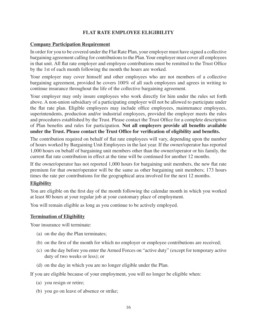## **FLAT RATE EMPLOYEE ELIGIBILITY**

#### **Company Participation Requirement**

In order for you to be covered under the Flat Rate Plan, your employer must have signed a collective bargaining agreement calling for contributions to the Plan. Your employer must cover all employees in that unit. All flat rate employer and employee contributions must be remitted to the Trust Office by the 1st of each month following the month the hours are worked.

Your employer may cover himself and other employees who are not members of a collective bargaining agreement, provided he covers 100% of all such employees and agrees in writing to continue insurance throughout the life of the collective bargaining agreement.

Your employer may only insure employees who work directly for him under the rules set forth above. A non-union subsidiary of a participating employer will not be allowed to participate under the lat rate plan. Eligible employees may include ofice employees, maintenance employees, superintendents, production and/or industrial employees, provided the employer meets the rules and procedures established by the Trust. Please contact the Trust Ofice for a complete description of Plan benefits and rules for participation. Not all employers provide all benefits available **under the Trust. Please contact the Trust Office for verification of eligibility and benefits.**

The contribution required on behalf of lat rate employees will vary, depending upon the number of hours worked by Bargaining Unit Employees in the last year. If the owner/operator has reported 1,000 hours on behalf of bargaining unit members other than the owner/operator or his family, the current flat rate contribution in effect at the time will be continued for another 12 months.

If the owner/operator has not reported 1,000 hours for bargaining unit members, the new lat rate premium for that owner/operator will be the same as other bargaining unit members; 173 hours times the rate per contributions for the geographical area involved for the next 12 months.

#### **Eligibility**

You are eligible on the irst day of the month following the calendar month in which you worked at least 80 hours at your regular job at your customary place of employment.

You will remain eligible as long as you continue to be actively employed.

#### **Termination of Eligibility**

Your insurance will terminate:

- (a) on the day the Plan terminates;
- (b) on the irst of the month for which no employer or employee contributions are received;
- (c) on the day before you enter the Armed Forces on "active duty" (except for temporary active duty of two weeks or less); or
- (d) on the day in which you are no longer eligible under the Plan.

If you are eligible because of your employment, you will no longer be eligible when:

- (a) you resign or retire;
- (b) you go on leave of absence or strike;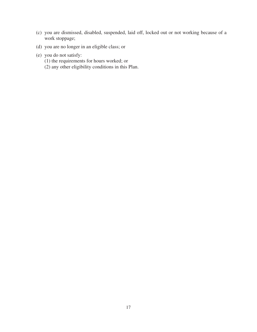- (c) you are dismissed, disabled, suspended, laid off, locked out or not working because of a work stoppage;
- (d) you are no longer in an eligible class; or
- (e) you do not satisfy:
	- (1) the requirements for hours worked; or
	- (2) any other eligibility conditions in this Plan.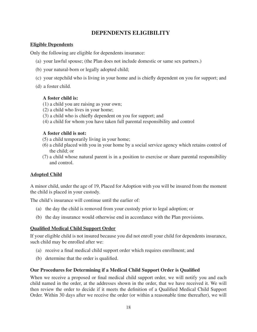## **DEPENDENTS ELIGIBILITY**

## **Eligible Dependents**

Only the following are eligible for dependents insurance:

- (a) your lawful spouse; (the Plan does not include domestic or same sex partners.)
- (b) your natural-born or legally adopted child;
- (c) your stepchild who is living in your home and is chiely dependent on you for support; and
- (d) a foster child.

## **A foster child is:**

- (1) a child you are raising as your own;
- (2) a child who lives in your home;
- (3) a child who is chiely dependent on you for support; and
- (4) a child for whom you have taken full parental responsibility and control

## **A foster child is not:**

- (5) a child temporarily living in your home;
- (6) a child placed with you in your home by a social service agency which retains control of the child; or
- (7) a child whose natural parent is in a position to exercise or share parental responsibility and control.

## **Adopted Child**

A minor child, under the age of 19, Placed for Adoption with you will be insured from the moment the child is placed in your custody.

The child's insurance will continue until the earlier of:

- (a) the day the child is removed from your custody prior to legal adoption; or
- (b) the day insurance would otherwise end in accordance with the Plan provisions.

## **Qualified Medical Child Support Order**

If your eligible child is not insured because you did not enroll your child for dependents insurance, such child may be enrolled after we:

- (a) receive a final medical child support order which requires enrollment; and
- (b) determine that the order is qualified.

## **Our Procedures for Determining if a Medical Child Support Order is Qualified**

When we receive a proposed or final medical child support order, we will notify you and each child named in the order, at the addresses shown in the order, that we have received it. We will then review the order to decide if it meets the definition of a Qualified Medical Child Support Order. Within 30 days after we receive the order (or within a reasonable time thereafter), we will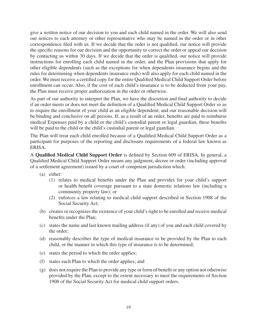give a written notice of our decision to you and each child named in the order. We will also send our notices to each attorney or other representative who may be named in the order or in other correspondence filed with us. If we decide that the order is not qualified, our notice will provide the specific reasons for our decision and the opportunity to correct the order or appeal our decision by contacting us within 30 days. If we decide that the order is qualified, our notice will provide instructions for enrolling each child named in the order, and the Plan provisions that apply for other eligible dependents (such as the exceptions for when dependents insurance begins and the rules for determining when dependents insurance ends) will also apply for each child named in the order. We must receive a certified copy for the entire Qualified Medical Child Support Order before enrollment can occur. Also, if the cost of each child's insurance is to be deducted from your pay, the Plan must receive proper authorization in the order or otherwise.

As part of our authority to interpret the Plan, we have the discretion and final authority to decide if an order meets or does not meet the definition of a Qualified Medical Child Support Order so as to require the enrollment of your child as an eligible dependent; and our reasonable decision will be binding and conclusive on all persons. If, as a result of an order, benefits are paid to reimburse medical Expenses paid by a child or the child's custodial parent or legal guardian, these benefits will be paid to the child or the child's custodial parent or legal guardian.

The Plan will treat each child enrolled because of a Qualified Medical Child Support Order as a participant for purposes of the reporting and disclosure requirements of a federal law known as ERISA.

A **Qualified Medical Child Support Order** is deined by Section 609 of ERISA. In general, a Qualiied Medical Child Support Order means any judgment, decree or order (including approval of a settlement agreement) issued by a court of competent jurisdiction which:

- (a) either:
	- (1) relates to medical beneits under the Plan and provides for your child's support or health beneit coverage pursuant to a state domestic relations law (including a community property law); or
	- (2) enforces a law relating to medical child support described in Section 1908 of the Social Security Act;
- (b) creates or recognizes the existence of your child's right to be enrolled and receive medical benefits under the Plan;
- (c) states the name and last known mailing address (if any) of you and each child covered by the order;
- (d) reasonably describes the type of medical insurance to be provided by the Plan to each child, or the manner in which this type of insurance is to be determined;
- (e) states the period to which the order applies;
- (f) states each Plan to which the order applies; and
- (g) does not require the Plan to provide any type or form of beneit or any option not otherwise provided by the Plan, except to the extent necessary to meet the requirements of Section 1908 of the Social Security Act for medical child support orders.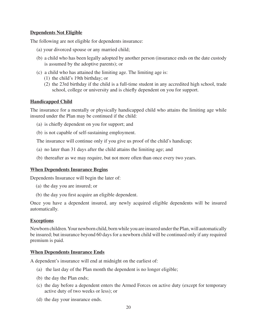## **Dependents Not Eligible**

The following are not eligible for dependents insurance:

- (a) your divorced spouse or any married child;
- (b) a child who has been legally adopted by another person (insurance ends on the date custody is assumed by the adoptive parents); or
- (c) a child who has attained the limiting age. The limiting age is:
	- (1) the child's 19th birthday; or
	- (2) the 23rd birthday if the child is a full-time student in any accredited high school, trade school, college or university and is chiefly dependent on you for support.

#### **Handicapped Child**

The insurance for a mentally or physically handicapped child who attains the limiting age while insured under the Plan may be continued if the child:

- (a) is chiefly dependent on you for support; and
- (b) is not capable of self-sustaining employment.

The insurance will continue only if you give us proof of the child's handicap;

- (a) no later than 31 days after the child attains the limiting age; and
- (b) thereafter as we may require, but not more often than once every two years.

#### **When Dependents Insurance Begins**

Dependents Insurance will begin the later of:

- (a) the day you are insured; or
- (b) the day you first acquire an eligible dependent.

Once you have a dependent insured, any newly acquired eligible dependents will be insured automatically.

#### **Exceptions**

Newborn children. Your newborn child, born while you are insured under the Plan, will automatically be insured; but insurance beyond 60 days for a newborn child will be continued only if any required premium is paid.

#### **When Dependents Insurance Ends**

A dependent's insurance will end at midnight on the earliest of:

- (a) the last day of the Plan month the dependent is no longer eligible;
- (b) the day the Plan ends;
- (c) the day before a dependent enters the Armed Forces on active duty (except for temporary active duty of two weeks or less); or
- (d) the day your insurance ends.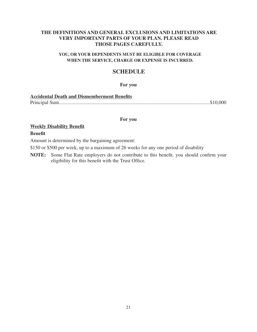#### **THE DEFINITIONS AND GENERAL EXCLUSIONS AND LIMITATIONS ARE VERY IMPORTANT PARTS OF YOUR PLAN. PLEASE READ THOSE PAGES CAREFULLY.**

#### **YOU, OR YOUR DEPENDENTS MUST BE ELIGIBLE FOR COVERAGE WHEN THE SERVICE, CHARGE OR EXPENSE IS INCURRED.**

## **SCHEDULE**

#### **For you**

| <b>Accidental Death and Dismemberment Benefits</b> |  |
|----------------------------------------------------|--|
|                                                    |  |

#### **For you**

## **Weekly Disability Benefit**

#### **Benefit**

Amount is determined by the bargaining agreement:

\$150 or \$500 per week, up to a maximum of 26 weeks for any one period of disability

**NOTE:** Some Flat Rate employers do not contribute to this benefit. you should confirm your eligibility for this benefit with the Trust Office.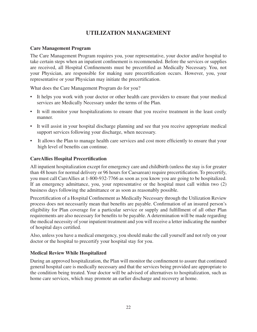## **UTILIZATION MANAGEMENT**

## **Care Management Program**

The Care Management Program requires you, your representative, your doctor and/or hospital to take certain steps when an inpatient confinement is recommended. Before the services or supplies are received, all Hospital Confinements must be precertified as Medically Necessary. You, not your Physician, are responsible for making sure precertification occurs. However, you, your representative or your Physician may initiate the precertification.

What does the Care Management Program do for you?

- It helps you work with your doctor or other health care providers to ensure that your medical services are Medically Necessary under the terms of the Plan.
- It will monitor your hospitalizations to ensure that you receive treatment in the least costly manner.
- It will assist in your hospital discharge planning and see that you receive appropriate medical support services following your discharge, when necessary.
- It allows the Plan to manage health care services and cost more eficiently to ensure that your high level of benefits can continue.

#### **CareAllies Hospital Precertification**

All inpatient hospitalization except for emergency care and childbirth (unless the stay is for greater than 48 hours for normal delivery or 96 hours for Caesarean) require precertification. To precertify, you must call CareAllies at 1-800-932-7766 as soon as you know you are going to be hospitalized. If an emergency admittance, you, your representative or the hospital must call within two (2) business days following the admittance or as soon as reasonably possible.

Precertification of a Hospital Confinement as Medically Necessary through the Utilization Review process does not necessarily mean that benefits are payable. Confirmation of an insured person's eligibility for Plan coverage for a particular service or supply and fulillment of all other Plan requirements are also necessary for benefits to be payable. A determination will be made regarding the medical necessity of your inpatient treatment and you will receive a letter indicating the number of hospital days certified.

Also, unless you have a medical emergency, you should make the call yourself and not rely on your doctor or the hospital to precertify your hospital stay for you.

## **Medical Review While Hospitalized**

During an approved hospitalization, the Plan will monitor the coninement to assure that continued general hospital care is medically necessary and that the services being provided are appropriate to the condition being treated. Your doctor will be advised of alternatives to hospitalization, such as home care services, which may promote an earlier discharge and recovery at home.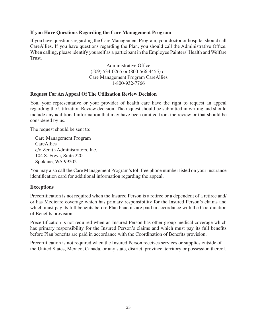#### **If you Have Questions Regarding the Care Management Program**

If you have questions regarding the Care Management Program, your doctor or hospital should call CareAllies. If you have questions regarding the Plan, you should call the Administrative Ofice. When calling, please identify yourself as a participant in the Employee Painters' Health and Welfare Trust.

> Administrative Ofice (509) 534-0265 or (800-566-4455) or Care Management Program CareAllies 1-800-932-7766

#### **Request For An Appeal Of The Utilization Review Decision**

You, your representative or your provider of health care have the right to request an appeal regarding the Utilization Review decision. The request should be submitted in writing and should include any additional information that may have been omitted from the review or that should be considered by us.

The request should be sent to:

Care Management Program CareAllies c/o Zenith Administrators, Inc. 104 S. Freya, Suite 220 Spokane, WA 99202

You may also call the Care Management Program's toll free phone number listed on your insurance identification card for additional information regarding the appeal.

#### **Exceptions**

Precertification is not required when the Insured Person is a retiree or a dependent of a retiree and/ or has Medicare coverage which has primary responsibility for the Insured Person's claims and which must pay its full benefits before Plan benefits are paid in accordance with the Coordination of Benefits provision.

Precertification is not required when an Insured Person has other group medical coverage which has primary responsibility for the Insured Person's claims and which must pay its full benefits before Plan benefits are paid in accordance with the Coordination of Benefits provision.

Precertification is not required when the Insured Person receives services or supplies outside of the United States, Mexico, Canada, or any state, district, province, territory or possession thereof.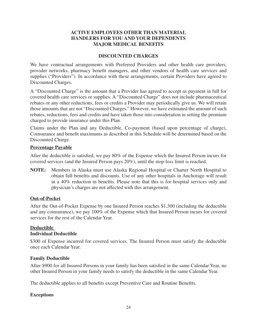## **ACTIVE EMPLOYEES OTHER THAN MATERIAL HANDLERS FOR YOU AND YOUR DEPENDENTS MAJOR MEDICAL BENEFITS**

#### **DISCOUNTED CHARGES**

We have contractual arrangements with Preferred Providers and other health care providers, provider networks, pharmacy beneit managers, and other vendors of health care services and supplies ("Providers"). In accordance with these arrangements, certain Providers have agreed to Discounted Charges.

A "Discounted Charge" is the amount that a Provider has agreed to accept as payment in full for covered health care services or supplies. A "Discounted Charge" does not include pharmaceutical rebates or any other reductions, fees or credits a Provider may periodically give us. We will retain those amounts that are not "Discounted Charges." However, we have estimated the amount of such rebates, reductions, fees and credits and have taken those into consideration in setting the premium charged to provide insurance under this Plan.

Claims under the Plan and any Deductible, Co-payment (based upon percentage of charge), Coinsurance and benefit maximums as described in this Schedule will be determined based on the Discounted Charge.

#### **Percentage Payable**

After the deductible is satisied, we pay 80% of the Expense which the Insured Person incurs for covered services (and the Insured Person pays 20%), until the stop-loss limit is reached.

**NOTE:** Members in Alaska must use Alaska Regional Hospital or Charter North Hospital to obtain full benefits and discounts. Use of any other hospitals in Anchorage will result in a 40% reduction in benefits. Please note that this is for hospital services only and physician's charges are not affected with this arrangement.

## **Out-of-Pocket**

After the Out-of-Pocket Expense by one Insured Person reaches \$1,300 (including the deductible and any coinsurance), we pay 100% of the Expense which that Insured Person incurs for covered services for the rest of the Calendar Year.

#### **Deductible Individual Deductible**

\$300 of Expense incurred for covered services. The Insured Person must satisfy the deductible once each Calendar Year.

#### **Family Deductible**

After \$900 for all Insured Persons in your family has been satisied in the same Calendar Year, no other Insured Person in your family needs to satisfy the deductible in the same Calendar Year.

The deductible applies to all benefits except Preventive Care and Routine Benefits.

## **Exceptions**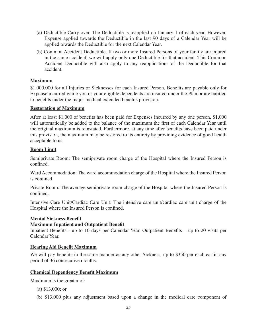- (a) Deductible Carry-over. The Deductible is reapplied on January 1 of each year. However, Expense applied towards the Deductible in the last 90 days of a Calendar Year will be applied towards the Deductible for the next Calendar Year.
- (b) Common Accident Deductible. If two or more Insured Persons of your family are injured in the same accident, we will apply only one Deductible for that accident. This Common Accident Deductible will also apply to any reapplications of the Deductible for that accident.

## **Maximum**

\$1,000,000 for all Injuries or Sicknesses for each Insured Person. Benefits are payable only for Expense incurred while you or your eligible dependents are insured under the Plan or are entitled to benefits under the major medical extended benefits provision.

## **Restoration of Maximum**

After at least \$1,000 of benefits has been paid for Expenses incurred by any one person, \$1,000 will automatically be added to the balance of the maximum the first of each Calendar Year until the original maximum is reinstated. Furthermore, at any time after benefits have been paid under this provision, the maximum may be restored to its entirety by providing evidence of good health acceptable to us.

## **Room Limit**

Semiprivate Room: The semiprivate room charge of the Hospital where the Insured Person is confined.

Ward Accommodation: The ward accommodation charge of the Hospital where the Insured Person is confined.

Private Room: The average semiprivate room charge of the Hospital where the Insured Person is confined.

Intensive Care Unit/Cardiac Care Unit: The intensive care unit/cardiac care unit charge of the Hospital where the Insured Person is confined.

## **Mental Sickness Benefit**

## **Maximum Inpatient and Outpatient Benefit**

Inpatient Benefits - up to 10 days per Calendar Year. Outpatient Benefits – up to 20 visits per Calendar Year.

## **Hearing Aid Benefit Maximum**

We will pay benefits in the same manner as any other Sickness, up to \$350 per each ear in any period of 36 consecutive months.

## **Chemical Dependency Benefit Maximum**

Maximum is the greater of:

- (a) \$13,000; or
- (b) \$13,000 plus any adjustment based upon a change in the medical care component of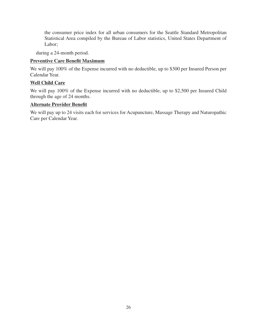the consumer price index for all urban consumers for the Seattle Standard Metropolitan Statistical Area compiled by the Bureau of Labor statistics, United States Department of Labor;

during a 24-month period.

## **Preventive Care Benefit Maximum**

We will pay 100% of the Expense incurred with no deductible, up to \$300 per Insured Person per Calendar Year.

## **Well Child Care**

We will pay 100% of the Expense incurred with no deductible, up to \$2,500 per Insured Child through the age of 24 months.

## **Alternate Provider Benefit**

We will pay up to 24 visits each for services for Acupuncture, Massage Therapy and Naturopathic Care per Calendar Year.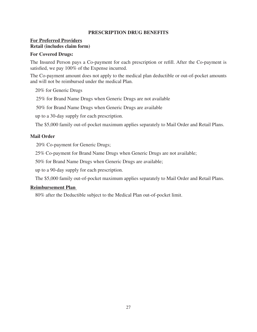#### **PRESCRIPTION DRUG BENEFITS**

## **For Preferred Providers Retail (includes claim form)**

#### **For Covered Drugs:**

The Insured Person pays a Co-payment for each prescription or reill. After the Co-payment is satisfied, we pay 100% of the Expense incurred.

The Co-payment amount does not apply to the medical plan deductible or out-of-pocket amounts and will not be reimbursed under the medical Plan.

20% for Generic Drugs

25% for Brand Name Drugs when Generic Drugs are not available

50% for Brand Name Drugs when Generic Drugs are available

up to a 30-day supply for each prescription.

The \$5,000 family out-of-pocket maximum applies separately to Mail Order and Retail Plans.

#### **Mail Order**

20% Co-payment for Generic Drugs;

25% Co-payment for Brand Name Drugs when Generic Drugs are not available;

50% for Brand Name Drugs when Generic Drugs are available;

up to a 90-day supply for each prescription.

The \$5,000 family out-of-pocket maximum applies separately to Mail Order and Retail Plans.

#### **Reimbursement Plan**

80% after the Deductible subject to the Medical Plan out-of-pocket limit.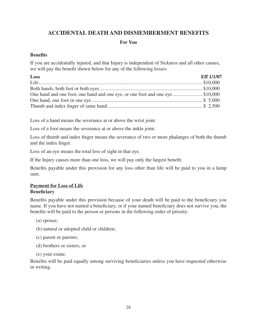# **ACCIDENTAL DEATH AND DISMEMBERMENT BENEFITS**

## **For You**

## **Benefits**

If you are accidentally injured, and that Injury is independent of Sickness and all other causes, we will pay the benefit shown below for any of the following losses:

| Loss                                                                         | <b>Eff 1/1/07</b> |
|------------------------------------------------------------------------------|-------------------|
|                                                                              |                   |
|                                                                              |                   |
| One hand and one foot, one hand and one eye, or one foot and one eye\$10,000 |                   |
|                                                                              |                   |
|                                                                              |                   |

Loss of a hand means the severance at or above the wrist joint.

Loss of a foot means the severance at or above the ankle joint.

Loss of thumb and index finger means the severance of two or more phalanges of both the thumb and the index finger.

Loss of an eye means the total loss of sight in that eye.

If the Injury causes more than one loss, we will pay only the largest benefit.

Benefits payable under this provision for any loss other than life will be paid to you in a lump sum.

#### **Payment for Loss of Life Beneficiary**

Benefits payable under this provision because of your death will be paid to the beneficiary you name. If you have not named a beneficiary, or if your named beneficiary does not survive you, the benefits will be paid to the person or persons in the following order of priority:

- (a) spouse;
- (b) natural or adopted child or children;
- (c) parent or parents;
- (d) brothers or sisters; or
- (e) your estate.

Benefits will be paid equally among surviving beneficiaries unless you have requested otherwise in writing.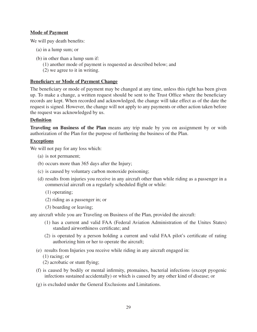## **Mode of Payment**

We will pay death benefits:

- (a) in a lump sum; or
- (b) in other than a lump sum if:
	- (1) another mode of payment is requested as described below; and
	- (2) we agree to it in writing.

#### **Beneficiary or Mode of Payment Change**

The beneficiary or mode of payment may be changed at any time, unless this right has been given up. To make a change, a written request should be sent to the Trust Ofice where the beneiciary records are kept. When recorded and acknowledged, the change will take effect as of the date the request is signed. However, the change will not apply to any payments or other action taken before the request was acknowledged by us.

#### **Definition**

**Traveling on Business of the Plan** means any trip made by you on assignment by or with authorization of the Plan for the purpose of furthering the business of the Plan.

#### **Exceptions**

We will not pay for any loss which:

- (a) is not permanent;
- (b) occurs more than 365 days after the Injury;
- (c) is caused by voluntary carbon monoxide poisoning;
- (d) results from injuries you receive in any aircraft other than while riding as a passenger in a commercial aircraft on a regularly scheduled flight or while:
	- (1) operating;
	- (2) riding as a passenger in; or
	- (3) boarding or leaving;

any aircraft while you are Traveling on Business of the Plan, provided the aircraft:

- (1) has a current and valid FAA (Federal Aviation Administration of the Unites States) standard airworthiness certificate; and
- (2) is operated by a person holding a current and valid FAA pilot's certiicate of rating authorizing him or her to operate the aircraft;
- (e) results from Injuries you receive while riding in any aircraft engaged in:
	- (1) racing; or
	- $(2)$  acrobatic or stunt flying;
- (f) is caused by bodily or mental inirmity, ptomaines, bacterial infections (except pyogenic infections sustained accidentally) or which is caused by any other kind of disease; or
- (g) is excluded under the General Exclusions and Limitations.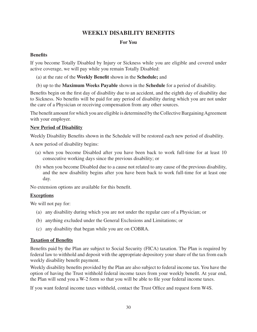# **WEEKLY DISABILITY BENEFITS**

#### **For You**

#### **Benefits**

If you become Totally Disabled by Injury or Sickness while you are eligible and covered under active coverage, we will pay while you remain Totally Disabled:

- (a) at the rate of the **Weekly Benefit** shown in the **Schedule;** and
- (b) up to the **Maximum Weeks Payable** shown in the **Schedule** for a period of disability.

Benefits begin on the first day of disability due to an accident, and the eighth day of disability due to Sickness. No benefits will be paid for any period of disability during which you are not under the care of a Physician or receiving compensation from any other sources.

The benefit amount for which you are eligible is determined by the Collective Bargaining Agreement with your employer.

## **New Period of Disability**

Weekly Disability Benefits shown in the Schedule will be restored each new period of disability.

A new period of disability begins:

- (a) when you become Disabled after you have been back to work full-time for at least 10 consecutive working days since the previous disability; or
- (b) when you become Disabled due to a cause not related to any cause of the previous disability, and the new disability begins after you have been back to work full-time for at least one day.

No extension options are available for this benefit.

## **Exceptions**

We will not pay for:

- (a) any disability during which you are not under the regular care of a Physician; or
- (b) anything excluded under the General Exclusions and Limitations; or
- (c) any disability that began while you are on COBRA.

#### **Taxation of Benefits**

Benefits paid by the Plan are subject to Social Security (FICA) taxation. The Plan is required by federal law to withhold and deposit with the appropriate depository your share of the tax from each weekly disability benefit payment.

Weekly disability benefits provided by the Plan are also subject to federal income tax. You have the option of having the Trust withhold federal income taxes from your weekly benefit. At year end, the Plan will send you a W-2 form so that you will be able to ile your federal income taxes.

If you want federal income taxes withheld, contact the Trust Ofice and request form W4S.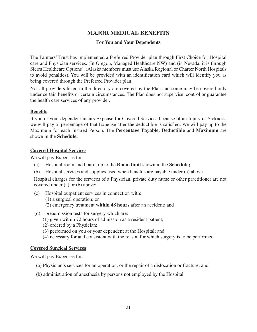# **MAJOR MEDICAL BENEFITS**

## **For You and Your Dependents**

The Painters' Trust has implemented a Preferred Provider plan through First Choice for Hospital care and Physician services. (In Oregon, Managed Healthcare NW) and (in Nevada, it is through Sierra Healthcare Options). (Alaska members must use Alaska Regional or Charter North Hospitals to avoid penalties). You will be provided with an identification card which will identify you as being covered through the Preferred Provider plan.

Not all providers listed in the directory are covered by the Plan and some may be covered only under certain benefits or certain circumstances. The Plan does not supervise, control or guarantee the health care services of any provider.

# **Benefits**

If you or your dependent incurs Expense for Covered Services because of an Injury or Sickness, we will pay a percentage of that Expense after the deductible is satisied. We will pay up to the Maximum for each Insured Person. The **Percentage Payable, Deductible** and **Maximum** are shown in the **Schedule.**

# **Covered Hospital Services**

We will pay Expenses for:

- (a) Hospital room and board, up to the **Room limit** shown in the **Schedule;**
- (b) Hospital services and supplies used when benefits are payable under (a) above.

Hospital charges for the services of a Physician, private duty nurse or other practitioner are not covered under (a) or (b) above;

- (c) Hospital outpatient services in connection with:
	- (1) a surgical operation; or
	- (2) emergency treatment **within 48 hours** after an accident; and
- (d) preadmission tests for surgery which are:
	- (1) given within 72 hours of admission as a resident patient;
	- (2) ordered by a Physician;
	- (3) performed on you or your dependent at the Hospital; and
	- (4) necessary for and consistent with the reason for which surgery is to be performed.

# **Covered Surgical Services**

We will pay Expenses for:

- (a) Physician's services for an operation, or the repair of a dislocation or fracture; and
- (b) administration of anesthesia by persons not employed by the Hospital.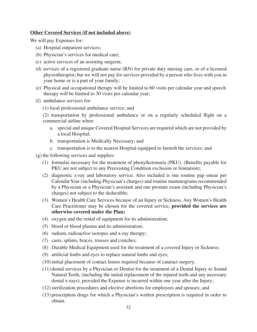#### **Other Covered Services (if not included above)**

We will pay Expenses for:

- (a) Hospital outpatient services;
- (b) Physician's services for medical care;
- (c) active services of an assisting surgeon;
- (d) services of a registered graduate nurse (RN) for private duty nursing care, or of a licensed physiotherapist; but we will not pay for services provided by a person who lives with you in your home or is a part of your family;
- (e) Physical and occupational therapy will be limited to 60 visits per calendar year and speech therapy will be limited to 30 visits per calendar year;
- (f) ambulance services for:
	- (1) local professional ambulance service; and

(2) transportation by professional ambulance or on a regularly scheduled flight on a commercial airline when:

- a. special and unique Covered Hospital Services are required which are not provided by a local Hospital;
- b. transportation is Medically Necessary; and
- c. transportation is to the nearest Hospital equipped to furnish the services; and
- (g) the following services and supplies:
	- (1) formulas necessary for the treatment of phenylketonuria (PKU). (Beneits payable for PKU are not subject to any Preexisting Condition exclusion or limitation);
	- (2) diagnostic x-ray and laboratory service. Also included is one routine pap smear per Calendar Year (including Physician's charges) and routine mammograms recommended by a Physician or a Physician's assistant and one prostate exam (including Physician's charges) not subject to the deductible;
	- (3) Women's Health Care Services because of an Injury or Sickness. Any Women's Health Care Practitioner may be chosen for the covered service, **provided the services are otherwise covered under the Plan;**
	- (4) oxygen and the rental of equipment for its administration;
	- (5) blood or blood plasma and its administration;
	- (6) radium, radioactive isotopes and x-ray therapy;
	- (7) casts, splints, braces, trusses and crutches;
	- (8) Durable Medical Equipment used for the treatment of a covered Injury or Sickness;
	- (9) artificial limbs and eyes to replace natural limbs and eyes;
	- (10) initial placement of contact lenses required because of cataract surgery;
	- (11) dental services by a Physician or Dentist for the treatment of a Dental Injury to Sound Natural Teeth, (including the initial replacement of the injured teeth and any necessary dental x-rays), provided the Expense is incurred within one year after the Injury;
	- (12) sterilization procedures and elective abortions for employees and spouses; and
	- (13) prescription drugs for which a Physician's written prescription is required in order to obtain.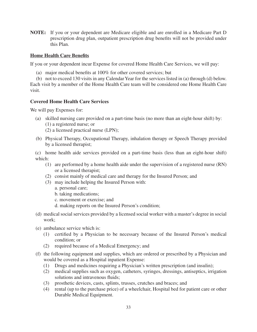**NOTE:** If you or your dependent are Medicare eligible and are enrolled in a Medicare Part D prescription drug plan, outpatient prescription drug benefits will not be provided under this Plan.

#### **Home Health Care Benefits**

If you or your dependent incur Expense for covered Home Health Care Services, we will pay:

- (a) major medical benefits at  $100\%$  for other covered services; but
- (b) not to exceed 130 visits in any Calendar Year for the services listed in (a) through (d) below.

Each visit by a member of the Home Health Care team will be considered one Home Health Care visit.

#### **Covered Home Health Care Services**

We will pay Expenses for:

- (a) skilled nursing care provided on a part-time basis (no more than an eight-hour shift) by: (1) a registered nurse; or (2) a licensed practical nurse (LPN);
- (b) Physical Therapy, Occupational Therapy, inhalation therapy or Speech Therapy provided by a licensed therapist;

(c) home health aide services provided on a part-time basis (less than an eight-hour shift) which:

- (1) are performed by a home health aide under the supervision of a registered nurse (RN) or a licensed therapist;
- (2) consist mainly of medical care and therapy for the Insured Person; and
- (3) may include helping the Insured Person with:
	- a. personal care;
	- b. taking medications;
	- c. movement or exercise; and
	- d. making reports on the Insured Person's condition;
- (d) medical social services provided by a licensed social worker with a master's degree in social work;
- (e) ambulance service which is:
	- (1) certiied by a Physician to be necessary because of the Insured Person's medical condition; or
	- (2) required because of a Medical Emergency; and
- (f) the following equipment and supplies, which are ordered or prescribed by a Physician and would be covered as a Hospital inpatient Expense:
	- (1) Drugs and medicines requiring a Physician's written prescription (and insulin);
	- (2) medical supplies such as oxygen, catheters, syringes, dressings, antiseptics, irrigation solutions and intravenous fluids;
	- (3) prosthetic devices, casts, splints, trusses, crutches and braces; and
	- (4) rental (up to the purchase price) of a wheelchair, Hospital bed for patient care or other Durable Medical Equipment.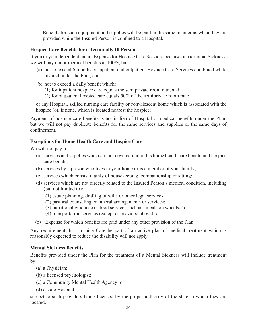Benefits for such equipment and supplies will be paid in the same manner as when they are provided while the Insured Person is confined to a Hospital.

# **Hospice Care Benefits for a Terminally Ill Person**

If you or your dependent incurs Expense for Hospice Care Services because of a terminal Sickness, we will pay major medical benefits at 100%, but:

- (a) not to exceed 6 months of inpatient and outpatient Hospice Care Services combined while insured under the Plan; and
- (b) not to exceed a daily benefit which:
	- (1) for inpatient hospice care equals the semiprivate room rate; and
	- (2) for outpatient hospice care equals 50% of the semiprivate room rate;

of any Hospital, skilled nursing care facility or convalescent home which is associated with the hospice (or, if none, which is located nearest the hospice).

Payment of hospice care benefits is not in lieu of Hospital or medical benefits under the Plan; but we will not pay duplicate benefits for the same services and supplies or the same days of confinement.

# **Exceptions for Home Health Care and Hospice Care**

We will not pay for:

- (a) services and supplies which are not covered under this home health care beneit and hospice care benefit:
- (b) services by a person who lives in your home or is a member of your family;
- (c) services which consist mainly of housekeeping, companionship or sitting;
- (d) services which are not directly related to the Insured Person's medical condition, including (but not limited to):
	- (1) estate planning, drafting of wills or other legal services;
	- (2) pastoral counseling or funeral arrangements or services;
	- (3) nutritional guidance or food services such as "meals on wheels;" or
	- (4) transportation services (except as provided above); or
- (e) Expense for which beneits are paid under any other provision of the Plan.

Any requirement that Hospice Care be part of an active plan of medical treatment which is reasonably expected to reduce the disability will not apply.

## **Mental Sickness Benefits**

Benefits provided under the Plan for the treatment of a Mental Sickness will include treatment by:

- (a) a Physician;
- (b) a licensed psychologist;
- (c) a Community Mental Health Agency; or
- (d) a state Hospital;

subject to such providers being licensed by the proper authority of the state in which they are located.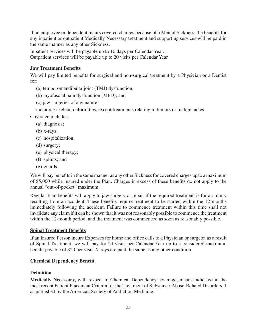If an employee or dependent incurs covered charges because of a Mental Sickness, the beneits for any inpatient or outpatient Medically Necessary treatment and supporting services will be paid in the same manner as any other Sickness.

Inpatient services will be payable up to 10 days per Calendar Year. Outpatient services will be payable up to 20 visits per Calendar Year.

# **Jaw Treatment Benefits**

We will pay limited benefits for surgical and non-surgical treatment by a Physician or a Dentist for:

(a) temporomandibular joint (TMJ) dysfunction;

- (b) myofascial pain dysfunction (MPD); and
- (c) jaw surgeries of any nature;

including skeletal deformities, except treatments relating to tumors or malignancies.

Coverage includes:

- (a) diagnosis;
- (b) x-rays;
- (c) hospitalization;
- (d) surgery;
- (e) physical therapy;
- (f) splints; and
- (g) guards.

We will pay benefits in the same manner as any other Sickness for covered charges up to a maximum of \$5,000 while insured under the Plan. Charges in excess of these beneits do not apply to the annual "out-of-pocket" maximum.

Regular Plan benefits will apply to jaw surgery or repair if the required treatment is for an Injury resulting from an accident. These benefits require treatment to be started within the 12 months immediately following the accident. Failure to commence treatment within this time shall not invalidate any claim if it can be shown that it was not reasonably possible to commence the treatment within the 12-month period, and the treatment was commenced as soon as reasonably possible.

# **Spinal Treatment Benefits**

If an Insured Person incurs Expenses for home and ofice calls to a Physician or surgeon as a result of Spinal Treatment, we will pay for 24 visits per Calendar Year up to a considered maximum benefit payable of \$20 per visit. X-rays are paid the same as any other condition.

## **Chemical Dependency Benefit**

## **Definition**

**Medically Necessary,** with respect to Chemical Dependency coverage, means indicated in the most recent Patient Placement Criteria for the Treatment of Substance-Abuse-Related Disorders II as published by the American Society of Addiction Medicine.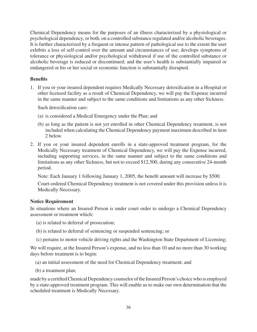Chemical Dependency means for the purposes of an illness characterized by a physiological or psychological dependency, or both, on a controlled substance regulated and/or alcoholic beverages. It is further characterized by a frequent or intense pattern of pathological use to the extent the user exhibits a loss of self-control over the amount and circumstances of use; develops symptoms of tolerance or physiological and/or psychological withdrawal if use of the controlled substance or alcoholic beverage is reduced or discontinued; and the user's health is substantially impaired or endangered or his or her social or economic function is substantially disrupted.

#### **Benefits**

1. If you or your insured dependent requires Medically Necessary detoxification in a Hospital or other licensed facility as a result of Chemical Dependency, we will pay the Expense incurred in the same manner and subject to the same conditions and limitations as any other Sickness.

Such detoxification care:

- (a) is considered a Medical Emergency under the Plan; and
- (b) as long as the patient is not yet enrolled in other Chemical Dependency treatment, is not included when calculating the Chemical Dependency payment maximum described in item 2 below.
- 2. If you or your insured dependent enrolls in a state-approved treatment program, for the Medically Necessary treatment of Chemical Dependency, we will pay the Expense incurred, including supporting services, in the same manner and subject to the same conditions and limitations as any other Sickness, but not to exceed \$12,500, during any consecutive 24-month period.

Note: Each January 1 following January 1, 2005, the benefit amount will increase by \$500.

Court-ordered Chemical Dependency treatment is not covered under this provision unless it is Medically Necessary.

#### **Notice Requirement**

In situations where an Insured Person is under court order to undergo a Chemical Dependency assessment or treatment which:

- (a) is related to deferral of prosecution;
- (b) is related to deferral of sentencing or suspended sentencing; or
- (c) pertains to motor vehicle driving rights and the Washington State Department of Licensing;

We will require, at the Insured Person's expense, and no less than 10 and no more than 30 working days before treatment is to begin:

- (a) an initial assessment of the need for Chemical Dependency treatment; and
- (b) a treatment plan;

made by a certified Chemical Dependency counselor of the Insured Person's choice who is employed by a state-approved treatment program. This will enable us to make our own determination that the scheduled treatment is Medically Necessary.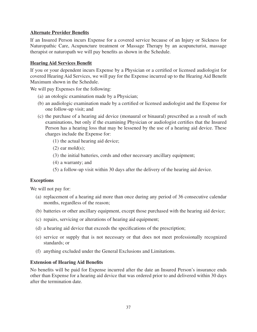## **Alternate Provider Benefits**

If an Insured Person incurs Expense for a covered service because of an Injury or Sickness for Naturopathic Care, Acupuncture treatment or Massage Therapy by an acupuncturist, massage therapist or naturopath we will pay benefits as shown in the Schedule.

#### **Hearing Aid Services Benefit**

If you or your dependent incurs Expense by a Physician or a certiied or licensed audiologist for covered Hearing Aid Services, we will pay for the Expense incurred up to the Hearing Aid Benefit Maximum shown in the Schedule.

We will pay Expenses for the following:

- (a) an otologic examination made by a Physician;
- (b) an audiologic examination made by a certiied or licensed audiologist and the Expense for one follow-up visit; and
- (c) the purchase of a hearing aid device (monaural or binaural) prescribed as a result of such examinations, but only if the examining Physician or audiologist certifies that the Insured Person has a hearing loss that may be lessened by the use of a hearing aid device. These charges include the Expense for:
	- (1) the actual hearing aid device;
	- $(2)$  ear mold $(s)$ ;
	- (3) the initial batteries, cords and other necessary ancillary equipment;
	- (4) a warranty; and
	- (5) a follow-up visit within 30 days after the delivery of the hearing aid device.

#### **Exceptions**

We will not pay for:

- (a) replacement of a hearing aid more than once during any period of 36 consecutive calendar months, regardless of the reason;
- (b) batteries or other ancillary equipment, except those purchased with the hearing aid device;
- (c) repairs, servicing or alterations of hearing aid equipment;
- (d) a hearing aid device that exceeds the speciications of the prescription;
- (e) service or supply that is not necessary or that does not meet professionally recognized standards; or
- (f) anything excluded under the General Exclusions and Limitations.

#### **Extension of Hearing Aid Benefits**

No benefits will be paid for Expense incurred after the date an Insured Person's insurance ends other than Expense for a hearing aid device that was ordered prior to and delivered within 30 days after the termination date.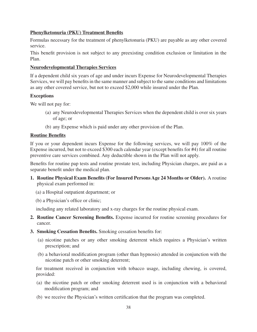## **Phenylketonuria (PKU) Treatment Benefits**

Formulas necessary for the treatment of phenylketonuria (PKU) are payable as any other covered service.

This benefit provision is not subject to any preexisting condition exclusion or limitation in the Plan.

#### **Neurodevelopmental Therapies Services**

If a dependent child six years of age and under incurs Expense for Neurodevelopmental Therapies Services, we will pay benefits in the same manner and subject to the same conditions and limitations as any other covered service, but not to exceed \$2,000 while insured under the Plan.

#### **Exceptions**

We will not pay for:

- (a) any Neurodevelopmental Therapies Services when the dependent child is over six years of age; or
- (b) any Expense which is paid under any other provision of the Plan.

#### **Routine Benefits**

If you or your dependent incurs Expense for the following services, we will pay 100% of the Expense incurred, but not to exceed \$300 each calendar year (except benefits for #4) for all routine preventive care services combined. Any deductible shown in the Plan will not apply.

Benefits for routine pap tests and routine prostate test, including Physician charges, are paid as a separate benefit under the medical plan.

- **1. Routine Physical Exam Benefits (For Insured Persons Age 24 Months or Older).** A routine physical exam performed in:
	- (a) a Hospital outpatient department; or
	- (b) a Physician's ofice or clinic;

including any related laboratory and x-ray charges for the routine physical exam.

- **2. Routine Cancer Screening Benefits.** Expense incurred for routine screening procedures for cancer.
- **3. Smoking Cessation Benefits.** Smoking cessation benefits for:
	- (a) nicotine patches or any other smoking deterrent which requires a Physician's written prescription; and
	- (b) a behavioral modiication program (other than hypnosis) attended in conjunction with the nicotine patch or other smoking deterrent;

for treatment received in conjunction with tobacco usage, including chewing, is covered, provided:

- (a) the nicotine patch or other smoking deterrent used is in conjunction with a behavioral modification program; and
- (b) we receive the Physician's written certiication that the program was completed.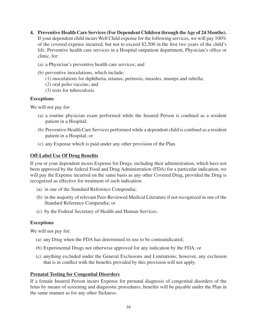- **4. Preventive Health Care Services (For Dependent Children through the Age of 24 Months).**  If your dependent child incurs Well Child expense for the following services, we will pay 100% of the covered expense incurred, but not to exceed \$2,500 in the irst two years of the child's life. Preventive health care services in a Hospital outpatient department, Physician's ofice or clinic, for:
	- (a) a Physician's preventive health care services; and
	- (b) preventive inoculations, which include:
		- (1) inoculations for diphtheria, tetanus, pertussis, measles, mumps and rubella;
		- (2) oral polio vaccine; and
		- (3) tests for tuberculosis.

#### **Exceptions**

We will not pay for:

- (a) a routine physician exam performed while the Insured Person is conined as a resident patient in a Hospital;
- (b) Preventive Health Care Services performed while a dependent child is conined as a resident patient in a Hospital; or
- (c) any Expense which is paid under any other provision of the Plan.

#### **Off-Label Use Of Drug Benefits**

If you or your dependent incurs Expense for Drugs, including their administration, which have not been approved by the federal Food and Drug Administration (FDA) for a particular indication, we will pay the Expense incurred on the same basis as any other Covered Drug, provided the Drug is recognized as effective for treatment of such indication:

- (a) in one of the Standard Reference Compendia;
- (b) in the majority of relevant Peer-Reviewed Medical Literature if not recognized in one of the Standard Reference Compendia; or
- (c) by the Federal Secretary of Health and Human Services.

#### **Exceptions**

We will not pay for:

- (a) any Drug when the FDA has determined its use to be contraindicated;
- (b) Experimental Drugs not otherwise approved for any indication by the FDA; or
- (c) anything excluded under the General Exclusions and Limitations; however, any exclusion that is in conflict with the benefits provided by this provision will not apply.

#### **Prenatal Testing for Congenital Disorders**

If a female Insured Person incurs Expense for prenatal diagnosis of congenital disorders of the fetus by means of screening and diagnostic procedures, benefits will be payable under the Plan in the same manner as for any other Sickness.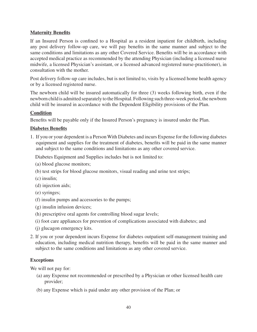# **Maternity Benefits**

If an Insured Person is confined to a Hospital as a resident inpatient for childbirth, including any post delivery follow-up care, we will pay benefits in the same manner and subject to the same conditions and limitations as any other Covered Service. Benefits will be in accordance with accepted medical practice as recommended by the attending Physician (including a licensed nurse midwife, a licensed Physician's assistant, or a licensed advanced registered nurse-practitioner), in consultation with the mother.

Post delivery follow-up care includes, but is not limited to, visits by a licensed home health agency or by a licensed registered nurse.

The newborn child will be insured automatically for three (3) weeks following birth, even if the newborn child is admitted separately to the Hospital. Following such three-week period, the newborn child will be insured in accordance with the Dependent Eligibility provisions of the Plan.

## **Condition**

Benefits will be payable only if the Insured Person's pregnancy is insured under the Plan.

## **Diabetes Benefits**

1. If you or your dependent is a Person With Diabetes and incurs Expense for the following diabetes equipment and supplies for the treatment of diabetes, benefits will be paid in the same manner and subject to the same conditions and limitations as any other covered service.

Diabetes Equipment and Supplies includes but is not limited to:

- (a) blood glucose monitors;
- (b) test strips for blood glucose monitors, visual reading and urine test strips;
- (c) insulin;
- (d) injection aids;
- (e) syringes;
- (f) insulin pumps and accessories to the pumps;
- (g) insulin infusion devices;
- (h) prescriptive oral agents for controlling blood sugar levels;
- (i) foot care appliances for prevention of complications associated with diabetes; and
- (j) glucagon emergency kits.
- 2. If you or your dependent incurs Expense for diabetes outpatient self-management training and education, including medical nutrition therapy, benefits will be paid in the same manner and subject to the same conditions and limitations as any other covered service.

## **Exceptions**

We will not pay for:

- (a) any Expense not recommended or prescribed by a Physician or other licensed health care provider;
- (b) any Expense which is paid under any other provision of the Plan; or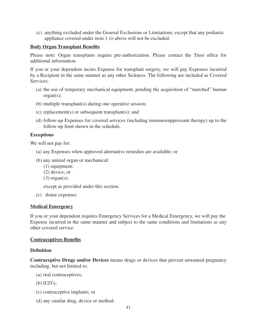(c) anything excluded under the General Exclusions or Limitations; except that any podiatric appliance covered under item 1 (i) above will not be excluded.

#### **Body Organ Transplant Benefits**

Please note: Organ transplants require pre-authorization. Please contact the Trust ofice for additional information.

If you or your dependent incurs Expense for transplant surgery, we will pay Expenses incurred by a Recipient in the same manner as any other Sickness. The following are included as Covered Services:

- (a) the use of temporary mechanical equipment, pending the acquisition of "matched" human organ(s);
- (b) multiple transplant(s) during one operative session;
- (c) replacement(s) or subsequent transplant(s); and
- (d) follow-up Expenses for covered services (including immunosuppressant therapy) up to the follow-up limit shown in the schedule.

#### **Exceptions**

We will not pay for:

- (a) any Expenses when approved alternative remedies are available; or
- (b) any animal organ or mechanical:
	- (1) equipment;
	- (2) device; or
	- $(3)$  organ $(s)$ ;

except as provided under this section.

(c) donor expenses

#### **Medical Emergency**

If you or your dependent requires Emergency Services for a Medical Emergency, we will pay the Expense incurred in the same manner and subject to the same conditions and limitations as any other covered service.

#### **Contraceptives Benefits**

#### **Definition**

**Contraceptive Drugs and/or Devices** means drugs or devices that prevent unwanted pregnancy including, but not limited to:

- (a) oral contraceptives;
- (b) lUD's;
- (c) contraceptive implants; or
- (d) any similar drug, device or method.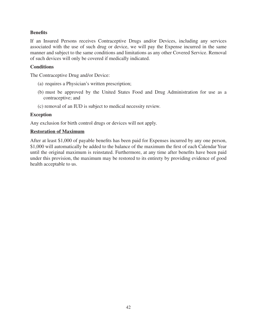## **Benefits**

If an Insured Persons receives Contraceptive Drugs and/or Devices, including any services associated with the use of such drug or device, we will pay the Expense incurred in the same manner and subject to the same conditions and limitations as any other Covered Service. Removal of such devices will only be covered if medically indicated.

## **Conditions**

The Contraceptive Drug and/or Device:

- (a) requires a Physician's written prescription;
- (b) must be approved by the United States Food and Drug Administration for use as a contraceptive; and
- (c) removal of an IUD is subject to medical necessity review.

## **Exception**

Any exclusion for birth control drugs or devices will not apply.

#### **Restoration of Maximum**

After at least \$1,000 of payable benefits has been paid for Expenses incurred by any one person, \$1,000 will automatically be added to the balance of the maximum the first of each Calendar Year until the original maximum is reinstated. Furthermore, at any time after benefits have been paid under this provision, the maximum may be restored to its entirety by providing evidence of good health acceptable to us.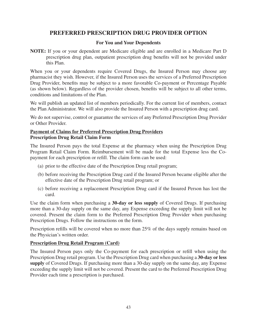# **PREFERRED PRESCRIPTION DRUG PROVIDER OPTION**

#### **For You and Your Dependents**

**NOTE:** If you or your dependent are Medicare eligible and are enrolled in a Medicare Part D prescription drug plan, outpatient prescription drug benefits will not be provided under this Plan.

When you or your dependents require Covered Drugs, the Insured Person may choose any pharmacist they wish. However, if the Insured Person uses the services of a Preferred Prescription Drug Provider, benefits may be subject to a more favorable Co-payment or Percentage Payable (as shown below). Regardless of the provider chosen, benefits will be subject to all other terms, conditions and limitations of the Plan.

We will publish an updated list of members periodically. For the current list of members, contact the Plan Administrator. We will also provide the Insured Person with a prescription drug card.

We do not supervise, control or guarantee the services of any Preferred Prescription Drug Provider or Other Provider.

#### **Payment of Claims for Preferred Prescription Drug Providers Prescription Drug Retail Claim Form**

The Insured Person pays the total Expense at the pharmacy when using the Prescription Drug Program Retail Claim Form. Reimbursement will be made for the total Expense less the Copayment for each prescription or refill. The claim form can be used:

- (a) prior to the effective date of the Prescription Drug retail program;
- (b) before receiving the Prescription Drug card if the Insured Person became eligible after the effective date of the Prescription Drug retail program; or
- (c) before receiving a replacement Prescription Drug card if the Insured Person has lost the card.

Use the claim form when purchasing a **30-day or less supply** of Covered Drugs. If purchasing more than a 30-day supply on the same day, any Expense exceeding the supply limit will not be covered. Present the claim form to the Preferred Prescription Drug Provider when purchasing Prescription Drugs. Follow the instructions on the form.

Prescription refills will be covered when no more than 25% of the days supply remains based on the Physician's written order.

## **Prescription Drug Retail Program (Card)**

The Insured Person pays only the Co-payment for each prescription or reill when using the Prescription Drug retail program. Use the Prescription Drug card when purchasing a **30-day or less supply** of Covered Drugs. If purchasing more than a 30-day supply on the same day, any Expense exceeding the supply limit will not be covered. Present the card to the Preferred Prescription Drug Provider each time a prescription is purchased.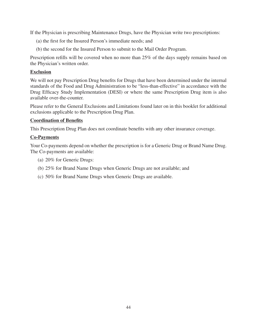If the Physician is prescribing Maintenance Drugs, have the Physician write two prescriptions:

- (a) the irst for the Insured Person's immediate needs; and
- (b) the second for the Insured Person to submit to the Mail Order Program.

Prescription refills will be covered when no more than 25% of the days supply remains based on the Physician's written order.

#### **Exclusion**

We will not pay Prescription Drug benefits for Drugs that have been determined under the internal standards of the Food and Drug Administration to be "less-than-effective" in accordance with the Drug Eficacy Study Implementation (DESI) or where the same Prescription Drug item is also available over-the-counter.

Please refer to the General Exclusions and Limitations found later on in this booklet for additional exclusions applicable to the Prescription Drug Plan.

## **Coordination of Benefits**

This Prescription Drug Plan does not coordinate benefits with any other insurance coverage.

#### **Co-Payments**

Your Co-payments depend on whether the prescription is for a Generic Drug or Brand Name Drug. The Co-payments are available:

- (a) 20% for Generic Drugs:
- (b) 25% for Brand Name Drugs when Generic Drugs are not available; and
- (c) 50% for Brand Name Drugs when Generic Drugs are available.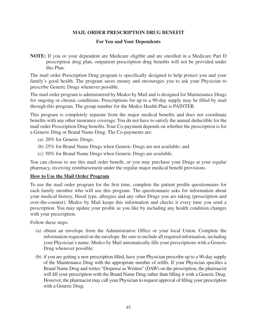#### **MAIL ORDER PRESCRIPTION DRUG BENEFIT**

#### **For You and Your Dependents**

**NOTE:** If you or your dependent are Medicare eligible and are enrolled in a Medicare Part D prescription drug plan, outpatient prescription drug benefits will not be provided under this Plan.

The mail order Prescription Drug program is speciically designed to help protect you and your family's good health. The program saves money and encourages you to ask your Physician to prescribe Generic Drugs whenever possible.

The mail order program is administered by Medco by Mail and is designed for Maintenance Drugs for ongoing or chronic conditions. Prescriptions for up to a 90-day supply may be illed by mail through this program. The group number for the Medco Health Plan is PAINTER.

This program is completely separate from the major medical benefits and does not coordinate benefits with any other insurance coverage. You do not have to satisfy the annual deductible for the mail order Prescription Drug benefits. Your Co-payment depends on whether the prescription is for a Generic Drug or Brand Name Drug. The Co-payments are:

- (a) 20% for Generic Drugs:
- (b) 25% for Brand Name Drugs when Generic Drugs are not available; and
- (c) 50% for Brand Name Drugs when Generic Drugs are available.

You can choose to use this mail order benefit, or you may purchase your Drugs at your regular pharmacy, receiving reimbursement under the regular major medical benefit provisions.

#### **How to Use the Mail Order Program**

To use the mail order program for the irst time, complete the patient proile questionnaire for each family member who will use this program. The questionnaire asks for information about your medical history, blood type, allergies and any other Drugs you are taking (prescription and over-the-counter). Medco by Mail keeps this information and checks it every time you send a prescription. You may update your profile as you like by including any health condition changes with your prescription.

Follow these steps:

- (a) obtain an envelope from the Administrative Ofice or your local Union. Complete the information requested on the envelope. Be sure to include all required information, including your Physician's name. Medco by Mail automatically ills your prescriptions with a Generic Drug whenever possible;
- (b) if you are getting a new prescription illed, have your Physician prescribe up to a 90-day supply of the Maintenance Drug with the appropriate number of refills. If your Physician specifies a Brand Name Drug and writes "Dispense as Written" (DAW) on the prescription, the pharmacist will fill your prescription with the Brand Name Drug rather than filling it with a Generic Drug. However, the pharmacist may call your Physician to request approval of illing your prescription with a Generic Drug;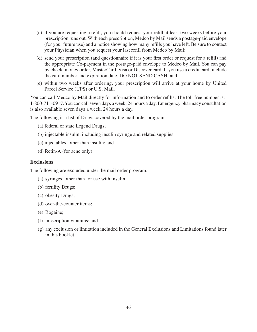- (c) if you are requesting a reill, you should request your reill at least two weeks before your prescription runs out. With each prescription, Medco by Mail sends a postage-paid envelope (for your future use) and a notice showing how many refills you have left. Be sure to contact your Physician when you request your last refill from Medco by Mail;
- (d) send your prescription (and questionnaire if it is your irst order or request for a reill) and the appropriate Co-payment in the postage-paid envelope to Medco by Mail. You can pay by check, money order, MasterCard, Visa or Discover card. If you use a credit card, include the card number and expiration date. DO NOT SEND CASH; and
- (e) within two weeks after ordering, your prescription will arrive at your home by United Parcel Service (UPS) or U.S. Mail.

You can call Medco by Mail directly for information and to order refills. The toll-free number is: 1-800-711-0917. You can call seven days a week, 24 hours a day. Emergency pharmacy consultation is also available seven days a week, 24 hours a day.

The following is a list of Drugs covered by the mail order program:

- (a) federal or state Legend Drugs;
- (b) injectable insulin, including insulin syringe and related supplies;
- (c) injectables, other than insulin; and
- (d) Retin-A (for acne only).

#### **Exclusions**

The following are excluded under the mail order program:

- (a) syringes, other than for use with insulin;
- (b) fertility Drugs;
- (c) obesity Drugs;
- (d) over-the-counter items;
- (e) Rogaine;
- (f) prescription vitamins; and
- (g) any exclusion or limitation included in the General Exclusions and Limitations found later in this booklet.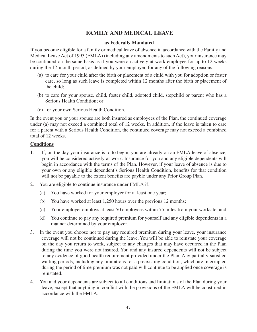# **FAMILY AND MEDICAL LEAVE**

#### **as Federally Mandated**

If you become eligible for a family or medical leave of absence in accordance with the Family and Medical Leave Act of 1993 (FMLA) (including any amendments to such Act), your insurance may be continued on the same basis as if you were an actively-at-work employee for up to 12 weeks during the 12-month period, as defined by your employer, for any of the following reasons:

- (a) to care for your child after the birth or placement of a child with you for adoption or foster care, so long as such leave is completed within 12 months after the birth or placement of the child;
- (b) to care for your spouse, child, foster child, adopted child, stepchild or parent who has a Serious Health Condition; or
- (c) for your own Serious Health Condition.

In the event you or your spouse are both insured as employees of the Plan, the continued coverage under (a) may not exceed a combined total of 12 weeks. In addition, if the leave is taken to care for a parent with a Serious Health Condition, the continued coverage may not exceed a combined total of 12 weeks.

#### **Conditions**

- 1. If, on the day your insurance is to to begin, you are already on an FMLA leave of absence, you will be considered actively-at-work. Insurance for you and any eligible dependents will begin in accordance with the terms of the Plan. However, if your leave of absence is due to your own or any eligible dependent's Serious Health Condition, benefits for that condition will not be payable to the extent benefits are payble under any Prior Group Plan.
- 2. You are eligible to continue insurance under FMLA if:
	- (a) You have worked for your employer for at least one year;
	- (b) You have worked at least 1,250 hours over the previous 12 months;
	- (c) Your employer employs at least 50 employees within 75 miles from your worksite; and
	- (d) You continue to pay any required premium for yourself and any eligible dependents in a manner determined by your employer.
- 3. In the event you choose not to pay any required premium during your leave, your insurance coverage will not be continued during the leave. You will be able to reinstate your coverage on the day you return to work, subject to any changes that may have occurred in the Plan during the time you were not insured. You and any insured dependents will not be subject to any evidence of good health requirement provided under the Plan. Any partially-satisied waiting periods, including any limitations for a preexisting condition, which are interrupted during the period of time premium was not paid will continue to be applied once coverage is reinstated.
- 4. You and your dependents are subject to all conditions and limitations of the Plan during your leave, except that anything in conflict with the provisions of the FMLA will be construed in accordance with the FMLA.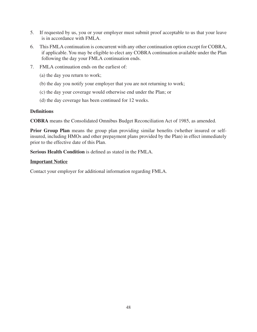- 5. If requested by us, you or your employer must submit proof acceptable to us that your leave is in accordance with FMLA.
- 6. This FMLA continuation is concurrent with any other continuation option except for COBRA, if applicable. You may be eligible to elect any COBRA continuation available under the Plan following the day your FMLA continuation ends.
- 7. FMLA continuation ends on the earliest of:
	- (a) the day you return to work;
	- (b) the day you notify your employer that you are not returning to work;
	- (c) the day your coverage would otherwise end under the Plan; or
	- (d) the day coverage has been continued for 12 weeks.

#### **Definitions**

**COBRA** means the Consolidated Omnibus Budget Reconciliation Act of 1985, as amended.

**Prior Group Plan** means the group plan providing similar benefits (whether insured or selfinsured, including HMOs and other prepayment plans provided by the Plan) in effect immediately prior to the effective date of this Plan.

**Serious Health Condition** is defined as stated in the FMLA.

#### **Important Notice**

Contact your employer for additional information regarding FMLA.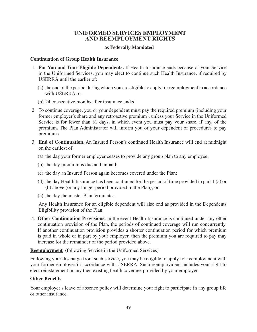# **UNIFORMED SERVICES EMPLOYMENT AND REEMPLOYMENT RIGHTS**

#### **as Federally Mandated**

#### **Continuation of Group Health Insurance**

- 1. **For You and Your Eligible Dependents.** If Health Insurance ends because of your Service in the Uniformed Services, you may elect to continue such Health Insurance, if required by USERRA until the earlier of:
	- (a) the end of the period during which you are eligible to apply for reemployment in accordance with USERRA; or
	- (b) 24 consecutive months after insurance ended.
- 2. To continue coverage, you or your dependent must pay the required premium (including your former employer's share and any retroactive premium), unless your Service in the Uniformed Service is for fewer than 31 days, in which event you must pay your share, if any, of the premium. The Plan Administrator will inform you or your dependent of procedures to pay premiums.
- 3. **End of Continuation**. An Insured Person's continued Health Insurance will end at midnight on the earliest of:
	- (a) the day your former employer ceases to provide any group plan to any employee;
	- (b) the day premium is due and unpaid;
	- (c) the day an Insured Person again becomes covered under the Plan;
	- (d) the day Health Insurance has been continued for the period of time provided in part 1 (a) or (b) above (or any longer period provided in the Plan); or
	- (e) the day the master Plan terminates.

Any Health Insurance for an eligible dependent will also end as provided in the Dependents Eligibility provision of the Plan.

4. **Other Continuation Provisions.** In the event Health Insurance is continued under any other continuation provision of the Plan, the periods of continued coverage will run concurrently. If another continuation provision provides a shorter continuation period for which premium is paid in whole or in part by your employer, then the premium you are required to pay may increase for the remainder of the period provided above.

**Reemployment** (following Service in the Uniformed Services)

Following your discharge from such service, you may be eligible to apply for reemployment with your former employer in accordance with USERRA. Such reemployment includes your right to elect reinstatement in any then existing health coverage provided by your employer.

## **Other Benefits**

Your employer's leave of absence policy will determine your right to participate in any group life or other insurance.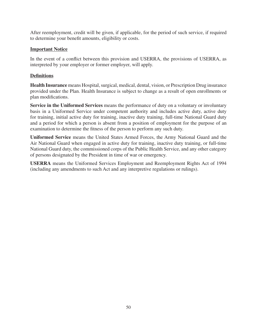After reemployment, credit will be given, if applicable, for the period of such service, if required to determine your benefit amounts, eligibility or costs.

## **Important Notice**

In the event of a conflict between this provision and USERRA, the provisions of USERRA, as interpreted by your employer or former employer, will apply.

# **Definitions**

**Health Insurance** means Hospital, surgical, medical, dental, vision, or Prescription Drug insurance provided under the Plan. Health Insurance is subject to change as a result of open enrollments or plan modifications.

**Service in the Uniformed Services** means the performance of duty on a voluntary or involuntary basis in a Uniformed Service under competent authority and includes active duty, active duty for training, initial active duty for training, inactive duty training, full-time National Guard duty and a period for which a person is absent from a position of employment for the purpose of an examination to determine the fitness of the person to perform any such duty.

**Uniformed Service** means the United States Armed Forces, the Army National Guard and the Air National Guard when engaged in active duty for training, inactive duty training, or full-time National Guard duty, the commissioned corps of the Public Health Service, and any other category of persons designated by the President in time of war or emergency.

**USERRA** means the Uniformed Services Employment and Reemployment Rights Act of 1994 (including any amendments to such Act and any interpretive regulations or rulings).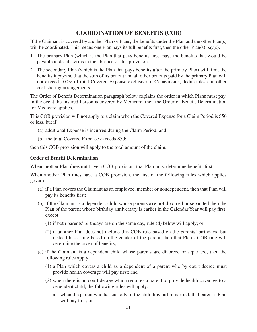# **COORDINATION OF BENEFITS (COB)**

If the Claimant is covered by another Plan or Plans, the benefits under the Plan and the other Plan(s) will be coordinated. This means one Plan pays its full benefits first, then the other  $Plan(s)$  pay(s).

- 1. The primary Plan (which is the Plan that pays beneits irst) pays the beneits that would be payable under its terms in the absence of this provision.
- 2. The secondary Plan (which is the Plan that pays benefits after the primary Plan) will limit the benefits it pays so that the sum of its benefit and all other benefits paid by the primary Plan will not exceed 100% of total Covered Expense exclusive of Copayments, deductibles and other cost-sharing arrangements.

The Order of Benefit Determination paragraph below explains the order in which Plans must pay. In the event the Insured Person is covered by Medicare, then the Order of Benefit Determination for Medicare applies.

This COB provision will not apply to a claim when the Covered Expense for a Claim Period is \$50 or less, but if:

- (a) additional Expense is incurred during the Claim Period; and
- (b) the total Covered Expense exceeds \$50;

then this COB provision will apply to the total amount of the claim.

#### **Order of Benefit Determination**

When another Plan **does not** have a COB provision, that Plan must determine benefits first.

When another Plan **does** have a COB provision, the first of the following rules which applies govern:

- (a) if a Plan covers the Claimant as an employee, member or nondependent, then that Plan will pay its benefits first;
- (b) if the Claimant is a dependent child whose parents **are not** divorced or separated then the Plan of the parent whose birthday anniversary is earlier in the Calendar Year will pay first; except:
	- (1) if both parents' birthdays are on the same day, rule (d) below will apply; or
	- (2) if another Plan does not include this COB rule based on the parents' birthdays, but instead has a rule based on the gender of the parent, then that Plan's COB rule will determine the order of benefits:
- (c) if the Claimant is a dependent child whose parents **are** divorced or separated, then the following rules apply:
	- (1) a Plan which covers a child as a dependent of a parent who by court decree must provide health coverage will pay first; and
	- (2) when there is no court decree which requires a parent to provide health coverage to a dependent child, the following rules will apply:
		- a. when the parent who has custody of the child **has not** remarried, that parent's Plan will pay first; or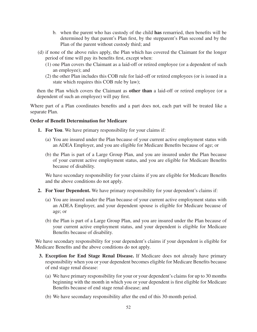- b. when the parent who has custody of the child **has** remarried, then beneits will be determined by that parent's Plan irst, by the stepparent's Plan second and by the Plan of the parent without custody third; and
- (d) if none of the above rules apply, the Plan which has covered the Claimant for the longer period of time will pay its benefits first, except when:
	- (1) one Plan covers the Claimant as a laid-off or retired employee (or a dependent of such an employee); and
	- (2) the other Plan includes this COB rule for laid-off or retired employees (or is issued in a state which requires this COB rule by law);

then the Plan which covers the Claimant as **other than** a laid-off or retired employee (or a dependent of such an employee) will pay first.

Where part of a Plan coordinates benefits and a part does not, each part will be treated like a separate Plan.

#### **Order of Benefit Determination for Medicare**

- **1. For You**. We have primary responsibility for your claims if:
	- (a) You are insured under the Plan because of your current active employment status with an ADEA Employer, and you are eligible for Medicare Benefits because of age; or
	- (b) the Plan is part of a Large Group Plan, and you are insured under the Plan because of your current active employment status, and you are eligible for Medicare Benefits because of disability.

We have secondary responsibility for your claims if you are eligible for Medicare Benefits and the above conditions do not apply.

- **2. For Your Dependent.** We have primary responsibility for your dependent's claims if:
	- (a) You are insured under the Plan because of your current active employment status with an ADEA Employer, and your dependent spouse is eligible for Medicare because of age; or
	- (b) the Plan is part of a Large Group Plan, and you are insured under the Plan because of your current active employment status, and your dependent is eligible for Medicare Benefits because of disability.

We have secondary responsibility for your dependent's claims if your dependent is eligible for Medicare Benefits and the above conditions do not apply.

- **3. Exception for End Stage Renal Disease.** If Medicare does not already have primary responsibility when you or your dependent becomes eligible for Medicare Benefits because of end stage renal disease:
	- (a) We have primary responsibility for your or your dependent's claims for up to 30 months beginning with the month in which you or your dependent is first eligible for Medicare Benefits because of end stage renal disease; and
	- (b) We have secondary responsibility after the end of this 30-month period.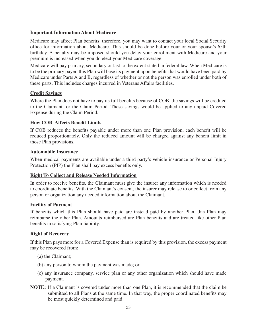#### **Important Information About Medicare**

Medicare may affect Plan benefits; therefore, you may want to contact your local Social Security ofice for information about Medicare. This should be done before your or your spouse's 65th birthday. A penalty may be imposed should you delay your enrollment with Medicare and your premium is increased when you do elect your Medicare coverage.

Medicare will pay primary, secondary or last to the extent stated in federal law. When Medicare is to be the primary payer, this Plan will base its payment upon benefits that would have been paid by Medicare under Parts A and B, regardless of whether or not the person was enrolled under both of these parts. This includes charges incurred in Veterans Affairs facilities.

## **Credit Savings**

Where the Plan does not have to pay its full benefits because of COB, the savings will be credited to the Claimant for the Claim Period. These savings would be applied to any unpaid Covered Expense during the Claim Period.

#### **How COB Affects Benefit Limits**

If COB reduces the benefits payable under more than one Plan provision, each benefit will be reduced proportionately. Only the reduced amount will be charged against any benefit limit in those Plan provisions.

#### **Automobile Insurance**

When medical payments are available under a third party's vehicle insurance or Personal Injury Protection (PIP) the Plan shall pay excess benefits only.

## **Right To Collect and Release Needed Information**

In order to receive benefits, the Claimant must give the insurer any information which is needed to coordinate benefits. With the Claimant's consent, the insurer may release to or collect from any person or organization any needed information about the Claimant.

#### **Facility of Payment**

If benefits which this Plan should have paid are instead paid by another Plan, this Plan may reimburse the other Plan. Amounts reimbursed are Plan benefits and are treated like other Plan benefits in satisfying Plan liability.

## **Right of Recovery**

If this Plan pays more for a Covered Expense than is required by this provision, the excess payment may be recovered from:

- (a) the Claimant;
- (b) any person to whom the payment was made; or
- (c) any insurance company, service plan or any other organization which should have made payment.
- **NOTE:** If a Claimant is covered under more than one Plan, it is recommended that the claim be submitted to all Plans at the same time. In that way, the proper coordinated benefits may be most quickly determined and paid.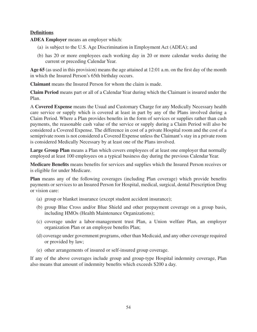## **Definitions**

**ADEA Employer** means an employer which:

- (a) is subject to the U.S. Age Discrimination in Employment Act (ADEA); and
- (b) has 20 or more employees each working day in 20 or more calendar weeks during the current or preceding Calendar Year.

**Age 65** (as used in this provision) means the age attained at 12:01 a.m. on the irst day of the month in which the Insured Person's 65th birthday occurs.

**Claimant** means the Insured Person for whom the claim is made.

**Claim Period** means part or all of a Calendar Year during which the Claimant is insured under the Plan.

A **Covered Expense** means the Usual and Customary Charge for any Medically Necessary health care service or supply which is covered at least in part by any of the Plans involved during a Claim Period. Where a Plan provides benefits in the form of services or supplies rather than cash payments, the reasonable cash value of the service or supply during a Claim Period will also be considered a Covered Expense. The difference in cost of a private Hospital room and the cost of a semiprivate room is not considered a Covered Expense unless the Claimant's stay in a private room is considered Medically Necessary by at least one of the Plans involved.

**Large Group Plan** means a Plan which covers employees of at least one employer that normally employed at least 100 employees on a typical business day during the previous Calendar Year.

**Medicare Benefits** means benefits for services and supplies which the Insured Person receives or is eligible for under Medicare.

**Plan** means any of the following coverages (including Plan coverage) which provide benefits payments or services to an Insured Person for Hospital, medical, surgical, dental Prescription Drug or vision care:

- (a) group or blanket insurance (except student accident insurance);
- (b) group Blue Cross and/or Blue Shield and other prepayment coverage on a group basis, including HMOs (Health Maintenance Organizations);
- (c) coverage under a labor-management trust Plan, a Union welfare Plan, an employer organization Plan or an employee benefits Plan;
- (d) coverage under government programs, other than Medicaid, and any other coverage required or provided by law;
- (e) other arrangements of insured or self-insured group coverage.

If any of the above coverages include group and group-type Hospital indemnity coverage, Plan also means that amount of indemnity benefits which exceeds \$200 a day.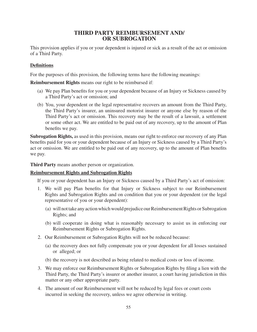# **THIRD PARTY REIMBURSEMENT AND/ OR SUBROGATION**

This provision applies if you or your dependent is injured or sick as a result of the act or omission of a Third Party.

## **Definitions**

For the purposes of this provision, the following terms have the following meanings:

**Reimbursement Rights** means our right to be reimbursed if:

- (a) We pay Plan benefits for you or your dependent because of an Injury or Sickness caused by a Third Party's act or omission; and
- (b) You, your dependent or the legal representative recovers an amount from the Third Party, the Third Party's insurer, an uninsured motorist insurer or anyone else by reason of the Third Party's act or omission. This recovery may be the result of a lawsuit, a settlement or some other act. We are entitled to be paid out of any recovery, up to the amount of Plan benefits we pay.

**Subrogation Rights,** as used in this provision, means our right to enforce our recovery of any Plan benefits paid for you or your dependent because of an Injury or Sickness caused by a Third Party's act or omission. We are entitled to be paid out of any recovery, up to the amount of Plan benefits we pay.

**Third Party** means another person or organization.

#### **Reimbursement Rights and Subrogation Rights**

If you or your dependent has an Injury or Sickness caused by a Third Party's act of omission:

- 1. We will pay Plan benefits for that Injury or Sickness subject to our Reimbursement Rights and Subrogation Rights and on condition that you or your dependent (or the legal representative of you or your dependent):
	- (a) will not take any action which would prejudice our Reimbursement Rights or Subrogation Rights; and
	- (b) will cooperate in doing what is reasonably necessary to assist us in enforcing our Reimbursement Rights or Subrogation Rights.
- 2. Our Reimbursement or Subrogation Rights will not be reduced because:
	- (a) the recovery does not fully compensate you or your dependent for all losses sustained or alleged; or
	- (b) the recovery is not described as being related to medical costs or loss of income.
- 3. We may enforce our Reimbursement Rights or Subrogation Rights by iling a lien with the Third Party, the Third Party's insurer or another insurer, a court having jurisdiction in this matter or any other appropriate party.
- 4. The amount of our Reimbursement will not be reduced by legal fees or court costs incurred in seeking the recovery, unless we agree otherwise in writing.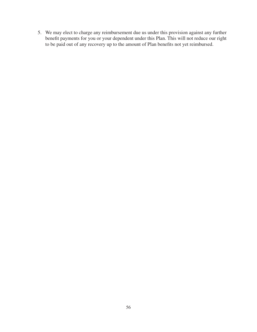5. We may elect to charge any reimbursement due us under this provision against any further benefit payments for you or your dependent under this Plan. This will not reduce our right to be paid out of any recovery up to the amount of Plan benefits not yet reimbursed.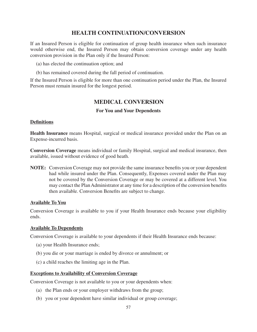# **HEALTH CONTINUATION/CONVERSION**

If an Insured Person is eligible for continuation of group health insurance when such insurance would otherwise end, the Insured Person may obtain conversion coverage under any health conversion provision in the Plan only if the Insured Person:

- (a) has elected the continuation option; and
- (b) has remained covered during the fall period of continuation.

If the Insured Person is eligible for more than one continuation period under the Plan, the Insured Person must remain insured for the longest period.

# **MEDICAL CONVERSION**

#### **For You and Your Dependents**

#### **Definitions**

**Health Insurance** means Hospital, surgical or medical insurance provided under the Plan on an Expense-incurred basis.

**Conversion Coverage** means individual or family Hospital, surgical and medical insurance, then available, issued without evidence of good heath.

**NOTE:** Conversion Coverage may not provide the same insurance benefits you or your dependent had while insured under the Plan. Consequently, Expenses covered under the Plan may not be covered by the Conversion Coverage or may be covered at a different level. You may contact the Plan Administrator at any time for a description of the conversion benefits then available. Conversion Benefits are subject to change.

#### **Available To You**

Conversion Coverage is available to you if your Health Insurance ends because your eligibility ends.

#### **Available To Dependents**

Conversion Coverage is available to your dependents if their Health Insurance ends because:

- (a) your Health Insurance ends;
- (b) you die or your marriage is ended by divorce or annulment; or
- (c) a child reaches the limiting age in the Plan.

#### **Exceptions to Availability of Conversion Coverage**

Conversion Coverage is not available to you or your dependents when:

- (a) the Plan ends or your employer withdraws from the group;
- (b) you or your dependent have similar individual or group coverage;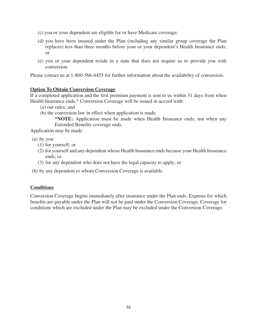- (c) you or your dependent are eligible for or have Medicare coverage;
- (d) you have been insured under the Plan (including any similar group coverage the Plan replaces) less than three months before your or your dependent's Health Insurance ends; or
- (e) you or your dependent reside in a state that does not require us to provide you with conversion.

Please contact us at 1-800-566-4455 for further information about the availability of conversion.

#### **Option To Obtain Conversion Coverage**

If a completed application and the first premium payment is sent to us within 31 days from when Health Insurance ends,\* Conversion Coverage will be issued in accord with:

- (a) our rules; and
- (b) the conversion law in effect when application is made.

**\*NOTE:** Application must be made when Health Insurance ends; not when any Extended Benefits coverage ends.

Application may be made:

(a) by you:

- (1) for yourself; or
- (2) for yourself and any dependent whose Health Insurance ends because your Health Insurance ends; or
- (3) for any dependent who does not have the legal capacity to apply; or
- (b) by any dependent to whom Conversion Coverage is available.

## **Conditions**

Conversion Coverage begins immediately after insurance under the Plan ends. Expense for which benefits are payable under the Plan will not be paid under the Conversion Coverage. Coverage for conditions which are excluded under the Plan may be excluded under the Conversion Coverage.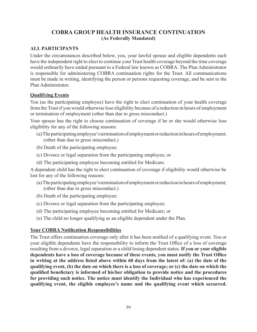# **COBRA GROUP HEALTH INSURANCE CONTINUATION (As Federally Mandated)**

## **ALL PARTICIPANTS**

Under the circumstances described below, you, your lawful spouse and eligible dependents each have the independent right to elect to continue your Trust health coverage beyond the time coverage would ordinarily have ended pursuant to a Federal law known as COBRA. The Plan Administrator is responsible for administering COBRA continuation rights for the Trust. All communications must be made in writing, identifying the person or persons requesting coverage, and be sent to the Plan Administrator.

# **Qualifying Events**

You (as the participating employee) have the right to elect continuation of your health coverage from the Trust if you would otherwise lose eligibility because of a reduction in hours of employment or termination of employment (other than due to gross misconduct.)

Your spouse has the right to choose continuation of coverage if he or she would otherwise lose eligibility for any of the following reasons:

- (a) The participating employee's termination of employment or reduction in hours of employment; (other than due to gross misconduct.)
- (b) Death of the participating employee;
- (c) Divorce or legal separation from the participating employee; or
- (d) The participating employee becoming entitled for Medicare.

A dependent child has the right to elect continuation of coverage if eligibility would otherwise be lost for any of the following reasons:

- (a) The participating employee's termination of employment or reduction in hours of employment; (other than due to gross misconduct.)
- (b) Death of the participating employee;
- (c) Divorce or legal separation from the participating employee;
- (d) The participating employee becoming entitled for Medicare; or
- (e) The child no longer qualifying as an eligible dependent under the Plan.

# **Your COBRA Notification Responsibilities**

The Trust offers continuation coverage only after it has been notified of a qualifying event. You or your eligible dependents have the responsibility to inform the Trust Ofice of a loss of coverage resulting from a divorce, legal separation or a child losing dependent status. **If you or your eligible dependents have a loss of coverage because of these events, you must notify the Trust Ofice in writing at the address listed above within 60 days from the latest of: (a) the date of the qualifying event, (b) the date on which there is a loss of coverage; or (c) the date on which the qualiied beneiciary is informed of his/her obligation to provide notice and the procedures for providing such notice. The notice must identify the Individual who has experienced the qualifying event, the eligible employee's name and the qualifying event which occurred.**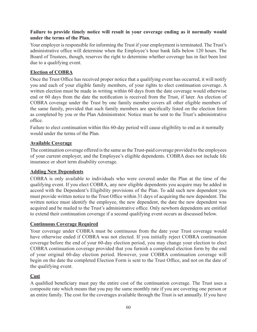## **Failure to provide timely notice will result in your coverage ending as it normally would under the terms of the Plan.**

Your employer is responsible for informing the Trust if your employment is terminated. The Trust's administrative ofice will determine when the Employee's hour bank falls below 120 hours. The Board of Trustees, though, reserves the right to determine whether coverage has in fact been lost due to a qualifying event.

# **Election of COBRA**

Once the Trust Ofice has received proper notice that a qualifying event has occurred, it will notify you and each of your eligible family members, of your rights to elect continuation coverage. A written election must be made in writing within 60 days from the date coverage would otherwise end or 60 days from the date the notification is received from the Trust, if later. An election of COBRA coverage under the Trust by one family member covers all other eligible members of the same family, provided that such family members are specifically listed on the election form as completed by you or the Plan Administrator. Notice must be sent to the Trust's administrative ofice.

Failure to elect continuation within this 60-day period will cause eligibility to end as it normally would under the terms of the Plan.

# **Available Coverage**

The continuation coverage offered is the same as the Trust-paid coverage provided to the employees of your current employer, and the Employee's eligible dependents. COBRA does not include life insurance or short term disability coverage.

## **Adding New Dependents**

COBRA is only available to individuals who were covered under the Plan at the time of the qualifying event. If you elect COBRA, any new eligible dependents you acquire may be added in accord with the Dependent's Eligibility provisions of the Plan. To add such new dependent you must provide written notice to the Trust Ofice within 31 days of acquiring the new dependent. The written notice must identify the employee, the new dependent, the date the new dependent was acquired and be mailed to the Trust's administrative ofice. Only newborn dependents are entitled to extend their continuation coverage if a second qualifying event occurs as discussed below.

## **Continuous Coverage Required**

Your coverage under COBRA must be continuous from the date your Trust coverage would have otherwise ended if COBRA was not elected. If you initially reject COBRA continuation coverage before the end of your 60-day election period, you may change your election to elect COBRA continuation coverage provided that you furnish a completed election form by the end of your original 60-day election period. However, your COBRA continuation coverage will begin on the date the completed Election Form is sent to the Trust Ofice, and not on the date of the qualifying event.

## **Cost**

A qualified beneficiary must pay the entire cost of the continuation coverage. The Trust uses a composite rate which means that you pay the same monthly rate if you are covering one person or an entire family. The cost for the coverages available through the Trust is set annually. If you have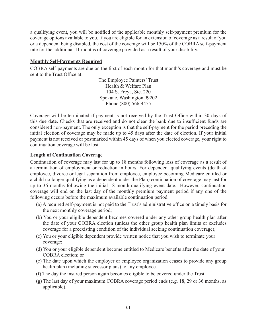a qualifying event, you will be notified of the applicable monthly self-payment premium for the coverage options available to you. If you are eligible for an extension of coverage as a result of you or a dependent being disabled, the cost of the coverage will be 150% of the COBRA self-payment rate for the additional 11 months of coverage provided as a result of your disability.

## **Monthly Self-Payments Required**

COBRA self-payments are due on the irst of each month for that month's coverage and must be sent to the Trust Ofice at:

> The Employee Painters' Trust Health & Welfare Plan 104 S. Freya, Ste. 220 Spokane, Washington 99202 Phone (800) 566-4455

Coverage will be terminated if payment is not received by the Trust Ofice within 30 days of this due date. Checks that are received and do not clear the bank due to insuficient funds are considered non-payment. The only exception is that the self-payment for the period preceding the initial election of coverage may be made up to 45 days after the date of election. If your initial payment is not received or postmarked within 45 days of when you elected coverage, your right to continuation coverage will be lost.

#### **Length of Continuation Coverage**

Continuation of coverage may last for up to 18 months following loss of coverage as a result of a termination of employment or reduction in hours. For dependent qualifying events (death of employee, divorce or legal separation from employee, employee becoming Medicare entitled or a child no longer qualifying as a dependent under the Plan) continuation of coverage may last for up to 36 months following the initial 18-month qualifying event date. However, continuation coverage will end on the last day of the monthly premium payment period if any one of the following occurs before the maximum available continuation period:

- (a) A required self-payment is not paid to the Trust's administrative ofice on a timely basis for the next monthly coverage period;
- (b) You or your eligible dependent becomes covered under any other group health plan after the date of your COBRA election (unless the other group health plan limits or excludes coverage for a preexisting condition of the individual seeking continuation coverage);
- (c) You or your eligible dependent provide written notice that you wish to terminate your coverage;
- (d) You or your eligible dependent become entitled to Medicare beneits after the date of your COBRA election; or
- (e) The date upon which the employer or employee organization ceases to provide any group health plan (including successor plans) to any employee.
- (f) The day the insured person again becomes eligible to be covered under the Trust.
- (g) The last day of your maximum COBRA coverage period ends (e.g. 18, 29 or 36 months, as applicable).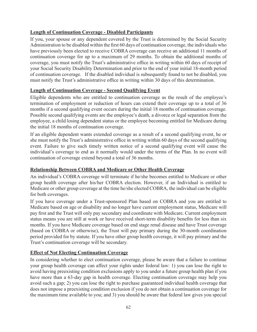# **Length of Continuation Coverage - Disabled Participants**

If you, your spouse or any dependent covered by the Trust is determined by the Social Security Administration to be disabled within the first 60 days of continuation coverage, the individuals who have previously been elected to receive COBRA coverage can receive an additional 11 months of continuation coverage for up to a maximum of 29 months. To obtain the additional months of coverage, you must notify the Trust's administrative ofice in writing within 60 days of receipt of your Social Security Disability Determination and prior to the end of your initial 18-month period of continuation coverage. If the disabled individual is subsequently found to not be disabled, you must notify the Trust's administrative ofice in writing within 30 days of this determination.

## **Length of Continuation Coverage - Second Qualifying Event**

Eligible dependents who are entitled to continuation coverage as the result of the employee's termination of employment or reduction of hours can extend their coverage up to a total of 36 months if a second qualifying event occurs during the initial 18 months of continuation coverage. Possible second qualifying events are the employee's death, a divorce or legal separation from the employee, a child losing dependent status or the employee becoming entitled for Medicare during the initial 18 months of continuation coverage.

If an eligible dependent wants extended coverage as a result of a second qualifying event, he or she must notify the Trust's administrative ofice in writing within 60 days of the second qualifying event. Failure to give such timely written notice of a second qualifying event will cause the individual's coverage to end as it normally would under the terms of the Plan. In no event will continuation of coverage extend beyond a total of 36 months.

## **Relationship Between COBRA and Medicare or Other Health Coverage**

An individual's COBRA coverage will terminate if he/she becomes entitled to Medicare or other group health coverage after his/her COBRA election. However, if an Individual is entitled to Medicare or other group coverage at the time he/she elected COBRA, the individual can be eligible for both coverages.

If you have coverage under a Trust-sponsored Plan based on COBRA and you are entitled to Medicare based on age or disability and no longer have current employment status, Medicare will pay irst and the Trust will only pay secondary and coordinate with Medicare. Current employment status means you are still at work or have received short-term disability benefits for less than six months. If you have Medicare coverage based on end stage renal disease and have Trust coverage (based on COBRA or otherwise), the Trust will pay primary during the 30-month coordination period provided for by statute. If you have other group health coverage, it will pay primary and the Trust's continuation coverage will be secondary.

## **Effect of Not Electing Continuation Coverage**

In considering whether to elect continuation coverage, please be aware that a failure to continue your group health coverage can affect your rights under federal law: 1) you can lose the right to avoid having preexisting condition exclusions apply to you under a future group health plan if you have more than a 63-day gap in health coverage. Electing continuation coverage may help you avoid such a gap; 2) you can lose the right to purchase guaranteed individual health coverage that does not impose a preexisting condition exclusion if you do not obtain a continuation coverage for the maximum time available to you; and 3) you should be aware that federal law gives you special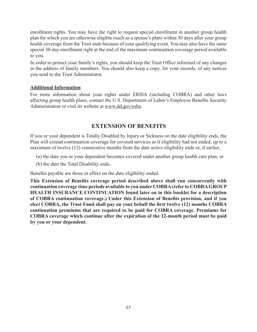enrollment rights. You may have the right to request special enrollment in another group health plan for which you are otherwise eligible (such as a spouse's plan) within 30 days after your group health coverage from the Trust ends because of your qualifying event. You may also have the same special 30-day enrollment right at the end of the maximum continuation coverage period available to you.

In order to protect your family's rights, you should keep the Trust Ofice informed of any changes in the address of family members. You should also keep a copy, for your records, of any notices you send to the Trust Administrator.

## **Additional Information**

For more information about your rights under ERISA (including COBRA) and other laws affecting group health plans, contact the U.S. Department of Labor's Employee Benefits Security Administration or visit its website at www.dd.gov/esba.

# **EXTENSION OF BENEFITS**

If you or your dependent is Totally Disabled by Injury or Sickness on the date eligibility ends, the Plan will extend continuation coverage for covered services as if eligibility had not ended, up to a maximum of twelve (12) consecutive months from the date active eligibility ends or, if earlier,

- (a) the date you or your dependent becomes covered under another group health care plan; or
- (b) the date the Total Disability ends.

Benefits payable are those in effect on the date eligibility ended.

**This Extension of Beneits coverage period described above shall run concurrently with continuation coverage time periods available to you under COBRA (refer to COBRA GROUP HEALTH INSURANCE CONTINUATION found later on in this booklet for a description of COBRA continuation coverage.) Under this Extension of Beneits provision, and if you elect COBRA, the Trust Fund shall pay on your behalf the irst twelve (12) months COBRA continuation premiums that are required to be paid for COBRA coverage. Premiums for COBRA coverage which continue after the expiration of the 12-month period must be paid by you or your dependent.**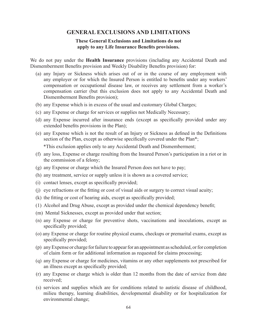## **GENERAL EXCLUSIONS AND LIMITATIONS**

#### **These General Exclusions and Limitations do not apply to any Life Insurance Beneits provisions.**

We do not pay under the **Health Insurance** provisions (including any Accidental Death and Dismemberment Benefits provision and Weekly Disability Benefits provision) for:

- (a) any Injury or Sickness which arises out of or in the course of any employment with any employer or for which the Insured Person is entitled to benefits under any workers' compensation or occupational disease law, or receives any settlement from a worker's compensation carrier (but this exclusion does not apply to any Accidental Death and Dismemberment Benefits provision);
- (b) any Expense which is in excess of the usual and customary Global Charges;
- (c) any Expense or charge for services or supplies not Medically Necessary;
- (d) any Expense incurred after insurance ends (except as speciically provided under any extended benefits provisions in the Plan);
- (e) any Expense which is not the result of an Injury or Sickness as deined in the Deinitions section of the Plan, except as otherwise specifically covered under the Plan<sup>\*</sup>;

\*This exclusion applies only to any Accidental Death and Dismemberment;

- (f) any loss, Expense or charge resulting from the Insured Person's participation in a riot or in the commission of a felony;
- (g) any Expense or charge which the Insured Person does not have to pay;
- (h) any treatment, service or supply unless it is shown as a covered service;
- (i) contact lenses, except as specifically provided;
- (j) eye refractions or the itting or cost of visual aids or surgery to correct visual acuity;
- (k) the fitting or cost of hearing aids, except as specifically provided;
- (1) Alcohol and Drug Abuse, except as provided under the chemical dependency beneit;
- (m) Mental Sicknesses, except as provided under that section;
- (n) any Expense or charge for preventive shots, vaccinations and inoculations, except as specifically provided;
- (o) any Expense or charge for routine physical exams, checkups or premarital exams, except as specifically provided;
- (p) any Expense or charge for failure to appear for an appointment as scheduled, or for completion of claim form or for additional information as requested for claims processing;
- (q) any Expense or charge for medicines, vitamins or any other supplements not prescribed for an illness except as specifically provided;
- (r) any Expense or charge which is older than 12 months from the date of service from date received;
- (s) services and supplies which are for conditions related to autistic disease of childhood, milieu therapy, learning disabilities, developmental disability or for hospitalization for environmental change;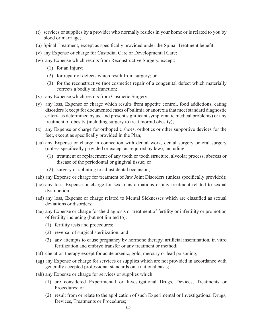- (t) services or supplies by a provider who normally resides in your home or is related to you by blood or marriage;
- (u) Spinal Treatment, except as specifically provided under the Spinal Treatment benefit;
- (v) any Expense or charge for Custodial Care or Developmental Care;
- (w) any Expense which results from Reconstructive Surgery, except:
	- (1) for an Injury;
	- (2) for repair of defects which result from surgery; or
	- (3) for the reconstructive (not cosmetic) repair of a congenital defect which materially corrects a bodily malfunction;
- (x) any Expense which results from Cosmetic Surgery;
- (y) any loss, Expense or charge which results from appetite control, food addictions, eating disorders (except for documented cases of bulimia or anorexia that meet standard diagnostic criteria as determined by us, and present signiicant symptomatic medical problems) or any treatment of obesity (including surgery to treat morbid obesity);
- (z) any Expense or charge for orthopedic shoes, orthotics or other supportive devices for the feet, except as specifically provided in the Plan;
- (aa) any Expense or charge in connection with dental work, dental surgery or oral surgery (unless speciically provided or except as required by law), including:
	- (1) treatment or replacement of any tooth or tooth structure, alveolar process, abscess or disease of the periodontal or gingival tissue; or
	- (2) surgery or splinting to adjust dental occlusion;
- (ab) any Expense or charge for treatment of Jaw Joint Disorders (unless specifically provided);
- (ac) any loss, Expense or charge for sex transformations or any treatment related to sexual dysfunction;
- (ad) any loss, Expense or charge related to Mental Sicknesses which are classified as sexual deviations or disorders;
- (ae) any Expense or charge for the diagnosis or treatment of fertility or infertility or promotion of fertility including (but not limited to):
	- (1) fertility tests and procedures;
	- (2) reversal of surgical sterilization; and
	- (3) any attempts to cause pregnancy by hormone therapy, artiicial insemination, in vitro fertilization and embryo transfer or any treatment or method;
- (af) chelation therapy except for acute arsenic, gold, mercury or lead poisoning;
- (ag) any Expense or charge for services or supplies which are not provided in accordance with generally accepted professional standards on a national basis;
- (ah) any Expense or charge for services or supplies which:
	- (1) are considered Experimental or Investigational Drugs, Devices, Treatments or Procedures; or
	- (2) result from or relate to the application of such Experimental or Investigational Drugs, Devices, Treatments or Procedures;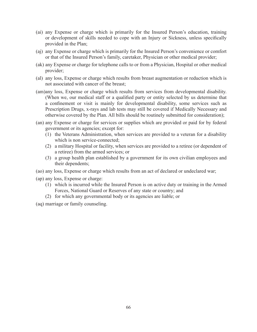- (ai) any Expense or charge which is primarily for the Insured Person's education, training or development of skills needed to cope with an Injury or Sickness, unless speciically provided in the Plan;
- (aj) any Expense or charge which is primarily for the Insured Person's convenience or comfort or that of the Insured Person's family, caretaker, Physician or other medical provider;
- (ak) any Expense or charge for telephone calls to or from a Physician, Hospital or other medical provider;
- (al) any loss, Expense or charge which results from breast augmentation or reduction which is not associated with cancer of the breast;
- (am)any loss, Expense or charge which results from services from developmental disability. (When we, our medical staff or a qualified party or entity selected by us determine that a confinement or visit is mainly for developmental disability, some services such as Prescription Drugs, x-rays and lab tests may still be covered if Medically Necessary and otherwise covered by the Plan. All bills should be routinely submitted for consideration);
- (an) any Expense or charge for services or supplies which are provided or paid for by federal government or its agencies; except for:
	- (1) the Veterans Administration, when services are provided to a veteran for a disability which is non service-connected;
	- (2) a military Hospital or facility, when services are provided to a retiree (or dependent of a retiree) from the armed services; or
	- (3) a group health plan established by a government for its own civilian employees and their dependents;
- (ao) any loss, Expense or charge which results from an act of declared or undeclared war;
- (ap) any loss, Expense or charge:
	- (1) which is incurred while the Insured Person is on active duty or training in the Armed Forces, National Guard or Reserves of any state or country; and
	- (2) for which any governmental body or its agencies are liable; or

(aq) marriage or family counseling.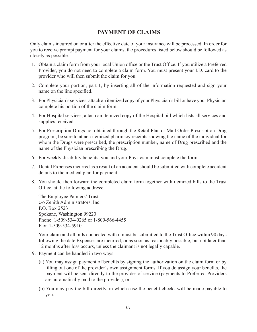# **PAYMENT OF CLAIMS**

Only claims incurred on or after the effective date of your insurance will be processed. In order for you to receive prompt payment for your claims, the procedures listed below should be followed as closely as possible.

- 1. Obtain a claim form from your local Union ofice or the Trust Ofice. If you utilize a Preferred Provider, you do not need to complete a claim form. You must present your I.D. card to the provider who will then submit the claim for you.
- 2. Complete your portion, part 1, by inserting all of the information requested and sign your name on the line specified.
- 3. For Physician's services, attach an itemized copy of your Physician's bill or have your Physician complete his portion of the claim form.
- 4. For Hospital services, attach an itemized copy of the Hospital bill which lists all services and supplies received.
- 5. For Prescription Drugs not obtained through the Retail Plan or Mail Order Prescription Drug program, be sure to attach itemized pharmacy receipts showing the name of the individual for whom the Drugs were prescribed, the prescription number, name of Drug prescribed and the name of the Physician prescribing the Drug.
- 6. For weekly disability benefits, you and your Physician must complete the form.
- 7. Dental Expenses incurred as a result of an accident should be submitted with complete accident details to the medical plan for payment.
- 8. You should then forward the completed claim form together with itemized bills to the Trust Ofice, at the following address:

The Employee Painters' Trust c/o Zenith Administrators, Inc. P.O. Box 2523 Spokane, Washington 99220 Phone: 1-509-534-0265 or 1-800-566-4455 Fax: 1-509-534-5910

Your claim and all bills connected with it must be submitted to the Trust Ofice within 90 days following the date Expenses are incurred, or as soon as reasonably possible, but not later than 12 months after loss occurs, unless the claimant is not legally capable.

- 9. Payment can be handled in two ways:
	- (a) You may assign payment of beneits by signing the authorization on the claim form or by filling out one of the provider's own assignment forms. If you do assign your benefits, the payment will be sent directly to the provider of service (payments to Preferred Providers are automatically paid to the provider); or
	- (b) You may pay the bill directly, in which case the beneit checks will be made payable to you.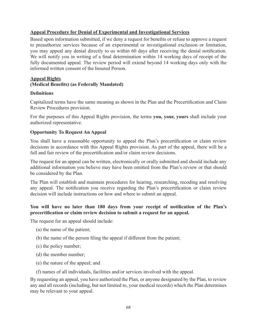## **Appeal Procedure for Denial of Experimental and Investigational Services**

Based upon information submitted, if we deny a request for benefits or refuse to approve a request to preauthorize services because of an experimental or investigational exclusion or limitation, you may appeal any denial directly to us within 60 days after receiving the denial notiication. We will notify you in writing of a final determination within 14 working days of receipt of the fully documented appeal. The review period will extend beyond 14 working days only with the informed written consent of the Insured Person.

## **Appeal Rights**

## **(Medical Beneits) (as Federally Mandated)**

### **Deinitions**

Capitalized terms have the same meaning as shown in the Plan and the Precertification and Claim Review Procedures provision.

For the purposes of this Appeal Rights provision, the terms **you, your, yours** shall include your authorized representative.

### **Opportunity To Request An Appeal**

You shall have a reasonable opportunity to appeal the Plan's precertification or claim review decisions in accordance with this Appeal Rights provision. As part of the appeal, there will be a full and fair review of the precertification and/or claim review decisions.

The request for an appeal can be written, electronically or orally submitted and should include any additional information you believe may have been omitted from the Plan's review or that should be considered by the Plan.

The Plan will establish and maintain procedures for hearing, researching, recoding and resolving any appeal. The notification you receive regarding the Plan's precertification or claim review decision will include instructions on how and where to submit an appeal.

## You will have no later than 180 days from your receipt of notification of the Plan's **precertiication or claim review decision to submit a request for an appeal.**

The request for an appeal should include:

- (a) the name of the patient;
- (b) the name of the person filing the appeal if different from the patient;
- (c) the policy number;
- (d) the member number;
- (e) the nature of the appeal; and
- (f) names of all individuals, facilities and/or services involved with the appeal.

By requesting an appeal, you have authorized the Plan, or anyone designated by the Plan, to review any and all records (including, but not limited to, your medical records) which the Plan determines may be relevant to your appeal.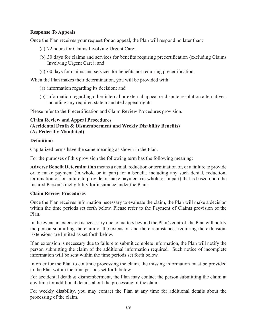## **Response To Appeals**

Once the Plan receives your request for an appeal, the Plan will respond no later than:

- (a) 72 hours for Claims Involving Urgent Care;
- (b) 30 days for claims and services for benefits requiring precertification (excluding Claims Involving Urgent Care); and
- (c) 60 days for claims and services for beneits not requiring precertiication.

When the Plan makes their determination, you will be provided with:

- (a) information regarding its decision; and
- (b) information regarding other internal or external appeal or dispute resolution alternatives, including any required state mandated appeal rights.

Please refer to the Precertification and Claim Review Procedures provision.

### **Claim Review and Appeal Procedures**

**(Accidental Death & Dismemberment and Weekly Disability Beneits) (As Federally Mandated)**

### **Definitions**

Capitalized terms have the same meaning as shown in the Plan.

For the purposes of this provision the following term has the following meaning:

**Adverse Beneit Determination** means a denial, reduction or termination of, or a failure to provide or to make payment (in whole or in part) for a benefit, including any such denial, reduction, termination of, or failure to provide or make payment (in whole or in part) that is based upon the Insured Person's ineligibility for insurance under the Plan.

### **Claim Review Procedures**

Once the Plan receives information necessary to evaluate the claim, the Plan will make a decision within the time periods set forth below. Please refer to the Payment of Claims provision of the Plan.

In the event an extension is necessary due to matters beyond the Plan's control, the Plan will notify the person submitting the claim of the extension and the circumstances requiring the extension. Extensions are limited as set forth below.

If an extension is necessary due to failure to submit complete information, the Plan will notify the person submitting the claim of the additional information required. Such notice of incomplete information will be sent within the time periods set forth below.

In order for the Plan to continue processing the claim, the missing information must be provided to the Plan within the time periods set forth below.

For accidental death & dismemberment, the Plan may contact the person submitting the claim at any time for additional details about the processing of the claim.

For weekly disability, you may contact the Plan at any time for additional details about the processing of the claim.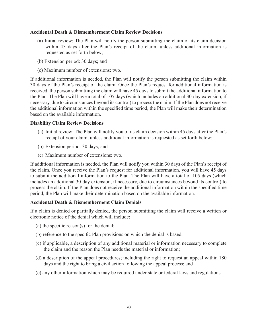### **Accidental Death & Dismemberment Claim Review Decisions**

- (a) Initial review: The Plan will notify the person submitting the claim of its claim decision within 45 days after the Plan's receipt of the claim, unless additional information is requested as set forth below;
- (b) Extension period: 30 days; and
- (c) Maximum number of extensions: two.

If additional information is needed, the Plan will notify the person submitting the claim within 30 days of the Plan's receipt of the claim. Once the Plan's request for additional information is received, the person submitting the claim will have 45 days to submit the additional information to the Plan. The Plan will have a total of 105 days (which includes an additional 30-day extension, if necessary, due to circumstances beyond its control) to process the claim. If the Plan does not receive the additional information within the specified time period, the Plan will make their determination based on the available information.

### **Disability Claim Review Decisions**

- (a) Initial review: The Plan will notify you of its claim decision within 45 days after the Plan's receipt of your claim, unless additional information is requested as set forth below;
- (b) Extension period: 30 days; and
- (c) Maximum number of extensions: two.

If additional information is needed, the Plan will notify you within 30 days of the Plan's receipt of the claim. Once you receive the Plan's request for additional information, you will have 45 days to submit the additional information to the Plan. The Plan will have a total of 105 days (which includes an additional 30-day extension, if necessary, due to circumstances beyond its control) to process the claim. If the Plan does not receive the additional information within the speciied time period, the Plan will make their determination based on the available information.

### **Accidental Death & Dismemberment Claim Denials**

If a claim is denied or partially denied, the person submitting the claim will receive a written or electronic notice of the denial which will include:

- (a) the specific reason(s) for the denial;
- (b) reference to the specific Plan provisions on which the denial is based;
- (c) if applicable, a description of any additional material or information necessary to complete the claim and the reason the Plan needs the material or information;
- (d) a description of the appeal procedures; including the right to request an appeal within 180 days and the right to bring a civil action following the appeal process; and
- (e) any other information which may be required under state or federal laws and regulations.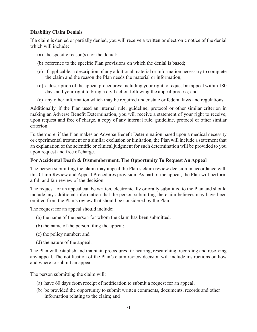## **Disability Claim Denials**

If a claim is denied or partially denied, you will receive a written or electronic notice of the denial which will include:

- (a) the specific reason(s) for the denial;
- (b) reference to the specific Plan provisions on which the denial is based;
- (c) if applicable, a description of any additional material or information necessary to complete the claim and the reason the Plan needs the material or information;
- (d) a description of the appeal procedures; including your right to request an appeal within 180 days and your right to bring a civil action following the appeal process; and
- (e) any other information which may be required under state or federal laws and regulations.

Additionally, if the Plan used an internal rule, guideline, protocol or other similar criterion in making an Adverse Benefit Determination, you will receive a statement of your right to receive, upon request and free of charge, a copy of any internal rule, guideline, protocol or other similar criterion.

Furthermore, if the Plan makes an Adverse Benefit Determination based upon a medical necessity or experimental treatment or a similar exclusion or limitation, the Plan will include a statement that an explanation of the scientific or clinical judgment for such determination will be provided to you upon request and free of charge.

### **For Accidental Death & Dismemberment, The Opportunity To Request An Appeal**

The person submitting the claim may appeal the Plan's claim review decision in accordance with this Claim Review and Appeal Procedures provision. As part of the appeal, the Plan will perform a full and fair review of the decision.

The request for an appeal can be written, electronically or orally submitted to the Plan and should include any additional information that the person submitting the claim believes may have been omitted from the Plan's review that should be considered by the Plan.

The request for an appeal should include:

- (a) the name of the person for whom the claim has been submitted;
- (b) the name of the person filing the appeal;
- (c) the policy number; and
- (d) the nature of the appeal.

The Plan will establish and maintain procedures for hearing, researching, recording and resolving any appeal. The notification of the Plan's claim review decision will include instructions on how and where to submit an appeal.

The person submitting the claim will:

- (a) have 60 days from receipt of notiication to submit a request for an appeal;
- (b) be provided the opportunity to submit written comments, documents, records and other information relating to the claim; and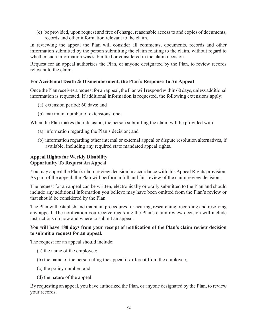(c) be provided, upon request and free of charge, reasonable access to and copies of documents, records and other information relevant to the claim.

In reviewing the appeal the Plan will consider all comments, documents, records and other information submitted by the person submitting the claim relating to the claim, without regard to whether such information was submitted or considered in the claim decision.

Request for an appeal authorizes the Plan, or anyone designated by the Plan, to review records relevant to the claim.

## **For Accidental Death & Dismemberment, the Plan's Response To An Appeal**

Once the Plan receives a request for an appeal, the Plan will respond within 60 days, unless additional information is requested. If additional information is requested, the following extensions apply:

- (a) extension period: 60 days; and
- (b) maximum number of extensions: one.

When the Plan makes their decision, the person submitting the claim will be provided with:

- (a) information regarding the Plan's decision; and
- (b) information regarding other internal or external appeal or dispute resolution alternatives, if available, including any required state mandated appeal rights.

## **Appeal Rights for Weekly Disability Opportunity To Request An Appeal**

You may appeal the Plan's claim review decision in accordance with this Appeal Rights provision. As part of the appeal, the Plan will perform a full and fair review of the claim review decision.

The request for an appeal can be written, electronically or orally submitted to the Plan and should include any additional information you believe may have been omitted from the Plan's review or that should be considered by the Plan.

The Plan will establish and maintain procedures for hearing, researching, recording and resolving any appeal. The notification you receive regarding the Plan's claim review decision will include instructions on how and where to submit an appeal.

## You will have 180 days from your receipt of notification of the Plan's claim review decision **to submit a request for an appeal.**

The request for an appeal should include:

- (a) the name of the employee;
- (b) the name of the person iling the appeal if different from the employee;
- (c) the policy number; and
- (d) the nature of the appeal.

By requesting an appeal, you have authorized the Plan, or anyone designated by the Plan, to review your records.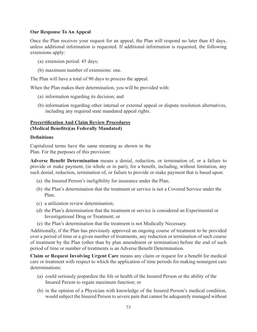### **Our Response To An Appeal**

Once the Plan receives your request for an appeal, the Plan will respond no later than 45 days, unless additional information is requested. If additional information is requested, the following extensions apply:

- (a) extension period: 45 days;
- (b) maximum number of extensions: one.

The Plan will have a total of 90 days to process the appeal.

When the Plan makes their determination, you will be provided with:

- (a) information regarding its decision; and
- (b) information regarding other internal or external appeal or dispute resolution alternatives, including any required state mandated appeal rights.

### **Precertiication And Claim Review Procedures (Medical Beneits)(as Federally Mandated)**

#### **Deinitions**

Capitalized terms have the same meaning as shown in the Plan. For the purposes of this provision:

Adverse Benefit Determination means a denial, reduction, or termination of, or a failure to provide or make payment, (in whole or in part), for a benefit, including, without limitation, any such denial, reduction, termination of, or failure to provide or make payment that is based upon:

- (a) the Insured Person's ineligibility for insurance under the Plan;
- (b) the Plan's determination that the treatment or service is not a Covered Service under the Plan;
- (c) a utilization review determination;
- (d) the Plan's determination that the treatment or service is considered an Experimental or Investigational Drug or Treatment; or
- (e) the Plan's determination that the treatment is not Medically Necessary.

Additionally, if the Plan has previously approved an ongoing course of treatment to be provided over a period of time or a given number of treatments, any reduction or termination of such course of treatment by the Plan (other than by plan amendment or termination) before the end of such period of time or number of treatments is an Adverse Benefit Determination.

**Claim or Request Involving Urgent Care** means any claim or request for a benefit for medical care or treatment with respect to which the application of time periods for making nonurgent care determinations:

- (a) could seriously jeopardize the life or health of the Insured Person or the ability of the Insured Person to regain maximum function; or
- (b) in the opinion of a Physician with knowledge of the Insured Person's medical condition, would subject the Insured Person to severe pain that cannot be adequately managed without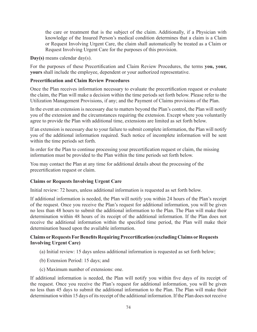the care or treatment that is the subject of the claim. Additionally, if a Physician with knowledge of the Insured Person's medical condition determines that a claim is a Claim or Request Involving Urgent Care, the claim shall automatically be treated as a Claim or Request Involving Urgent Care for the purposes of this provision.

**Day(s)** means calendar day(s).

For the purposes of these Precertification and Claim Review Procedures, the terms **you, your, yours** shall include the employee, dependent or your authorized representative.

### **Precertiication and Claim Review Procedures**

Once the Plan receives information necessary to evaluate the precertification request or evaluate the claim, the Plan will make a decision within the time periods set forth below. Please refer to the Utilization Management Provisions, if any; and the Payment of Claims provisions of the Plan.

In the event an extension is necessary due to matters beyond the Plan's control, the Plan will notify you of the extension and the circumstances requiring the extension. Except where you voluntarily agree to provide the Plan with additional time, extensions are limited as set forth below.

If an extension is necessary due to your failure to submit complete information, the Plan will notify you of the additional information required. Such notice of incomplete information will be sent within the time periods set forth.

In order for the Plan to continue processing your precertification request or claim, the missing information must be provided to the Plan within the time periods set forth below.

You may contact the Plan at any time for additional details about the processing of the precertification request or claim.

## **Claims or Requests Involving Urgent Care**

Initial review: 72 hours, unless additional information is requested as set forth below.

If additional information is needed, the Plan will notify you within 24 hours of the Plan's receipt of the request. Once you receive the Plan's request for additional information, you will be given no less than 48 hours to submit the additional information to the Plan. The Plan will make their determination within 48 hours of its receipt of the additional information. If the Plan does not receive the additional information within the specified time period, the Plan will make their determination based upon the available information.

### **Claims or Requests For Beneits Requiring Precertiication (excluding Claims or Requests Involving Urgent Care)**

- (a) Initial review: 15 days unless additional information is requested as set forth below;
- (b) Extension Period: 15 days; and
- (c) Maximum number of extensions: one.

If additional information is needed, the Plan will notify you within ive days of its receipt of the request. Once you receive the Plan's request for additional information, you will be given no less than 45 days to submit the additional information to the Plan. The Plan will make their determination within 15 days of its receipt of the additional information. If the Plan does not receive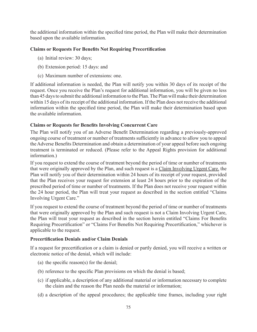the additional information within the specified time period, the Plan will make their determination based upon the available information.

## **Claims or Requests For Beneits Not Requiring Precertiication**

- (a) Initial review: 30 days;
- (b) Extension period: 15 days: and
- (c) Maximum number of extensions: one.

If additional information is needed, the Plan will notify you within 30 days of its receipt of the request. Once you receive the Plan's request for additional information, you will be given no less than 45 days to submit the additional information to the Plan. The Plan will make their determination within 15 days of its receipt of the additional information. If the Plan does not receive the additional information within the specified time period, the Plan will make their determination based upon the available information.

### **Claims or Requests for Beneits Involving Concurrent Care**

The Plan will notify you of an Adverse Benefit Determination regarding a previously-approved ongoing course of treatment or number of treatments suficiently in advance to allow you to appeal the Adverse Benefits Determination and obtain a determination of your appeal before such ongoing treatment is terminated or reduced. (Please refer to the Appeal Rights provision for additional information.)

If you request to extend the course of treatment beyond the period of time or number of treatments that were originally approved by the Plan, and such request is a Claim Involving Urgent Care. the Plan will notify you of their determination within 24 hours of its receipt of your request, provided that the Plan receives your request for extension at least 24 hours prior to the expiration of the prescribed period of time or number of treatments. If the Plan does not receive your request within the 24 hour period, the Plan will treat your request as described in the section entitled "Claims Involving Urgent Care."

If you request to extend the course of treatment beyond the period of time or number of treatments that were originally approved by the Plan and such request is not a Claim Involving Urgent Care, the Plan will treat your request as described in the section herein entitled "Claims For Benefits" Requiring Precertification" or "Claims For Benefits Not Requiring Precertification," whichever is applicable to the request.

### **Precertiication Denials and/or Claim Denials**

If a request for precertification or a claim is denied or partly denied, you will receive a written or electronic notice of the denial, which will include:

- (a) the specific reason(s) for the denial;
- (b) reference to the specific Plan provisions on which the denial is based;
- (c) if applicable, a description of any additional material or information necessary to complete the claim and the reason the Plan needs the material or information;
- (d) a description of the appeal procedures; the applicable time frames, including your right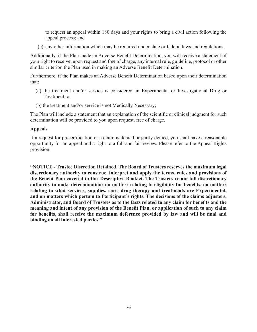to request an appeal within 180 days and your rights to bring a civil action following the appeal process; and

(e) any other information which may be required under state or federal laws and regulations.

Additionally, if the Plan made an Adverse Benefit Determination, you will receive a statement of your right to receive, upon request and free of charge, any internal rule, guideline, protocol or other similar criterion the Plan used in making an Adverse Benefit Determination.

Furthermore, if the Plan makes an Adverse Benefit Determination based upon their determination that:

- (a) the treatment and/or service is considered an Experimental or Investigational Drug or Treatment; or
- (b) the treatment and/or service is not Medically Necessary;

The Plan will include a statement that an explanation of the scientific or clinical judgment for such determination will be provided to you upon request, free of charge.

#### **Appeals**

If a request for precertification or a claim is denied or partly denied, you shall have a reasonable opportunity for an appeal and a right to a full and fair review. Please refer to the Appeal Rights provision.

**"NOTICE - Trustee Discretion Retained. The Board of Trustees reserves the maximum legal discretionary authority to construe, interpret and apply the terms, rules and provisions of the Beneit Plan covered in this Descriptive Booklet. The Trustees retain full discretionary authority to make determinations on matters relating to eligibility for beneits, on matters relating to what services, supplies, care, drug therapy and treatments are Experimental, and on matters which pertain to Participant's rights. The decisions of the claims adjusters, Administrator, and Board of Trustees as to the facts related to any claim for beneits and the**  meaning and intent of any provision of the Benefit Plan, or application of such to any claim for benefits, shall receive the maximum deference provided by law and will be final and **binding on all interested parties."**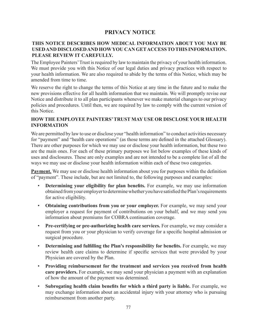# **PRIVACY NOTICE**

## **THIS NOTICE DESCRIBES HOW MEDICAL INFORMATION ABOUT YOU MAY BE USED AND DISCLOSED AND HOW YOU CAN GET ACCESS TO THIS INFORMATION. PLEASE REVIEW IT CAREFULLY.**

The Employee Painters' Trust is required by law to maintain the privacy of your health information. We must provide you with this Notice of our legal duties and privacy practices with respect to your health information. We are also required to abide by the terms of this Notice, which may be amended from time to time.

We reserve the right to change the terms of this Notice at any time in the future and to make the new provisions effective for all health information that we maintain. We will promptly revise our Notice and distribute it to all plan participants whenever we make material changes to our privacy policies and procedures. Until then, we are required by law to comply with the current version of this Notice.

## **HOW THE EMPLOYEE PAINTERS' TRUST MAY USE OR DISCLOSE YOUR HEALTH INFORMATION**

We are permitted by law to use or disclose your "health information" to conduct activities necessary for "payment" and "health care operations" (as those terms are defined in the attached Glossary). There are other purposes for which we may use or disclose your health information, but these two are the main ones. For each of these primary purposes we list below examples of these kinds of uses and disclosures. These are only examples and are not intended to be a complete list of all the ways we may use or disclose your health information within each of these two categories.

**Payment.** We may use or disclose health information about you for purposes within the definition of "payment". These include, but are not limited to, the following purposes and examples:

- **Determining your eligibility for plan benefits.** For example, we may use information obtained from your employer to determine whether you have satisied the Plan's requirements for active eligibility.
- **Obtaining contributions from you or your employer.** For example, we may send your employer a request for payment of contributions on your behalf, and we may send you information about premiums for COBRA continuation coverage.
- **Pre-certifying or pre-authorizing health care services.** For example, we may consider a request from you or your physician to verify coverage for a specific hospital admission or surgical procedure.
- **Determining and fulfilling the Plan's responsibility for benefits.** For example, we may review health care claims to determine if specific services that were provided by your Physician are covered by the Plan.
- **Providing reimbursement for the treatment and services you received from health care providers.** For example, we may send your physician a payment with an explanation of how the amount of the payment was determined.
- **Subrogating health claim beneits for which a third party is liable.** For example, we may exchange information about an accidental injury with your attorney who is pursuing reimbursement from another party.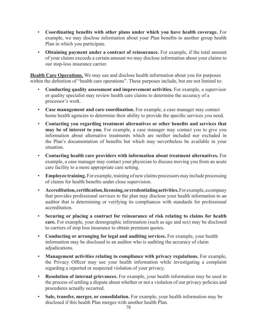- **Coordinating beneits with other plans under which you have health coverage.** For example, we may disclose information about your Plan benefits to another group health Plan in which you participate.
- **Obtaining payment under a contract of reinsurance.** For example, if the total amount of your claims exceeds a certain amount we may disclose information about your claims to our stop-loss insurance carrier.

**Health Care Operations.** We may use and disclose health information about you for purposes within the definition of "health care operations". These purposes include, but are not limited to:

- **Conducting quality assessment and improvement activities.** For example, a supervisor or quality specialist may review health care claims to determine the accuracy of a processor's work.
- **Case management and care coordination.** For example, a case manager may contact home health agencies to determine their ability to provide the specific services you need.
- **Contacting you regarding treatment alternatives or other beneits and services that may be of interest to you.** For example, a case manager may contact you to give you information about alternative treatments which are neither included nor excluded in the Plan's documentation of benefits but which may nevertheless be available in your situation.
- **Contacting health care providers with information about treatment alternatives.** For example, a case manager may contact your physician to discuss moving you from an acute care facility to a more appropriate care setting.
- **Employee training.** For example, training of new claims processors may include processing of claims for health benefits under close supervision.
- **Accreditation, certiication, licensing, or credentialing activities.** For example, a company that provides professional services to the plan may disclose your health information to an auditor that is determining or verifying its compliances with standards for professional accreditation.
- **Securing or placing a contract for reinsurance of risk relating to claims for health care.** For example, your demographic information (such as age and sex) may be disclosed to carriers of stop loss insurance to obtain premium quotes.
- **Conducting or arranging for legal and auditing services.** For example, your health information may be disclosed to an auditor who is auditing the accuracy of claim adjudications.
- **Management activities relating to compliance with privacy regulations.** For example, the Privacy Oficer may use your health information while investigating a complaint regarding a reported or suspected violation of your privacy.
- **Resolution of internal grievances.** For example, your health information may be used in the process of settling a dispute about whether or not a violation of our privacy policies and procedures actually occurred.
- **Sale, transfer, merger, or consolidation.** For example, your health information may be disclosed if this health Plan merges with another health Plan.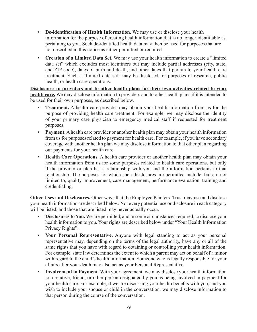- **De-identiication of Health Information.** We may use or disclose your health information for the purpose of creating health information that is no longer identifiable as pertaining to you. Such de-identified health data may then be used for purposes that are not described in this notice as either permitted or required.
- **Creation of a Limited Data Set.** We may use your health information to create a "limited data set" which excludes most identifiers but may include partial addresses (city, state, and ZIP code), dates of birth and death, and other dates that pertain to your health care treatment. Such a "limited data set" may be disclosed for purposes of research, public health, or health care operations.

**Disclosures to providers and to other health plans for their own activities related to your health care.** We may disclose information to providers and to other health plans if it is intended to be used for their own purposes, as described below.

- **Treatment.** A health care provider may obtain your health information from us for the purpose of providing health care treatment. For example, we may disclose the identity of your primary care physician to emergency medical staff if requested for treatment purposes.
- **Payment.** A health care provider or another health plan may obtain your health information from us for purposes related to payment for health care. For example, if you have secondary coverage with another health plan we may disclose information to that other plan regarding our payments for your health care.
- **Health Care Operations.** A health care provider or another health plan may obtain your health information from us for some purposes related to health care operations, but only if the provider or plan has a relationship with you and the information pertains to that relationship. The purposes for which such disclosures are permitted include, but are not limited to, quality improvement, case management, performance evaluation, training and credentialing.

**Other Uses and Disclosures.** Other ways that the Employee Painters' Trust may use and disclose your health information are described below. Not every potential use or disclosure in each category will be listed, and those that are listed may never actually occur.

- **Disclosures to You.** We are permitted, and in some circumstances required, to disclose your health information to you. Your rights are described below under "Your Health Information Privacy Rights".
- **Your Personal Representative.** Anyone with legal standing to act as your personal representative may, depending on the terms of the legal authority, have any or all of the same rights that you have with regard to obtaining or controlling your health information. For example, state law determines the extent to which a parent may act on behalf of a minor with regard to the child's health information. Someone who is legally responsible for your affairs after your death may also act as your Personal Representative.
- **Involvement in Payment.** With your agreement, we may disclose your health information to a relative, friend, or other person designated by you as being involved in payment for your health care. For example, if we are discussing your health benefits with you, and you wish to include your spouse or child in the conversation, we may disclose information to that person during the course of the conversation.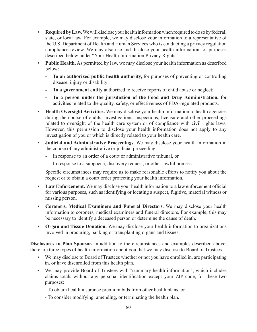- **Required by Law.** We will disclose your health information when required to do so by federal, state, or local law. For example, we may disclose your information to a representative of the U.S. Department of Health and Human Services who is conducting a privacy regulation compliance review. We may also use and disclose your health information for purposes described below under "Your Health Information Privacy Rights".
- **Public Health.** As permitted by law, we may disclose your health information as described below:
	- **To an authorized public health authority,** for purposes of preventing or controlling disease, injury or disability;
	- **To a government entity** authorized to receive reports of child abuse or neglect;
	- **To a person under the jurisdiction of the Food and Drug Administration,** for activities related to the quality, safety, or effectiveness of FDA-regulated products.
- **Health Oversight Activities.** We may disclose your health information to health agencies during the course of audits, investigations, inspections, licensure and other proceedings related to oversight of the health care system or of compliance with civil rights laws. However, this permission to disclose your health information does not apply to any investigation of you or which is directly related to your health care.
- **Judicial and Administrative Proceedings.** We may disclose your health information in the course of any administrative or judicial proceeding:
	- In response to an order of a court or administrative tribunal, or
	- In response to a subpoena, discovery request, or other lawful process.

Specific circumstances may require us to make reasonable efforts to notify you about the request or to obtain a court order protecting your health information.

- **Law Enforcement.** We may disclose your health information to a law enforcement oficial for various purposes, such as identifying or locating a suspect, fugitive, material witness or missing person.
- **Coroners, Medical Examiners and Funeral Directors.** We may disclose your health information to coroners, medical examiners and funeral directors. For example, this may be necessary to identify a deceased person or determine the cause of death.
- **Organ and Tissue Donation.** We may disclose your health information to organizations involved in procuring, banking or transplanting organs and tissues.

**Disclosures to Plan Sponsor.** In addition to the circumstances and examples described above, there are three types of health information about you that we may disclose to Board of Trustees.

- We may disclose to Board of Trustees whether or not you have enrolled in, are participating in, or have disenrolled from this health plan.
- We may provide Board of Trustees with "summary health information", which includes claims totals without any personal identiication except your ZIP code, for these two purposes:
	- To obtain health insurance premium bids from other health plans, or
	- To consider modifying, amending, or terminating the health plan.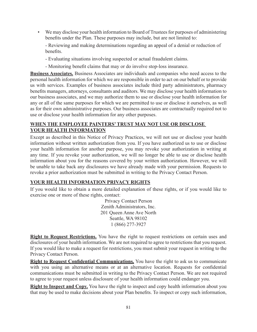• We may disclose your health information to Board of Trustees for purposes of administering benefits under the Plan. These purposes may include, but are not limited to:

- Reviewing and making determinations regarding an appeal of a denial or reduction of benefits.

- Evaluating situations involving suspected or actual fraudulent claims.
- Monitoring benefit claims that may or do involve stop-loss insurance.

**Business Associates.** Business Associates are individuals and companies who need access to the personal health information for which we are responsible in order to act on our behalf or to provide us with services. Examples of business associates include third party administrators, pharmacy benefits managers, attorneys, consultants and auditors. We may disclose your health information to our business associates, and we may authorize them to use or disclose your health information for any or all of the same purposes for which we are permitted to use or disclose it ourselves, as well as for their own administrative purposes. Our business associates are contractually required not to use or disclose your health information for any other purposes.

## **WHEN THE EMPLOYEE PAINTERS' TRUST MAY NOT USE OR DISCLOSE YOUR HEALTH INFORMATION**

Except as described in this Notice of Privacy Practices, we will not use or disclose your health information without written authorization from you. If you have authorized us to use or disclose your health information for another purpose, you may revoke your authorization in writing at any time. If you revoke your authorization, we will no longer be able to use or disclose health information about you for the reasons covered by your written authorization. However, we will be unable to take back any disclosures we have already made with your permission. Requests to revoke a prior authorization must be submitted in writing to the Privacy Contact Person.

## **YOUR HEALTH INFORMATION PRIVACY RIGHTS**

If you would like to obtain a more detailed explanation of these rights, or if you would like to exercise one or more of these rights, contact:

> Privacy Contact Person Zenith Administrators, Inc. 201 Queen Anne Ave North Seattle, WA 98102 1 (866) 277-3927

**Right to Request Restrictions.** You have the right to request restrictions on certain uses and disclosures of your health information. We are not required to agree to restrictions that you request. If you would like to make a request for restrictions, you must submit your request in writing to the Privacy Contact Person.

**Right to Request Confidential Communications.** You have the right to ask us to communicate with you using an alternative means or at an alternative location. Requests for confidential communications must be submitted in writing to the Privacy Contact Person. We are not required to agree to your request unless disclosure of your health information could endanger you.

**Right to Inspect and Copy.** You have the right to inspect and copy health information about you that may be used to make decisions about your Plan beneits. To inspect or copy such information,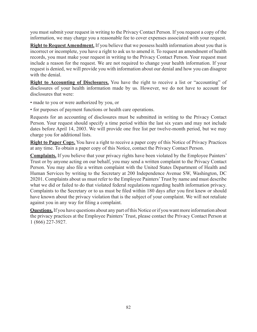you must submit your request in writing to the Privacy Contact Person. If you request a copy of the information, we may charge you a reasonable fee to cover expenses associated with your request.

**Right to Request Amendment.** If you believe that we possess health information about you that is incorrect or incomplete, you have a right to ask us to amend it. To request an amendment of health records, you must make your request in writing to the Privacy Contact Person. Your request must include a reason for the request. We are not required to change your health information. If your request is denied, we will provide you with information about our denial and how you can disagree with the denial.

**Right to Accounting of Disclosures.** You have the right to receive a list or "accounting" of disclosures of your health information made by us. However, we do not have to account for disclosures that were:

- made to you or were authorized by you, or
- for purposes of payment functions or health care operations.

Requests for an accounting of disclosures must be submitted in writing to the Privacy Contact Person. Your request should specify a time period within the last six years and may not include dates before April 14, 2003. We will provide one free list per twelve-month period, but we may charge you for additional lists.

**Right to Paper Copy.** You have a right to receive a paper copy of this Notice of Privacy Practices at any time. To obtain a paper copy of this Notice, contact the Privacy Contact Person.

**Complaints.** If you believe that your privacy rights have been violated by the Employee Painters' Trust or by anyone acting on our behalf, you may send a written complaint to the Privacy Contact Person. You may also file a written complaint with the United States Department of Health and Human Services by writing to the Secretary at 200 Independence Avenue SW, Washington, DC 20201. Complaints about us must refer to the Employee Painters' Trust by name and must describe what we did or failed to do that violated federal regulations regarding health information privacy. Complaints to the Secretary or to us must be filed within 180 days after you first knew or should have known about the privacy violation that is the subject of your complaint. We will not retaliate against you in any way for filing a complaint.

**Questions.** If you have questions about any part of this Notice or if you want more information about the privacy practices at the Employee Painters' Trust, please contact the Privacy Contact Person at 1 (866) 227-3927.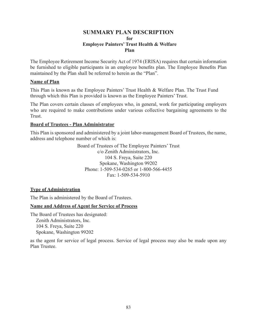## **SUMMARY PLAN DESCRIPTION for Employee Painters' Trust Health & Welfare Plan**

The Employee Retirement Income Security Act of 1974 (ERISA) requires that certain information be furnished to eligible participants in an employee benefits plan. The Employee Benefits Plan maintained by the Plan shall be referred to herein as the "Plan".

### **Name of Plan**

This Plan is known as the Employee Painters' Trust Health & Welfare Plan. The Trust Fund through which this Plan is provided is known as the Employee Painters' Trust.

The Plan covers certain classes of employees who, in general, work for participating employers who are required to make contributions under various collective bargaining agreements to the Trust.

## **Board of Trustees - Plan Administrator**

This Plan is sponsored and administered by a joint labor-management Board of Trustees, the name, address and telephone number of which is:

> Board of Trustees of The Employee Painters' Trust c/o Zenith Administrators, Inc. 104 S. Freya, Suite 220 Spokane, Washington 99202 Phone: 1-509-534-0265 or 1-800-566-4455 Fax: 1-509-534-5910

## **Type of Administration**

The Plan is administered by the Board of Trustees.

## **Name and Address of Agent for Service of Process**

The Board of Trustees has designated: Zenith Administrators, Inc. 104 S. Freya, Suite 220 Spokane, Washington 99202

as the agent for service of legal process. Service of legal process may also be made upon any Plan Trustee.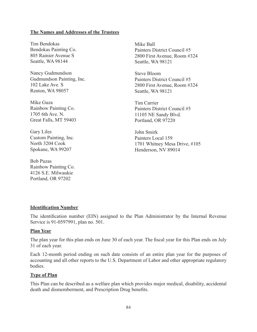### **The Names and Addresses of the Trustees**

Tim Bendokas Bendokas Painting Co. 805 Rainier Avenue S Seattle, WA 98144

Nancy Gudmundson Gudmundson Painting, Inc. 102 Lake Ave. S Renton, WA 98057

Mike Guza Rainbow Painting Co. 1705 6th Ave. N. Great Falls, MT 59403

Gary Liles Custom Painting, Inc. North 3204 Cook Spokane, WA 99207

Bob Puzas Rainbow Painting Co. 4126 S.E. Milwaukie Portland, OR 97202

Mike Ball Painters District Council #5 2800 First Avenue, Room #324 Seattle, WA 98121

Steve Bloom Painters District Council #5 2800 First Avenue, Room #324 Seattle, WA 98121

Tim Carrier Painters District Council #5 11105 NE Sandy Blvd. Portland, OR 97220

John Smirk Painters Local 159 1701 Whitney Mesa Drive, #105 Henderson, NV 89014

#### **Identification Number**

The identification number (EIN) assigned to the Plan Administrator by the Internal Revenue Service is 91-0597991, plan no. 501.

#### **Plan Year**

The plan year for this plan ends on June 30 of each year. The fiscal year for this Plan ends on July 31 of each year.

Each 12-month period ending on such date consists of an entire plan year for the purposes of accounting and all other reports to the U.S. Department of Labor and other appropriate regulatory bodies.

#### **Type of Plan**

This Plan can be described as a welfare plan which provides major medical, disability, accidental death and dismemberment, and Prescription Drug benefits.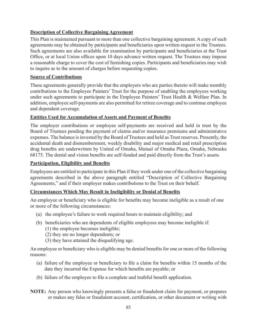## **Description of Collective Bargaining Agreement**

This Plan is maintained pursuant to more than one collective bargaining agreement. A copy of such agreements may be obtained by participants and beneficiaries upon written request to the Trustees. Such agreements are also available for examination by participants and beneficiaries at the Trust Ofice, or at local Union ofices upon 10 days advance written request. The Trustees may impose a reasonable charge to cover the cost of furnishing copies. Participants and beneficiaries may wish to inquire as to the amount of charges before requesting copies.

## **Source of Contributions**

These agreements generally provide that the employers who are parties thereto will make monthly contributions to the Employee Painters' Trust for the purpose of enabling the employees working under such agreements to participate in the Employee Painters' Trust Health & Welfare Plan. In addition, employee self-payments are also permitted for retiree coverage and to continue employee and dependent coverage.

## **Entities Used for Accumulation of Assets and Payment of Benefits**

The employer contributions or employee self-payments are received and held in trust by the Board of Trustees pending the payment of claims and/or insurance premiums and administrative expenses. The balance is invested by the Board of Trustees and held as Trust reserves. Presently, the accidental death and dismemberment, weekly disability and major medical and retail prescription drug benefits are underwritten by United of Omaha, Mutual of Omaha Plaza, Omaha, Nebraska 68175. The dental and vision benefits are self-funded and paid directly from the Trust's assets.

### **Participation, Eligibility and Beneits**

Employees are entitled to participate in this Plan if they work under one of the collective bargaining agreements described in the above paragraph entitled "Description of Collective Bargaining Agreements," and if their employer makes contributions to the Trust on their behalf.

## **Circumstances Which May Result in Ineligibility or Denial of Beneits**

An employee or beneficiary who is eligible for benefits may become ineligible as a result of one or more of the following circumstances:

- (a) the employee's failure to work required hours to maintain eligibility; and
- (b) beneficiaries who are dependents of eligible employees may become ineligible if:
	- (1) the employee becomes ineligible;
	- (2) they are no longer dependents; or
	- (3) they have attained the disqualifying age.

An employee or beneficiary who is eligible may be denied benefits for one or more of the following reasons:

- (a) failure of the employee or beneficiary to file a claim for benefits within 15 months of the date they incurred the Expense for which benefits are payable; or
- (b) failure of the employee to file a complete and truthful benefit application.
- **NOTE:** Any person who knowingly presents a false or fraudulent claim for payment, or prepares or makes any false or fraudulent account, certiication, or other document or writing with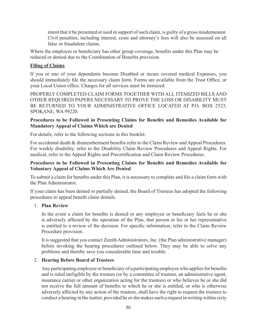intent that it be presented or used in support of such claim, is guilty of a gross misdemeanor. Civil penalties, including interest, costs and attorney's fees will also be assessed on all false or fraudulent claims.

Where the employee or beneficiary has other group coverage, benefits under this Plan may be reduced or denied due to the Coordination of Benefits provision.

## **Filing of Claims**

If you or one of your dependents become Disabled or incurs covered medical Expenses, you should immediately file the necessary claim form. Forms are available from the Trust Office, or your Local Union ofice. Charges for all services must be itemized.

PROPERLY COMPLETED CLAIM FORMS TOGETHER WITH ALL ITEMIZED BILLS AND OTHER REQUIRED PAPERS NECESSARY TO PROVE THE LOSS OR DISABILITY MUST BE RETURNED TO YOUR ADMINISTRATIVE OFFICE LOCATED AT P.O. BOX 2523, SPOKANE, WA 99220.

### Procedures to be Followed in Presenting Claims for Benefits and Remedies Available for **Mandatory Appeal of Claims Which are Denied**

For details, refer to the following sections in this booklet.

For accidental death & dismemberment benefits refer to the Claim Review and Appeal Procedures. For weekly disability, refer to the Disability Claim Review Procedures and Appeal Rights. For medical, refer to the Appeal Rights and Precertification and Claim Review Procedures.

## Procedures to be Followed in Presenting Claims for Benefits and Remedies Available for **Voluntary Appeal of Claims Which Are Denied**

To submit a claim for benefits under this Plan, it is necessary to complete and file a claim form with the Plan Administrator.

If your claim has been denied or partially denied, the Board of Trustees has adopted the following procedures to appeal benefit claim denials.

### 1. **Plan Review**

In the event a claim for benefits is denied or any employee or beneficiary feels he or she is adversely affected by the operation of the Plan, that person or his or her representative is entitled to a review of the decision. For specific information, refer to the Claim Review Procedure provision.

It is suggested that you contact Zenith Administrators, Inc. (the Plan administrative manager) before invoking the hearing procedures outlined below. They may be able to solve any problems and thereby save you considerable time and trouble.

### 2. **Hearing Before Board of Trustees**

Any participating employee or beneficiary of a participating employee who applies for benefits and is ruled ineligible by the trustees (or by a committee of trustees, an administrative agent, insurance carrier or other organization acting for the trustees) or who believes he or she did not receive the full amount of benefits to which he or she is entitled, or who is otherwise adversely affected by any action of the trustees, shall have the right to request the trustees to conduct a hearing in the matter, provided he or she makes such a request in writing within sixty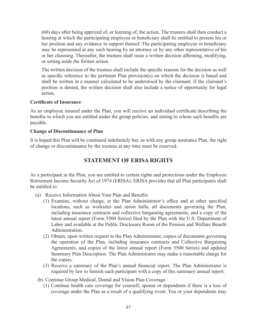(60) days after being apprized of, or learning of, the action. The trustees shall then conduct a hearing at which the participating employee or beneficiary shall be entitled to present his or her position and any evidence in support thereof. The participating employee or beneficiary may be represented at any such hearing by an attorney or by any other representative of his or her choosing. Thereafter, the trustees shall issue a written decision afirming, modifying, or setting aside the former action.

The written decision of the trustees shall include the speciic reasons for the decision as well as specific reference to the pertinent Plan provision(s) on which the decision is based and shall be written in a manner calculated to be understood by the claimant. If the claimant's position is denied, the written decision shall also include a notice of opportunity for legal action.

### **Certiicate of Insurance**

As an employee insured under the Plan, you will receive an individual certificate describing the benefits to which you are entitled under the group policies, and stating to whom such benefits are payable.

### **Change of Discontinuance of Plan**

It is hoped this Plan will be continued indefinitely but, as with any group insurance Plan, the right of change or discontinuance by the trustees at any time must be reserved.

# **STATEMENT OF ERISA RIGHTS**

As a participant in the Plan, you are entitled to certain rights and protections under the Employee Retirement Income Security Act of 1974 (ERISA). ERISA provides that all Plan participants shall be entitled to:

- (a) Receive Information About Your Plan and Benefits
	- (1) Examine, without charge, at the Plan Administrator's ofice and at other speciied locations, such as worksites and union halls, all documents governing the Plan, including insurance contracts and collective bargaining agreements, and a copy of the latest annual report (Form 5500 Series) filed by the Plan with the U.S. Department of Labor and available at the Public Disclosure Room of the Pension and Welfare Beneit Administration.
	- (2) Obtain, upon written request to the Plan Administrator, copies of documents governing the operation of the Plan, including insurance contracts and Collective Bargaining Agreements, and copies of the latest annual report (Form 5500 Series) and updated Summary Plan Description. The Plan Administrator may make a reasonable charge for the copies.
	- (3) Receive a summary of the Plan's annual inancial report. The Plan Administrator is required by law to furnish each participant with a copy of this summary annual report.
- (b) Continue Group Medical, Dental and Vision Plan Coverage
	- (1) Continue health care coverage for yourself, spouse or dependents if there is a loss of coverage under the Plan as a result of a qualifying event. You or your dependents may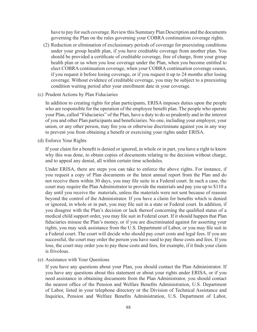have to pay for such coverage. Review this Summary Plan Description and the documents governing the Plan on the rules governing your COBRA continuation coverage rights.

- (2) Reduction or elimination of exclusionary periods of coverage for preexisting conditions under your group health plan, if you have creditable coverage from another plan. You should be provided a certificate of creditable coverage, free of charge, from your group health plan or us when you lose coverage under the Plan, when you become entitled to elect COBRA continuation coverage, when your COBRA continuation coverage ceases, if you request it before losing coverage, or if you request it up to 24 months after losing coverage. Without evidence of creditable coverage, you may be subject to a preexisting condition waiting period after your enrollment date in your coverage.
- (c) Prudent Actions by Plan Fiduciaries

 In addition to creating rights for plan participants, ERISA imposes duties upon the people who are responsible for the operation of the employee benefit plan. The people who operate your Plan, called "Fiduciaries" of the Plan, have a duty to do so prudently and in the interest of you and other Plan participants and beneiciaries. No one, including your employer, your union, or any other person, may fire you or otherwise discriminate against you in any way to prevent you from obtaining a benefit or exercising your rights under ERISA.

(d) Enforce Your Rights

If your claim for a benefit is denied or ignored, in whole or in part, you have a right to know why this was done, to obtain copies of documents relating to the decision without charge, and to appeal any denial, all within certain time schedules.

 Under ERISA, there are steps you can take to enforce the above rights. For instance, if you request a copy of Plan documents or the latest annual report from the Plan and do not receive them within 30 days, you may file suite in a Federal court. In such a case, the court may require the Plan Administrator to provide the materials and pay you up to \$110 a day until you receive the materials, unless the materials were not sent because of reasons beyond the control of the Administrator. If you have a claim for benefits which is denied or ignored, in whole or in part, you may file suit in a state or Federal court. In addition, if you disagree with the Plan's decision or lack thereof concerning the qualified status of a medical child support order, you may ile suit in Federal court. If it should happen that Plan fiduciaries misuse the Plan's money, or if you are discriminated against for asserting your rights, you may seek assistance from the U.S. Department of Labor, or you may file suit in a Federal court. The court will decide who should pay court costs and legal fees. If you are successful, the court may order the person you have sued to pay these costs and fees. If you lose, the court may order you to pay these costs and fees, for example, if it finds your claim is frivolous.

(e) Assistance with Your Questions

 If you have any questions about your Plan, you should contact the Plan Administrator. If you have any questions about this statement or about your rights under ERISA, or if you need assistance in obtaining documents from the Plan Administrator, you should contact the nearest office of the Pension and Welfare Benefits Administration, U.S. Department of Labor, listed in your telephone directory or the Division of Technical Assistance and Inquiries, Pension and Welfare Benefits Administration, U.S. Department of Labor,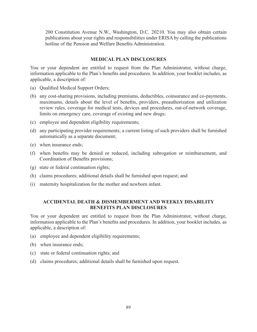200 Constitution Avenue N.W., Washington, D.C. 20210. You may also obtain certain publications about your rights and responsibilities under ERISA by calling the publications hotline of the Pension and Welfare Benefits Administration.

### **MEDICAL PLAN DISCLOSURES**

You or your dependent are entitled to request from the Plan Administrator, without charge, information applicable to the Plan's benefits and procedures. In addition, your booklet includes, as applicable, a description of:

- (a) Qualified Medical Support Orders;
- (b) any cost-sharing provisions, including premiums, deductibles, coinsurance and co-payments, maximums, details about the level of benefits, providers, preauthorization and utilization review rules, coverage for medical tests, devices and procedures, out-of-network coverage, limits on emergency care, coverage of existing and new drugs;
- (c) employee and dependent eligibility requirements;
- (d) any participating provider requirements; a current listing of such providers shall be furnished automatically as a separate document;
- (e) when insurance ends;
- (f) when benefits may be denied or reduced, including subrogation or reimbursement, and Coordination of Benefits provisions;
- (g) state or federal continuation rights;
- (h) claims procedures; additional details shall be furnished upon request; and
- (i) maternity hospitalization for the mother and newborn infant.

### **ACCIDENTAL DEATH & DISMEMBERMENT AND WEEKLY DISABILITY BENEFITS PLAN DISCLOSURES**

You or your dependent are entitled to request from the Plan Administrator, without charge, information applicable to the Plan's benefits and procedures. In addition, your booklet includes, as applicable, a description of:

- (a) employee and dependent eligibility requirements;
- (b) when insurance ends;
- (c) state or federal continuation rights; and
- (d) claims procedures; additional details shall be furnished upon request.